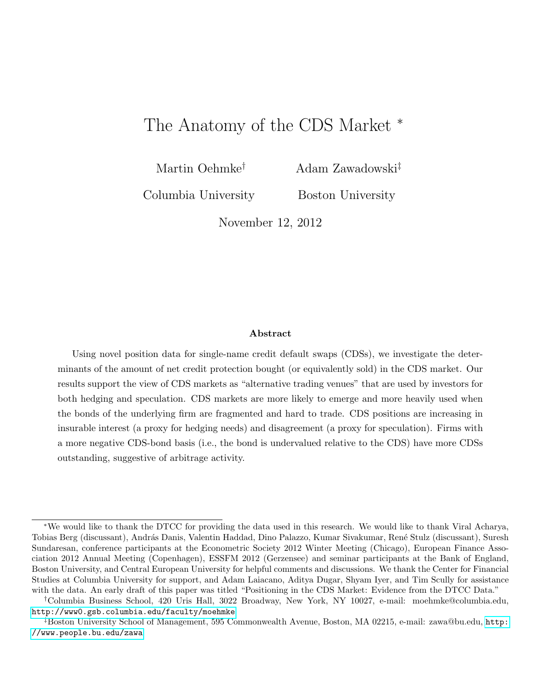# The Anatomy of the CDS Market  $*$

Martin Oehmke†

Adam Zawadowski‡

Columbia University

Boston University

November 12, 2012

#### Abstract

Using novel position data for single-name credit default swaps (CDSs), we investigate the determinants of the amount of net credit protection bought (or equivalently sold) in the CDS market. Our results support the view of CDS markets as "alternative trading venues" that are used by investors for both hedging and speculation. CDS markets are more likely to emerge and more heavily used when the bonds of the underlying firm are fragmented and hard to trade. CDS positions are increasing in insurable interest (a proxy for hedging needs) and disagreement (a proxy for speculation). Firms with a more negative CDS-bond basis (i.e., the bond is undervalued relative to the CDS) have more CDSs outstanding, suggestive of arbitrage activity.

<sup>∗</sup>We would like to thank the DTCC for providing the data used in this research. We would like to thank Viral Acharya, Tobias Berg (discussant), András Danis, Valentin Haddad, Dino Palazzo, Kumar Sivakumar, René Stulz (discussant), Suresh Sundaresan, conference participants at the Econometric Society 2012 Winter Meeting (Chicago), European Finance Association 2012 Annual Meeting (Copenhagen), ESSFM 2012 (Gerzensee) and seminar participants at the Bank of England, Boston University, and Central European University for helpful comments and discussions. We thank the Center for Financial Studies at Columbia University for support, and Adam Laiacano, Aditya Dugar, Shyam Iyer, and Tim Scully for assistance with the data. An early draft of this paper was titled "Positioning in the CDS Market: Evidence from the DTCC Data."

<sup>†</sup>Columbia Business School, 420 Uris Hall, 3022 Broadway, New York, NY 10027, e-mail: moehmke@columbia.edu, <http://www0.gsb.columbia.edu/faculty/moehmke>

<sup>‡</sup>Boston University School of Management, 595 Commonwealth Avenue, Boston, MA 02215, e-mail: zawa@bu.edu, [http:](http://www.people.bu.edu/zawa) [//www.people.bu.edu/zawa](http://www.people.bu.edu/zawa)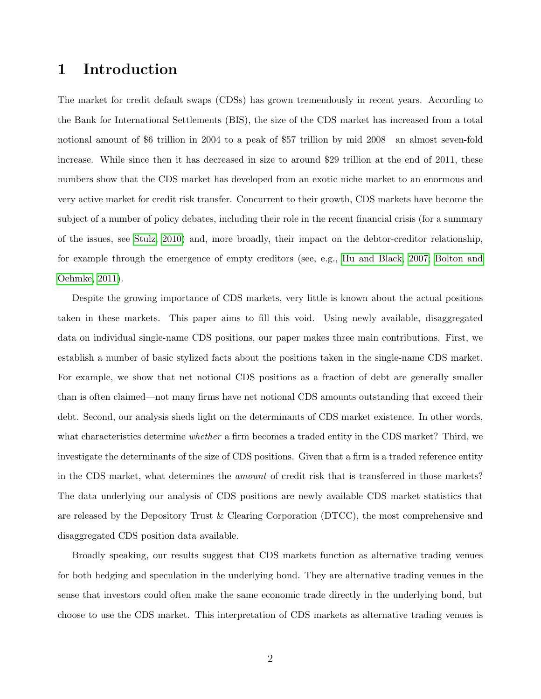## 1 Introduction

The market for credit default swaps (CDSs) has grown tremendously in recent years. According to the Bank for International Settlements (BIS), the size of the CDS market has increased from a total notional amount of \$6 trillion in 2004 to a peak of \$57 trillion by mid 2008—an almost seven-fold increase. While since then it has decreased in size to around \$29 trillion at the end of 2011, these numbers show that the CDS market has developed from an exotic niche market to an enormous and very active market for credit risk transfer. Concurrent to their growth, CDS markets have become the subject of a number of policy debates, including their role in the recent financial crisis (for a summary of the issues, see [Stulz, 2010\)](#page-38-0) and, more broadly, their impact on the debtor-creditor relationship, for example through the emergence of empty creditors (see, e.g., [Hu and Black, 2007;](#page-37-0) [Bolton and](#page-36-0) [Oehmke, 2011\)](#page-36-0).

Despite the growing importance of CDS markets, very little is known about the actual positions taken in these markets. This paper aims to fill this void. Using newly available, disaggregated data on individual single-name CDS positions, our paper makes three main contributions. First, we establish a number of basic stylized facts about the positions taken in the single-name CDS market. For example, we show that net notional CDS positions as a fraction of debt are generally smaller than is often claimed—not many firms have net notional CDS amounts outstanding that exceed their debt. Second, our analysis sheds light on the determinants of CDS market existence. In other words, what characteristics determine *whether* a firm becomes a traded entity in the CDS market? Third, we investigate the determinants of the size of CDS positions. Given that a firm is a traded reference entity in the CDS market, what determines the amount of credit risk that is transferred in those markets? The data underlying our analysis of CDS positions are newly available CDS market statistics that are released by the Depository Trust & Clearing Corporation (DTCC), the most comprehensive and disaggregated CDS position data available.

Broadly speaking, our results suggest that CDS markets function as alternative trading venues for both hedging and speculation in the underlying bond. They are alternative trading venues in the sense that investors could often make the same economic trade directly in the underlying bond, but choose to use the CDS market. This interpretation of CDS markets as alternative trading venues is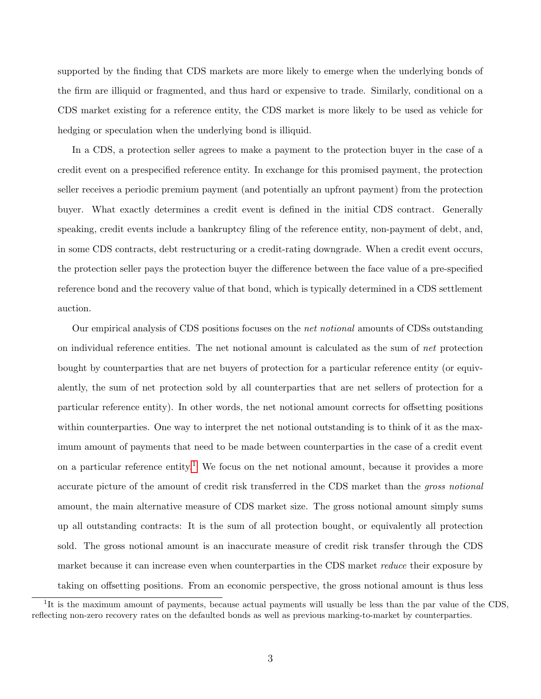supported by the finding that CDS markets are more likely to emerge when the underlying bonds of the firm are illiquid or fragmented, and thus hard or expensive to trade. Similarly, conditional on a CDS market existing for a reference entity, the CDS market is more likely to be used as vehicle for hedging or speculation when the underlying bond is illiquid.

In a CDS, a protection seller agrees to make a payment to the protection buyer in the case of a credit event on a prespecified reference entity. In exchange for this promised payment, the protection seller receives a periodic premium payment (and potentially an upfront payment) from the protection buyer. What exactly determines a credit event is defined in the initial CDS contract. Generally speaking, credit events include a bankruptcy filing of the reference entity, non-payment of debt, and, in some CDS contracts, debt restructuring or a credit-rating downgrade. When a credit event occurs, the protection seller pays the protection buyer the difference between the face value of a pre-specified reference bond and the recovery value of that bond, which is typically determined in a CDS settlement auction.

Our empirical analysis of CDS positions focuses on the net notional amounts of CDSs outstanding on individual reference entities. The net notional amount is calculated as the sum of net protection bought by counterparties that are net buyers of protection for a particular reference entity (or equivalently, the sum of net protection sold by all counterparties that are net sellers of protection for a particular reference entity). In other words, the net notional amount corrects for offsetting positions within counterparties. One way to interpret the net notional outstanding is to think of it as the maximum amount of payments that need to be made between counterparties in the case of a credit event on a particular reference entity.<sup>[1](#page-2-0)</sup> We focus on the net notional amount, because it provides a more accurate picture of the amount of credit risk transferred in the CDS market than the gross notional amount, the main alternative measure of CDS market size. The gross notional amount simply sums up all outstanding contracts: It is the sum of all protection bought, or equivalently all protection sold. The gross notional amount is an inaccurate measure of credit risk transfer through the CDS market because it can increase even when counterparties in the CDS market *reduce* their exposure by taking on offsetting positions. From an economic perspective, the gross notional amount is thus less

<span id="page-2-0"></span><sup>&</sup>lt;sup>1</sup>It is the maximum amount of payments, because actual payments will usually be less than the par value of the CDS, reflecting non-zero recovery rates on the defaulted bonds as well as previous marking-to-market by counterparties.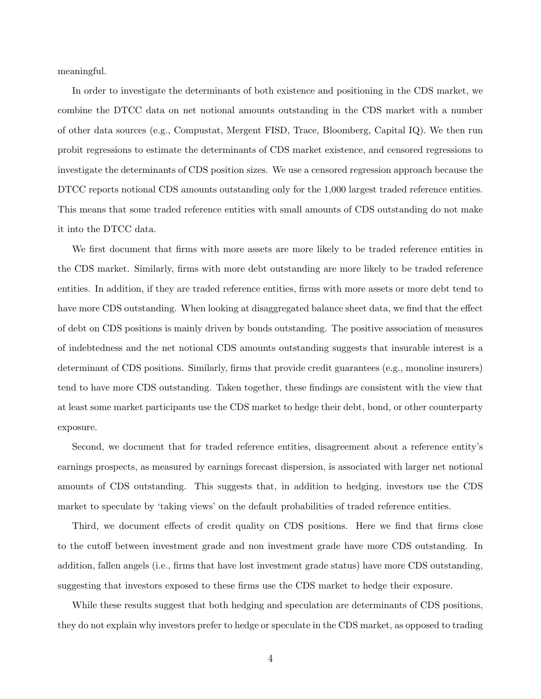meaningful.

In order to investigate the determinants of both existence and positioning in the CDS market, we combine the DTCC data on net notional amounts outstanding in the CDS market with a number of other data sources (e.g., Compustat, Mergent FISD, Trace, Bloomberg, Capital IQ). We then run probit regressions to estimate the determinants of CDS market existence, and censored regressions to investigate the determinants of CDS position sizes. We use a censored regression approach because the DTCC reports notional CDS amounts outstanding only for the 1,000 largest traded reference entities. This means that some traded reference entities with small amounts of CDS outstanding do not make it into the DTCC data.

We first document that firms with more assets are more likely to be traded reference entities in the CDS market. Similarly, firms with more debt outstanding are more likely to be traded reference entities. In addition, if they are traded reference entities, firms with more assets or more debt tend to have more CDS outstanding. When looking at disaggregated balance sheet data, we find that the effect of debt on CDS positions is mainly driven by bonds outstanding. The positive association of measures of indebtedness and the net notional CDS amounts outstanding suggests that insurable interest is a determinant of CDS positions. Similarly, firms that provide credit guarantees (e.g., monoline insurers) tend to have more CDS outstanding. Taken together, these findings are consistent with the view that at least some market participants use the CDS market to hedge their debt, bond, or other counterparty exposure.

Second, we document that for traded reference entities, disagreement about a reference entity's earnings prospects, as measured by earnings forecast dispersion, is associated with larger net notional amounts of CDS outstanding. This suggests that, in addition to hedging, investors use the CDS market to speculate by 'taking views' on the default probabilities of traded reference entities.

Third, we document effects of credit quality on CDS positions. Here we find that firms close to the cutoff between investment grade and non investment grade have more CDS outstanding. In addition, fallen angels (i.e., firms that have lost investment grade status) have more CDS outstanding, suggesting that investors exposed to these firms use the CDS market to hedge their exposure.

While these results suggest that both hedging and speculation are determinants of CDS positions, they do not explain why investors prefer to hedge or speculate in the CDS market, as opposed to trading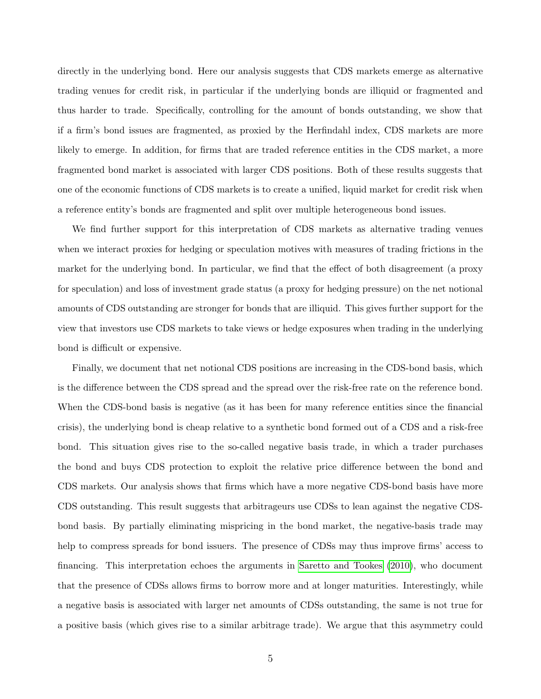directly in the underlying bond. Here our analysis suggests that CDS markets emerge as alternative trading venues for credit risk, in particular if the underlying bonds are illiquid or fragmented and thus harder to trade. Specifically, controlling for the amount of bonds outstanding, we show that if a firm's bond issues are fragmented, as proxied by the Herfindahl index, CDS markets are more likely to emerge. In addition, for firms that are traded reference entities in the CDS market, a more fragmented bond market is associated with larger CDS positions. Both of these results suggests that one of the economic functions of CDS markets is to create a unified, liquid market for credit risk when a reference entity's bonds are fragmented and split over multiple heterogeneous bond issues.

We find further support for this interpretation of CDS markets as alternative trading venues when we interact proxies for hedging or speculation motives with measures of trading frictions in the market for the underlying bond. In particular, we find that the effect of both disagreement (a proxy for speculation) and loss of investment grade status (a proxy for hedging pressure) on the net notional amounts of CDS outstanding are stronger for bonds that are illiquid. This gives further support for the view that investors use CDS markets to take views or hedge exposures when trading in the underlying bond is difficult or expensive.

Finally, we document that net notional CDS positions are increasing in the CDS-bond basis, which is the difference between the CDS spread and the spread over the risk-free rate on the reference bond. When the CDS-bond basis is negative (as it has been for many reference entities since the financial crisis), the underlying bond is cheap relative to a synthetic bond formed out of a CDS and a risk-free bond. This situation gives rise to the so-called negative basis trade, in which a trader purchases the bond and buys CDS protection to exploit the relative price difference between the bond and CDS markets. Our analysis shows that firms which have a more negative CDS-bond basis have more CDS outstanding. This result suggests that arbitrageurs use CDSs to lean against the negative CDSbond basis. By partially eliminating mispricing in the bond market, the negative-basis trade may help to compress spreads for bond issuers. The presence of CDSs may thus improve firms' access to financing. This interpretation echoes the arguments in [Saretto and Tookes](#page-38-1) [\(2010\)](#page-38-1), who document that the presence of CDSs allows firms to borrow more and at longer maturities. Interestingly, while a negative basis is associated with larger net amounts of CDSs outstanding, the same is not true for a positive basis (which gives rise to a similar arbitrage trade). We argue that this asymmetry could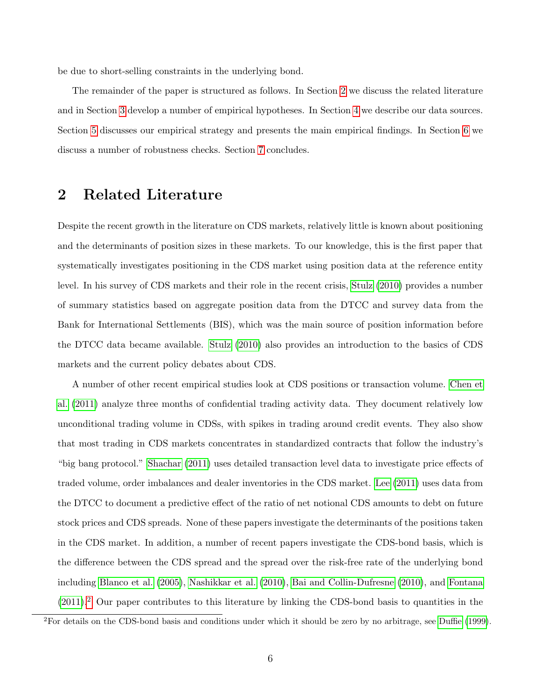be due to short-selling constraints in the underlying bond.

The remainder of the paper is structured as follows. In Section [2](#page-5-0) we discuss the related literature and in Section [3](#page-7-0) develop a number of empirical hypotheses. In Section [4](#page-8-0) we describe our data sources. Section [5](#page-15-0) discusses our empirical strategy and presents the main empirical findings. In Section [6](#page-34-0) we discuss a number of robustness checks. Section [7](#page-35-0) concludes.

## <span id="page-5-0"></span>2 Related Literature

Despite the recent growth in the literature on CDS markets, relatively little is known about positioning and the determinants of position sizes in these markets. To our knowledge, this is the first paper that systematically investigates positioning in the CDS market using position data at the reference entity level. In his survey of CDS markets and their role in the recent crisis, [Stulz](#page-38-0) [\(2010\)](#page-38-0) provides a number of summary statistics based on aggregate position data from the DTCC and survey data from the Bank for International Settlements (BIS), which was the main source of position information before the DTCC data became available. [Stulz](#page-38-0) [\(2010\)](#page-38-0) also provides an introduction to the basics of CDS markets and the current policy debates about CDS.

A number of other recent empirical studies look at CDS positions or transaction volume. [Chen et](#page-36-1) [al.](#page-36-1) [\(2011\)](#page-36-1) analyze three months of confidential trading activity data. They document relatively low unconditional trading volume in CDSs, with spikes in trading around credit events. They also show that most trading in CDS markets concentrates in standardized contracts that follow the industry's "big bang protocol." [Shachar](#page-38-2) [\(2011\)](#page-38-2) uses detailed transaction level data to investigate price effects of traded volume, order imbalances and dealer inventories in the CDS market. [Lee](#page-37-1) [\(2011\)](#page-37-1) uses data from the DTCC to document a predictive effect of the ratio of net notional CDS amounts to debt on future stock prices and CDS spreads. None of these papers investigate the determinants of the positions taken in the CDS market. In addition, a number of recent papers investigate the CDS-bond basis, which is the difference between the CDS spread and the spread over the risk-free rate of the underlying bond including [Blanco et al.](#page-36-2) [\(2005\)](#page-36-2), [Nashikkar et al.](#page-38-3) [\(2010\)](#page-38-3), [Bai and Collin-Dufresne](#page-36-3) [\(2010\)](#page-36-3), and [Fontana](#page-37-2)  $(2011).<sup>2</sup>$  $(2011).<sup>2</sup>$  $(2011).<sup>2</sup>$  $(2011).<sup>2</sup>$  Our paper contributes to this literature by linking the CDS-bond basis to quantities in the

<span id="page-5-1"></span> ${}^{2}$ For details on the CDS-bond basis and conditions under which it should be zero by no arbitrage, see [Duffie](#page-37-3) [\(1999\)](#page-37-3).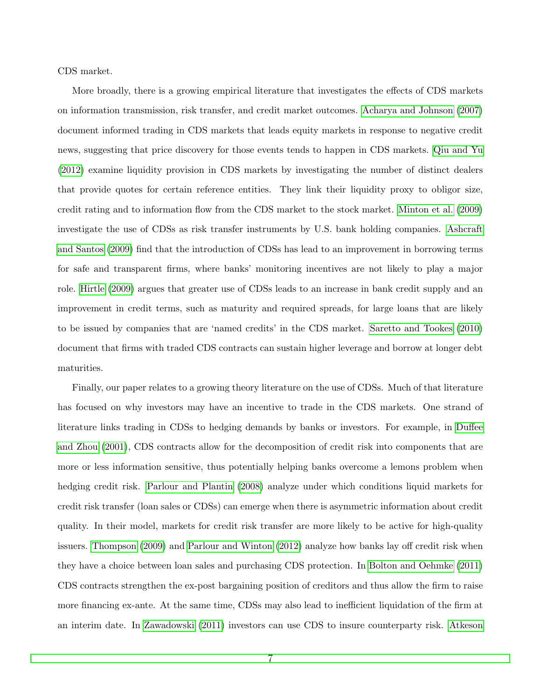CDS market.

More broadly, there is a growing empirical literature that investigates the effects of CDS markets on information transmission, risk transfer, and credit market outcomes. [Acharya and Johnson](#page-35-1) [\(2007\)](#page-35-1) document informed trading in CDS markets that leads equity markets in response to negative credit news, suggesting that price discovery for those events tends to happen in CDS markets. [Qiu and Yu](#page-38-4) [\(2012\)](#page-38-4) examine liquidity provision in CDS markets by investigating the number of distinct dealers that provide quotes for certain reference entities. They link their liquidity proxy to obligor size, credit rating and to information flow from the CDS market to the stock market. [Minton et al.](#page-37-4) [\(2009\)](#page-37-4) investigate the use of CDSs as risk transfer instruments by U.S. bank holding companies. [Ashcraft](#page-36-4) [and Santos](#page-36-4) [\(2009\)](#page-36-4) find that the introduction of CDSs has lead to an improvement in borrowing terms for safe and transparent firms, where banks' monitoring incentives are not likely to play a major role. [Hirtle](#page-37-5) [\(2009\)](#page-37-5) argues that greater use of CDSs leads to an increase in bank credit supply and an improvement in credit terms, such as maturity and required spreads, for large loans that are likely to be issued by companies that are 'named credits' in the CDS market. [Saretto and Tookes](#page-38-1) [\(2010\)](#page-38-1) document that firms with traded CDS contracts can sustain higher leverage and borrow at longer debt maturities.

Finally, our paper relates to a growing theory literature on the use of CDSs. Much of that literature has focused on why investors may have an incentive to trade in the CDS markets. One strand of literature links trading in CDSs to hedging demands by banks or investors. For example, in [Duffee](#page-37-6) [and Zhou](#page-37-6) [\(2001\)](#page-37-6), CDS contracts allow for the decomposition of credit risk into components that are more or less information sensitive, thus potentially helping banks overcome a lemons problem when hedging credit risk. [Parlour and Plantin](#page-38-5) [\(2008\)](#page-38-5) analyze under which conditions liquid markets for credit risk transfer (loan sales or CDSs) can emerge when there is asymmetric information about credit quality. In their model, markets for credit risk transfer are more likely to be active for high-quality issuers. [Thompson](#page-38-6) [\(2009\)](#page-38-6) and [Parlour and Winton](#page-38-7) [\(2012\)](#page-38-7) analyze how banks lay off credit risk when they have a choice between loan sales and purchasing CDS protection. In [Bolton and Oehmke](#page-36-0) [\(2011\)](#page-36-0) CDS contracts strengthen the ex-post bargaining position of creditors and thus allow the firm to raise more financing ex-ante. At the same time, CDSs may also lead to inefficient liquidation of the firm at an interim date. In [Zawadowski](#page-38-8) [\(2011\)](#page-38-8) investors can use CDS to insure counterparty risk. [Atkeson](#page-36-5)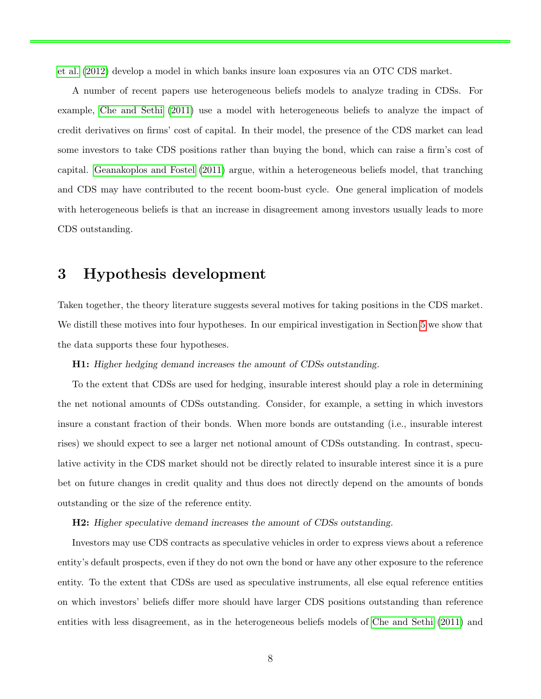[et al.](#page-36-5) [\(2012\)](#page-36-5) develop a model in which banks insure loan exposures via an OTC CDS market.

A number of recent papers use heterogeneous beliefs models to analyze trading in CDSs. For example, [Che and Sethi](#page-36-6) [\(2011\)](#page-36-6) use a model with heterogeneous beliefs to analyze the impact of credit derivatives on firms' cost of capital. In their model, the presence of the CDS market can lead some investors to take CDS positions rather than buying the bond, which can raise a firm's cost of capital. [Geanakoplos and Fostel](#page-37-7) [\(2011\)](#page-37-7) argue, within a heterogeneous beliefs model, that tranching and CDS may have contributed to the recent boom-bust cycle. One general implication of models with heterogeneous beliefs is that an increase in disagreement among investors usually leads to more CDS outstanding.

## <span id="page-7-0"></span>3 Hypothesis development

Taken together, the theory literature suggests several motives for taking positions in the CDS market. We distill these motives into four hypotheses. In our empirical investigation in Section [5](#page-15-0) we show that the data supports these four hypotheses.

#### H1: Higher hedging demand increases the amount of CDSs outstanding.

To the extent that CDSs are used for hedging, insurable interest should play a role in determining the net notional amounts of CDSs outstanding. Consider, for example, a setting in which investors insure a constant fraction of their bonds. When more bonds are outstanding (i.e., insurable interest rises) we should expect to see a larger net notional amount of CDSs outstanding. In contrast, speculative activity in the CDS market should not be directly related to insurable interest since it is a pure bet on future changes in credit quality and thus does not directly depend on the amounts of bonds outstanding or the size of the reference entity.

#### H2: Higher speculative demand increases the amount of CDSs outstanding.

Investors may use CDS contracts as speculative vehicles in order to express views about a reference entity's default prospects, even if they do not own the bond or have any other exposure to the reference entity. To the extent that CDSs are used as speculative instruments, all else equal reference entities on which investors' beliefs differ more should have larger CDS positions outstanding than reference entities with less disagreement, as in the heterogeneous beliefs models of [Che and Sethi](#page-36-6) [\(2011\)](#page-36-6) and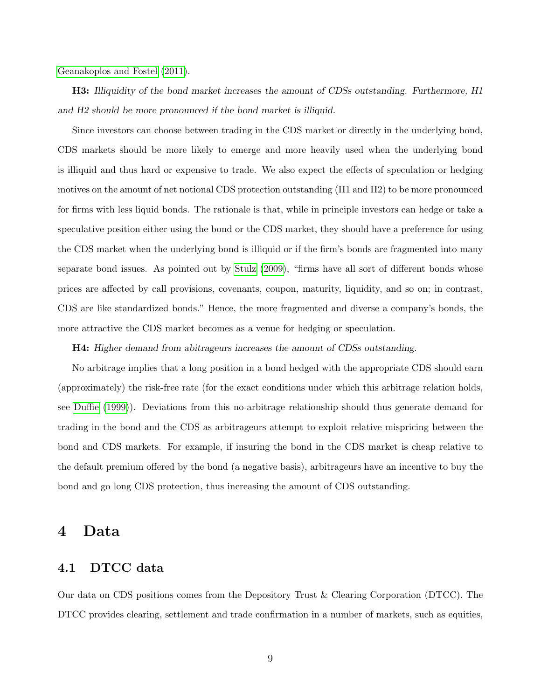[Geanakoplos and Fostel](#page-37-7) [\(2011\)](#page-37-7).

H3: Illiquidity of the bond market increases the amount of CDSs outstanding. Furthermore, H1 and H2 should be more pronounced if the bond market is illiquid.

Since investors can choose between trading in the CDS market or directly in the underlying bond, CDS markets should be more likely to emerge and more heavily used when the underlying bond is illiquid and thus hard or expensive to trade. We also expect the effects of speculation or hedging motives on the amount of net notional CDS protection outstanding (H1 and H2) to be more pronounced for firms with less liquid bonds. The rationale is that, while in principle investors can hedge or take a speculative position either using the bond or the CDS market, they should have a preference for using the CDS market when the underlying bond is illiquid or if the firm's bonds are fragmented into many separate bond issues. As pointed out by [Stulz](#page-38-9) [\(2009\)](#page-38-9), "firms have all sort of different bonds whose prices are affected by call provisions, covenants, coupon, maturity, liquidity, and so on; in contrast, CDS are like standardized bonds." Hence, the more fragmented and diverse a company's bonds, the more attractive the CDS market becomes as a venue for hedging or speculation.

H4: Higher demand from abitrageurs increases the amount of CDSs outstanding.

No arbitrage implies that a long position in a bond hedged with the appropriate CDS should earn (approximately) the risk-free rate (for the exact conditions under which this arbitrage relation holds, see [Duffie](#page-37-3) [\(1999\)](#page-37-3)). Deviations from this no-arbitrage relationship should thus generate demand for trading in the bond and the CDS as arbitrageurs attempt to exploit relative mispricing between the bond and CDS markets. For example, if insuring the bond in the CDS market is cheap relative to the default premium offered by the bond (a negative basis), arbitrageurs have an incentive to buy the bond and go long CDS protection, thus increasing the amount of CDS outstanding.

## <span id="page-8-0"></span>4 Data

## 4.1 DTCC data

Our data on CDS positions comes from the Depository Trust & Clearing Corporation (DTCC). The DTCC provides clearing, settlement and trade confirmation in a number of markets, such as equities,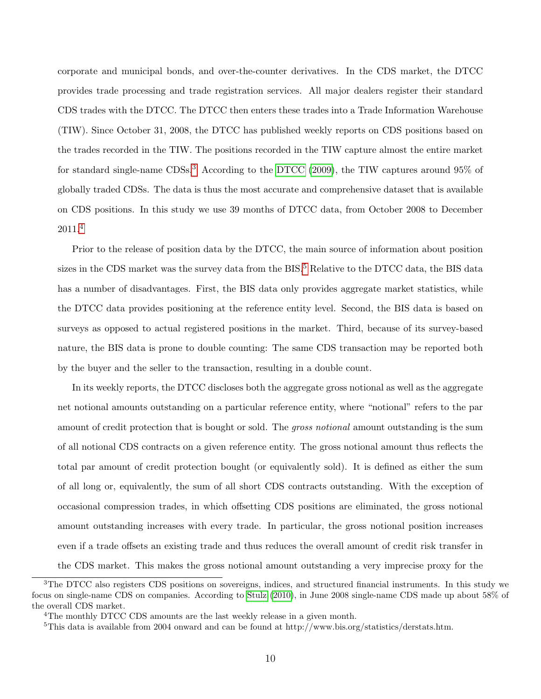corporate and municipal bonds, and over-the-counter derivatives. In the CDS market, the DTCC provides trade processing and trade registration services. All major dealers register their standard CDS trades with the DTCC. The DTCC then enters these trades into a Trade Information Warehouse (TIW). Since October 31, 2008, the DTCC has published weekly reports on CDS positions based on the trades recorded in the TIW. The positions recorded in the TIW capture almost the entire market for standard single-name CDSs.<sup>[3](#page-9-0)</sup> According to the [DTCC](#page-36-7) [\(2009\)](#page-36-7), the TIW captures around 95% of globally traded CDSs. The data is thus the most accurate and comprehensive dataset that is available on CDS positions. In this study we use 39 months of DTCC data, from October 2008 to December 2011.[4](#page-9-1)

Prior to the release of position data by the DTCC, the main source of information about position sizes in the CDS market was the survey data from the  $BIS$ .<sup>[5](#page-9-2)</sup> Relative to the DTCC data, the BIS data has a number of disadvantages. First, the BIS data only provides aggregate market statistics, while the DTCC data provides positioning at the reference entity level. Second, the BIS data is based on surveys as opposed to actual registered positions in the market. Third, because of its survey-based nature, the BIS data is prone to double counting: The same CDS transaction may be reported both by the buyer and the seller to the transaction, resulting in a double count.

In its weekly reports, the DTCC discloses both the aggregate gross notional as well as the aggregate net notional amounts outstanding on a particular reference entity, where "notional" refers to the par amount of credit protection that is bought or sold. The *gross notional* amount outstanding is the sum of all notional CDS contracts on a given reference entity. The gross notional amount thus reflects the total par amount of credit protection bought (or equivalently sold). It is defined as either the sum of all long or, equivalently, the sum of all short CDS contracts outstanding. With the exception of occasional compression trades, in which offsetting CDS positions are eliminated, the gross notional amount outstanding increases with every trade. In particular, the gross notional position increases even if a trade offsets an existing trade and thus reduces the overall amount of credit risk transfer in the CDS market. This makes the gross notional amount outstanding a very imprecise proxy for the

<span id="page-9-0"></span><sup>&</sup>lt;sup>3</sup>The DTCC also registers CDS positions on sovereigns, indices, and structured financial instruments. In this study we focus on single-name CDS on companies. According to [Stulz](#page-38-0) [\(2010\)](#page-38-0), in June 2008 single-name CDS made up about 58% of the overall CDS market.

<span id="page-9-1"></span><sup>4</sup>The monthly DTCC CDS amounts are the last weekly release in a given month.

<span id="page-9-2"></span><sup>&</sup>lt;sup>5</sup>This data is available from 2004 onward and can be found at http://www.bis.org/statistics/derstats.htm.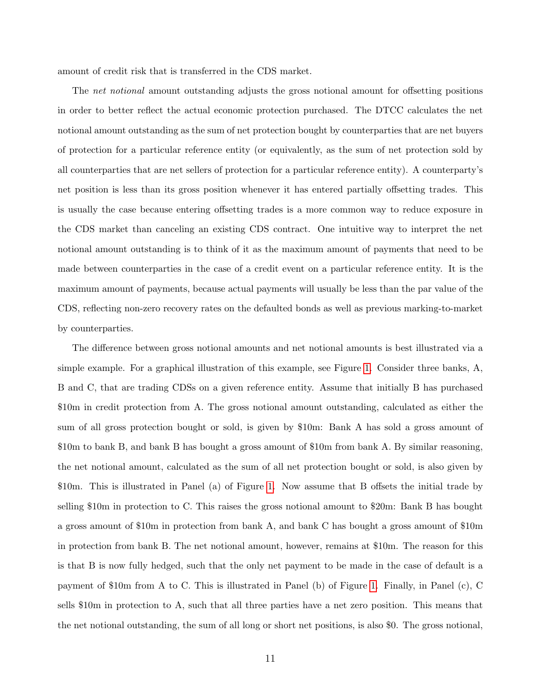amount of credit risk that is transferred in the CDS market.

The net notional amount outstanding adjusts the gross notional amount for offsetting positions in order to better reflect the actual economic protection purchased. The DTCC calculates the net notional amount outstanding as the sum of net protection bought by counterparties that are net buyers of protection for a particular reference entity (or equivalently, as the sum of net protection sold by all counterparties that are net sellers of protection for a particular reference entity). A counterparty's net position is less than its gross position whenever it has entered partially offsetting trades. This is usually the case because entering offsetting trades is a more common way to reduce exposure in the CDS market than canceling an existing CDS contract. One intuitive way to interpret the net notional amount outstanding is to think of it as the maximum amount of payments that need to be made between counterparties in the case of a credit event on a particular reference entity. It is the maximum amount of payments, because actual payments will usually be less than the par value of the CDS, reflecting non-zero recovery rates on the defaulted bonds as well as previous marking-to-market by counterparties.

The difference between gross notional amounts and net notional amounts is best illustrated via a simple example. For a graphical illustration of this example, see Figure [1.](#page-39-0) Consider three banks, A, B and C, that are trading CDSs on a given reference entity. Assume that initially B has purchased \$10m in credit protection from A. The gross notional amount outstanding, calculated as either the sum of all gross protection bought or sold, is given by \$10m: Bank A has sold a gross amount of \$10m to bank B, and bank B has bought a gross amount of \$10m from bank A. By similar reasoning, the net notional amount, calculated as the sum of all net protection bought or sold, is also given by \$10m. This is illustrated in Panel (a) of Figure [1.](#page-39-0) Now assume that B offsets the initial trade by selling \$10m in protection to C. This raises the gross notional amount to \$20m: Bank B has bought a gross amount of \$10m in protection from bank A, and bank C has bought a gross amount of \$10m in protection from bank B. The net notional amount, however, remains at \$10m. The reason for this is that B is now fully hedged, such that the only net payment to be made in the case of default is a payment of \$10m from A to C. This is illustrated in Panel (b) of Figure [1.](#page-39-0) Finally, in Panel (c), C sells \$10m in protection to A, such that all three parties have a net zero position. This means that the net notional outstanding, the sum of all long or short net positions, is also \$0. The gross notional,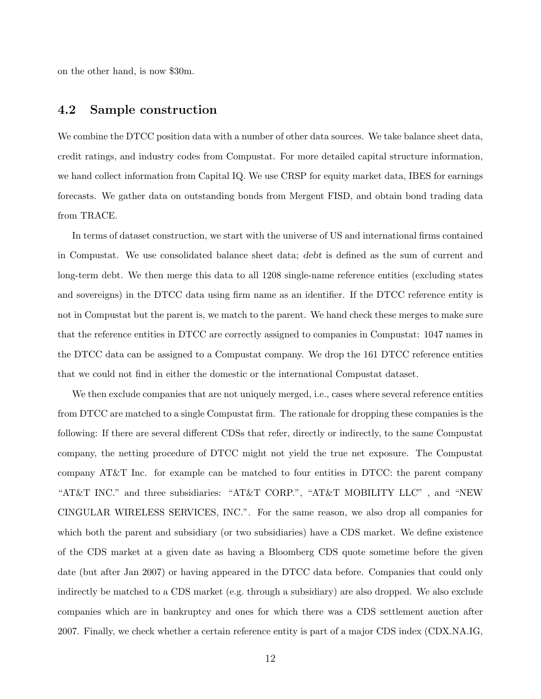on the other hand, is now \$30m.

## <span id="page-11-0"></span>4.2 Sample construction

We combine the DTCC position data with a number of other data sources. We take balance sheet data, credit ratings, and industry codes from Compustat. For more detailed capital structure information, we hand collect information from Capital IQ. We use CRSP for equity market data, IBES for earnings forecasts. We gather data on outstanding bonds from Mergent FISD, and obtain bond trading data from TRACE.

In terms of dataset construction, we start with the universe of US and international firms contained in Compustat. We use consolidated balance sheet data; debt is defined as the sum of current and long-term debt. We then merge this data to all 1208 single-name reference entities (excluding states and sovereigns) in the DTCC data using firm name as an identifier. If the DTCC reference entity is not in Compustat but the parent is, we match to the parent. We hand check these merges to make sure that the reference entities in DTCC are correctly assigned to companies in Compustat: 1047 names in the DTCC data can be assigned to a Compustat company. We drop the 161 DTCC reference entities that we could not find in either the domestic or the international Compustat dataset.

We then exclude companies that are not uniquely merged, i.e., cases where several reference entities from DTCC are matched to a single Compustat firm. The rationale for dropping these companies is the following: If there are several different CDSs that refer, directly or indirectly, to the same Compustat company, the netting procedure of DTCC might not yield the true net exposure. The Compustat company AT&T Inc. for example can be matched to four entities in DTCC: the parent company "AT&T INC." and three subsidiaries: "AT&T CORP.", "AT&T MOBILITY LLC" , and "NEW CINGULAR WIRELESS SERVICES, INC.". For the same reason, we also drop all companies for which both the parent and subsidiary (or two subsidiaries) have a CDS market. We define existence of the CDS market at a given date as having a Bloomberg CDS quote sometime before the given date (but after Jan 2007) or having appeared in the DTCC data before. Companies that could only indirectly be matched to a CDS market (e.g. through a subsidiary) are also dropped. We also exclude companies which are in bankruptcy and ones for which there was a CDS settlement auction after 2007. Finally, we check whether a certain reference entity is part of a major CDS index (CDX.NA.IG,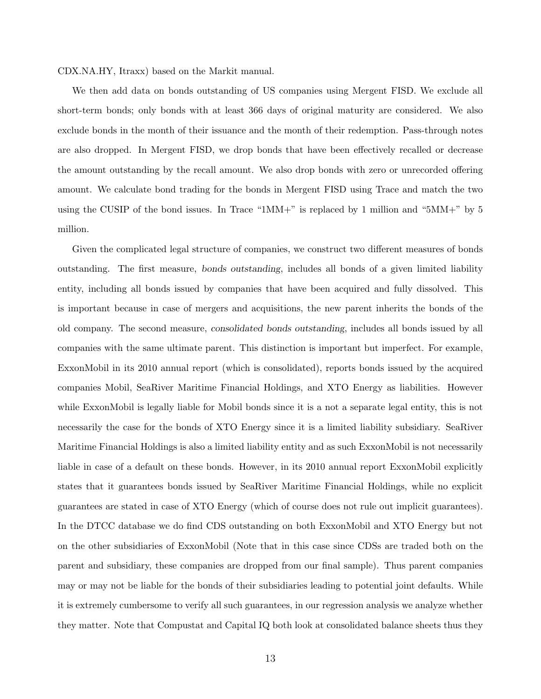CDX.NA.HY, Itraxx) based on the Markit manual.

We then add data on bonds outstanding of US companies using Mergent FISD. We exclude all short-term bonds; only bonds with at least 366 days of original maturity are considered. We also exclude bonds in the month of their issuance and the month of their redemption. Pass-through notes are also dropped. In Mergent FISD, we drop bonds that have been effectively recalled or decrease the amount outstanding by the recall amount. We also drop bonds with zero or unrecorded offering amount. We calculate bond trading for the bonds in Mergent FISD using Trace and match the two using the CUSIP of the bond issues. In Trace "1MM+" is replaced by 1 million and "5MM+" by 5 million.

Given the complicated legal structure of companies, we construct two different measures of bonds outstanding. The first measure, bonds outstanding, includes all bonds of a given limited liability entity, including all bonds issued by companies that have been acquired and fully dissolved. This is important because in case of mergers and acquisitions, the new parent inherits the bonds of the old company. The second measure, consolidated bonds outstanding, includes all bonds issued by all companies with the same ultimate parent. This distinction is important but imperfect. For example, ExxonMobil in its 2010 annual report (which is consolidated), reports bonds issued by the acquired companies Mobil, SeaRiver Maritime Financial Holdings, and XTO Energy as liabilities. However while ExxonMobil is legally liable for Mobil bonds since it is a not a separate legal entity, this is not necessarily the case for the bonds of XTO Energy since it is a limited liability subsidiary. SeaRiver Maritime Financial Holdings is also a limited liability entity and as such ExxonMobil is not necessarily liable in case of a default on these bonds. However, in its 2010 annual report ExxonMobil explicitly states that it guarantees bonds issued by SeaRiver Maritime Financial Holdings, while no explicit guarantees are stated in case of XTO Energy (which of course does not rule out implicit guarantees). In the DTCC database we do find CDS outstanding on both ExxonMobil and XTO Energy but not on the other subsidiaries of ExxonMobil (Note that in this case since CDSs are traded both on the parent and subsidiary, these companies are dropped from our final sample). Thus parent companies may or may not be liable for the bonds of their subsidiaries leading to potential joint defaults. While it is extremely cumbersome to verify all such guarantees, in our regression analysis we analyze whether they matter. Note that Compustat and Capital IQ both look at consolidated balance sheets thus they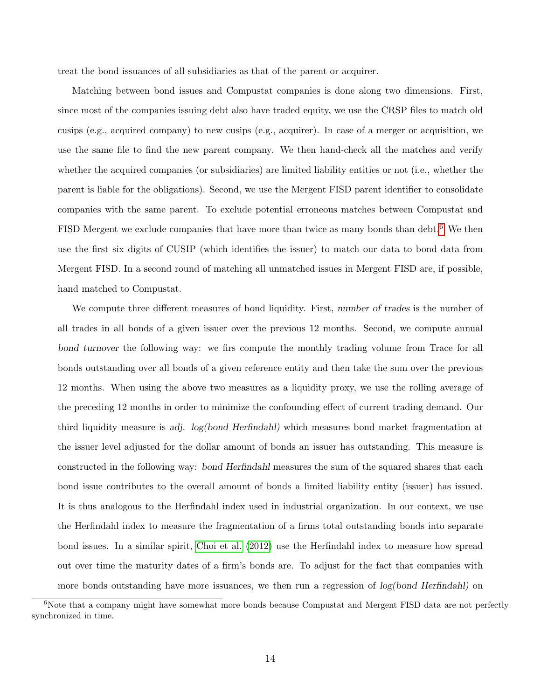treat the bond issuances of all subsidiaries as that of the parent or acquirer.

Matching between bond issues and Compustat companies is done along two dimensions. First, since most of the companies issuing debt also have traded equity, we use the CRSP files to match old cusips (e.g., acquired company) to new cusips (e.g., acquirer). In case of a merger or acquisition, we use the same file to find the new parent company. We then hand-check all the matches and verify whether the acquired companies (or subsidiaries) are limited liability entities or not (i.e., whether the parent is liable for the obligations). Second, we use the Mergent FISD parent identifier to consolidate companies with the same parent. To exclude potential erroneous matches between Compustat and FISD Mergent we exclude companies that have more than twice as many bonds than debt.<sup>[6](#page-13-0)</sup> We then use the first six digits of CUSIP (which identifies the issuer) to match our data to bond data from Mergent FISD. In a second round of matching all unmatched issues in Mergent FISD are, if possible, hand matched to Compustat.

We compute three different measures of bond liquidity. First, number of trades is the number of all trades in all bonds of a given issuer over the previous 12 months. Second, we compute annual bond turnover the following way: we firs compute the monthly trading volume from Trace for all bonds outstanding over all bonds of a given reference entity and then take the sum over the previous 12 months. When using the above two measures as a liquidity proxy, we use the rolling average of the preceding 12 months in order to minimize the confounding effect of current trading demand. Our third liquidity measure is adj. log(bond Herfindahl) which measures bond market fragmentation at the issuer level adjusted for the dollar amount of bonds an issuer has outstanding. This measure is constructed in the following way: bond Herfindahl measures the sum of the squared shares that each bond issue contributes to the overall amount of bonds a limited liability entity (issuer) has issued. It is thus analogous to the Herfindahl index used in industrial organization. In our context, we use the Herfindahl index to measure the fragmentation of a firms total outstanding bonds into separate bond issues. In a similar spirit, [Choi et al.](#page-36-8) [\(2012\)](#page-36-8) use the Herfindahl index to measure how spread out over time the maturity dates of a firm's bonds are. To adjust for the fact that companies with more bonds outstanding have more issuances, we then run a regression of log(bond Herfindahl) on

<span id="page-13-0"></span><sup>&</sup>lt;sup>6</sup>Note that a company might have somewhat more bonds because Compustat and Mergent FISD data are not perfectly synchronized in time.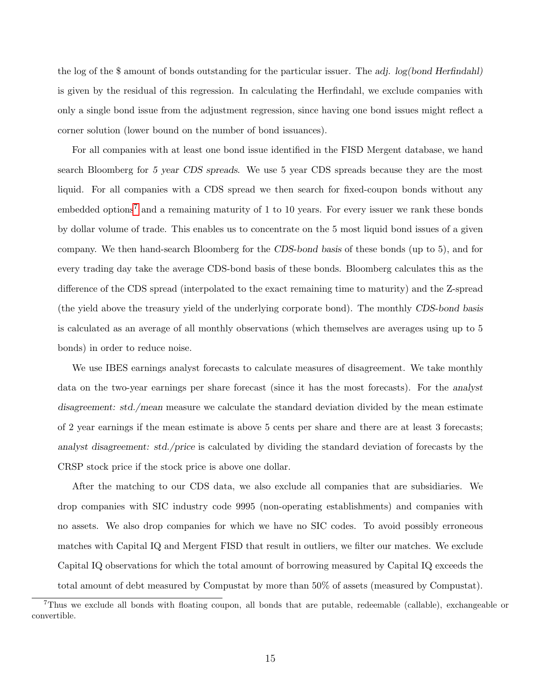the log of the \$ amount of bonds outstanding for the particular issuer. The adj. log(bond Herfindahl) is given by the residual of this regression. In calculating the Herfindahl, we exclude companies with only a single bond issue from the adjustment regression, since having one bond issues might reflect a corner solution (lower bound on the number of bond issuances).

For all companies with at least one bond issue identified in the FISD Mergent database, we hand search Bloomberg for 5 year CDS spreads. We use 5 year CDS spreads because they are the most liquid. For all companies with a CDS spread we then search for fixed-coupon bonds without any embedded options<sup>[7](#page-14-0)</sup> and a remaining maturity of 1 to 10 years. For every issuer we rank these bonds by dollar volume of trade. This enables us to concentrate on the 5 most liquid bond issues of a given company. We then hand-search Bloomberg for the CDS-bond basis of these bonds (up to 5), and for every trading day take the average CDS-bond basis of these bonds. Bloomberg calculates this as the difference of the CDS spread (interpolated to the exact remaining time to maturity) and the Z-spread (the yield above the treasury yield of the underlying corporate bond). The monthly CDS-bond basis is calculated as an average of all monthly observations (which themselves are averages using up to 5 bonds) in order to reduce noise.

We use IBES earnings analyst forecasts to calculate measures of disagreement. We take monthly data on the two-year earnings per share forecast (since it has the most forecasts). For the analyst disagreement: std./mean measure we calculate the standard deviation divided by the mean estimate of 2 year earnings if the mean estimate is above 5 cents per share and there are at least 3 forecasts; analyst disagreement: std./price is calculated by dividing the standard deviation of forecasts by the CRSP stock price if the stock price is above one dollar.

After the matching to our CDS data, we also exclude all companies that are subsidiaries. We drop companies with SIC industry code 9995 (non-operating establishments) and companies with no assets. We also drop companies for which we have no SIC codes. To avoid possibly erroneous matches with Capital IQ and Mergent FISD that result in outliers, we filter our matches. We exclude Capital IQ observations for which the total amount of borrowing measured by Capital IQ exceeds the total amount of debt measured by Compustat by more than 50% of assets (measured by Compustat).

<span id="page-14-0"></span><sup>7</sup>Thus we exclude all bonds with floating coupon, all bonds that are putable, redeemable (callable), exchangeable or convertible.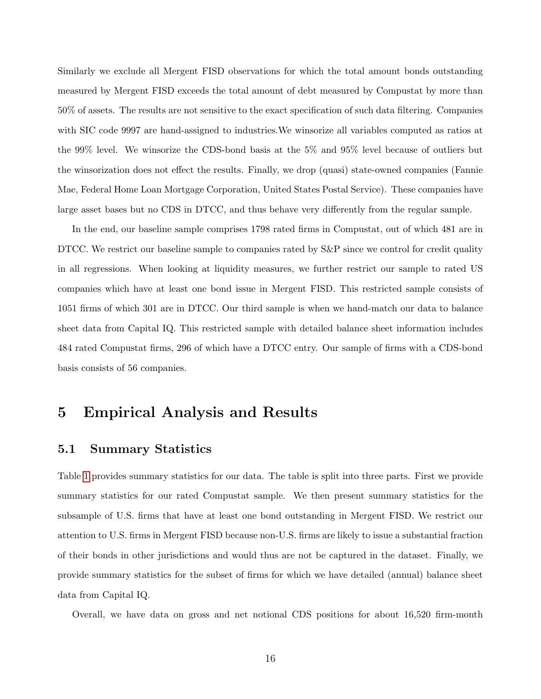Similarly we exclude all Mergent FISD observations for which the total amount bonds outstanding measured by Mergent FISD exceeds the total amount of debt measured by Compustat by more than 50% of assets. The results are not sensitive to the exact specification of such data filtering. Companies with SIC code 9997 are hand-assigned to industries.We winsorize all variables computed as ratios at the 99% level. We winsorize the CDS-bond basis at the 5% and 95% level because of outliers but the winsorization does not effect the results. Finally, we drop (quasi) state-owned companies (Fannie Mae, Federal Home Loan Mortgage Corporation, United States Postal Service). These companies have large asset bases but no CDS in DTCC, and thus behave very differently from the regular sample.

In the end, our baseline sample comprises 1798 rated firms in Compustat, out of which 481 are in DTCC. We restrict our baseline sample to companies rated by S&P since we control for credit quality in all regressions. When looking at liquidity measures, we further restrict our sample to rated US companies which have at least one bond issue in Mergent FISD. This restricted sample consists of 1051 firms of which 301 are in DTCC. Our third sample is when we hand-match our data to balance sheet data from Capital IQ. This restricted sample with detailed balance sheet information includes 484 rated Compustat firms, 296 of which have a DTCC entry. Our sample of firms with a CDS-bond basis consists of 56 companies.

## <span id="page-15-0"></span>5 Empirical Analysis and Results

### 5.1 Summary Statistics

Table [1](#page-43-0) provides summary statistics for our data. The table is split into three parts. First we provide summary statistics for our rated Compustat sample. We then present summary statistics for the subsample of U.S. firms that have at least one bond outstanding in Mergent FISD. We restrict our attention to U.S. firms in Mergent FISD because non-U.S. firms are likely to issue a substantial fraction of their bonds in other jurisdictions and would thus are not be captured in the dataset. Finally, we provide summary statistics for the subset of firms for which we have detailed (annual) balance sheet data from Capital IQ.

Overall, we have data on gross and net notional CDS positions for about 16,520 firm-month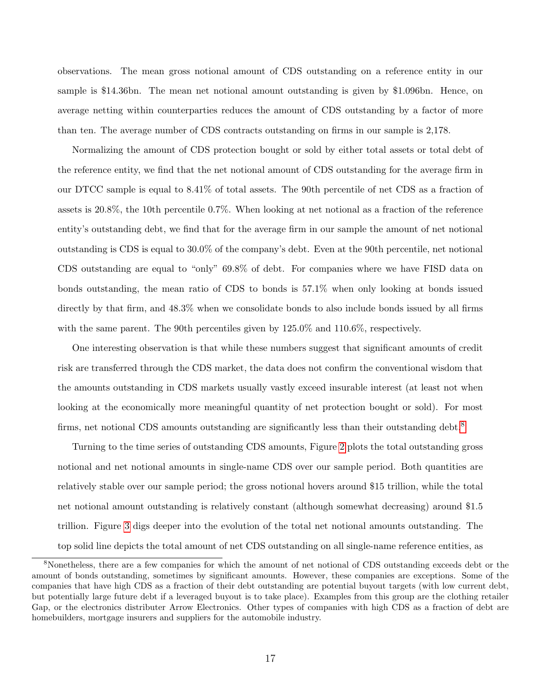observations. The mean gross notional amount of CDS outstanding on a reference entity in our sample is \$14.36bn. The mean net notional amount outstanding is given by \$1.096bn. Hence, on average netting within counterparties reduces the amount of CDS outstanding by a factor of more than ten. The average number of CDS contracts outstanding on firms in our sample is 2,178.

Normalizing the amount of CDS protection bought or sold by either total assets or total debt of the reference entity, we find that the net notional amount of CDS outstanding for the average firm in our DTCC sample is equal to 8.41% of total assets. The 90th percentile of net CDS as a fraction of assets is 20.8%, the 10th percentile 0.7%. When looking at net notional as a fraction of the reference entity's outstanding debt, we find that for the average firm in our sample the amount of net notional outstanding is CDS is equal to 30.0% of the company's debt. Even at the 90th percentile, net notional CDS outstanding are equal to "only" 69.8% of debt. For companies where we have FISD data on bonds outstanding, the mean ratio of CDS to bonds is 57.1% when only looking at bonds issued directly by that firm, and 48.3% when we consolidate bonds to also include bonds issued by all firms with the same parent. The 90th percentiles given by 125.0% and 110.6%, respectively.

One interesting observation is that while these numbers suggest that significant amounts of credit risk are transferred through the CDS market, the data does not confirm the conventional wisdom that the amounts outstanding in CDS markets usually vastly exceed insurable interest (at least not when looking at the economically more meaningful quantity of net protection bought or sold). For most firms, net notional CDS amounts outstanding are significantly less than their outstanding debt.<sup>[8](#page-16-0)</sup>

Turning to the time series of outstanding CDS amounts, Figure [2](#page-40-0) plots the total outstanding gross notional and net notional amounts in single-name CDS over our sample period. Both quantities are relatively stable over our sample period; the gross notional hovers around \$15 trillion, while the total net notional amount outstanding is relatively constant (although somewhat decreasing) around \$1.5 trillion. Figure [3](#page-40-1) digs deeper into the evolution of the total net notional amounts outstanding. The top solid line depicts the total amount of net CDS outstanding on all single-name reference entities, as

<span id="page-16-0"></span><sup>8</sup>Nonetheless, there are a few companies for which the amount of net notional of CDS outstanding exceeds debt or the amount of bonds outstanding, sometimes by significant amounts. However, these companies are exceptions. Some of the companies that have high CDS as a fraction of their debt outstanding are potential buyout targets (with low current debt, but potentially large future debt if a leveraged buyout is to take place). Examples from this group are the clothing retailer Gap, or the electronics distributer Arrow Electronics. Other types of companies with high CDS as a fraction of debt are homebuilders, mortgage insurers and suppliers for the automobile industry.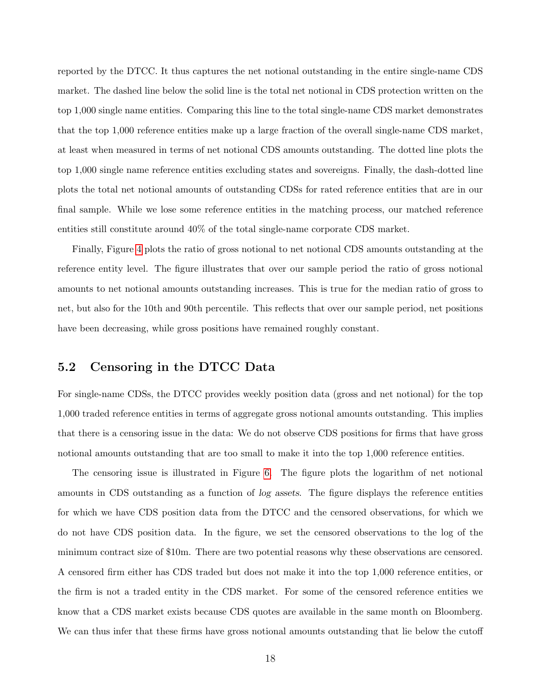reported by the DTCC. It thus captures the net notional outstanding in the entire single-name CDS market. The dashed line below the solid line is the total net notional in CDS protection written on the top 1,000 single name entities. Comparing this line to the total single-name CDS market demonstrates that the top 1,000 reference entities make up a large fraction of the overall single-name CDS market, at least when measured in terms of net notional CDS amounts outstanding. The dotted line plots the top 1,000 single name reference entities excluding states and sovereigns. Finally, the dash-dotted line plots the total net notional amounts of outstanding CDSs for rated reference entities that are in our final sample. While we lose some reference entities in the matching process, our matched reference entities still constitute around 40% of the total single-name corporate CDS market.

Finally, Figure [4](#page-41-0) plots the ratio of gross notional to net notional CDS amounts outstanding at the reference entity level. The figure illustrates that over our sample period the ratio of gross notional amounts to net notional amounts outstanding increases. This is true for the median ratio of gross to net, but also for the 10th and 90th percentile. This reflects that over our sample period, net positions have been decreasing, while gross positions have remained roughly constant.

## <span id="page-17-0"></span>5.2 Censoring in the DTCC Data

For single-name CDSs, the DTCC provides weekly position data (gross and net notional) for the top 1,000 traded reference entities in terms of aggregate gross notional amounts outstanding. This implies that there is a censoring issue in the data: We do not observe CDS positions for firms that have gross notional amounts outstanding that are too small to make it into the top 1,000 reference entities.

The censoring issue is illustrated in Figure [6.](#page-42-0) The figure plots the logarithm of net notional amounts in CDS outstanding as a function of log assets. The figure displays the reference entities for which we have CDS position data from the DTCC and the censored observations, for which we do not have CDS position data. In the figure, we set the censored observations to the log of the minimum contract size of \$10m. There are two potential reasons why these observations are censored. A censored firm either has CDS traded but does not make it into the top 1,000 reference entities, or the firm is not a traded entity in the CDS market. For some of the censored reference entities we know that a CDS market exists because CDS quotes are available in the same month on Bloomberg. We can thus infer that these firms have gross notional amounts outstanding that lie below the cutoff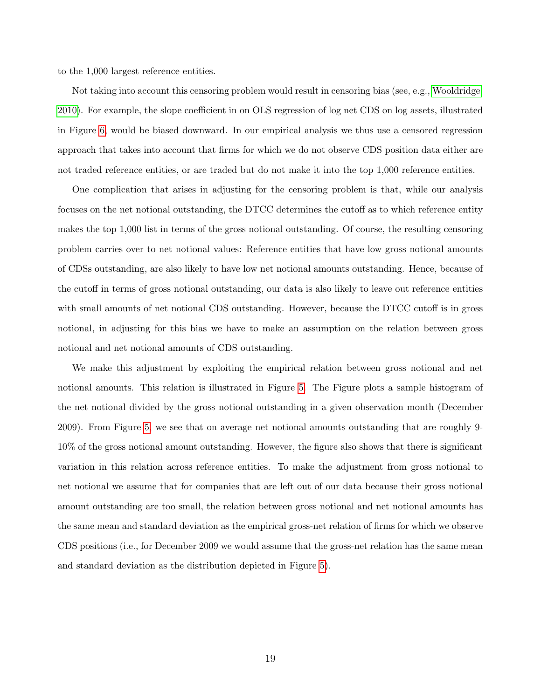to the 1,000 largest reference entities.

Not taking into account this censoring problem would result in censoring bias (see, e.g., [Wooldridge,](#page-38-10) [2010\)](#page-38-10). For example, the slope coefficient in on OLS regression of log net CDS on log assets, illustrated in Figure [6,](#page-42-0) would be biased downward. In our empirical analysis we thus use a censored regression approach that takes into account that firms for which we do not observe CDS position data either are not traded reference entities, or are traded but do not make it into the top 1,000 reference entities.

One complication that arises in adjusting for the censoring problem is that, while our analysis focuses on the net notional outstanding, the DTCC determines the cutoff as to which reference entity makes the top 1,000 list in terms of the gross notional outstanding. Of course, the resulting censoring problem carries over to net notional values: Reference entities that have low gross notional amounts of CDSs outstanding, are also likely to have low net notional amounts outstanding. Hence, because of the cutoff in terms of gross notional outstanding, our data is also likely to leave out reference entities with small amounts of net notional CDS outstanding. However, because the DTCC cutoff is in gross notional, in adjusting for this bias we have to make an assumption on the relation between gross notional and net notional amounts of CDS outstanding.

We make this adjustment by exploiting the empirical relation between gross notional and net notional amounts. This relation is illustrated in Figure [5.](#page-41-1) The Figure plots a sample histogram of the net notional divided by the gross notional outstanding in a given observation month (December 2009). From Figure [5,](#page-41-1) we see that on average net notional amounts outstanding that are roughly 9- 10% of the gross notional amount outstanding. However, the figure also shows that there is significant variation in this relation across reference entities. To make the adjustment from gross notional to net notional we assume that for companies that are left out of our data because their gross notional amount outstanding are too small, the relation between gross notional and net notional amounts has the same mean and standard deviation as the empirical gross-net relation of firms for which we observe CDS positions (i.e., for December 2009 we would assume that the gross-net relation has the same mean and standard deviation as the distribution depicted in Figure [5\)](#page-41-1).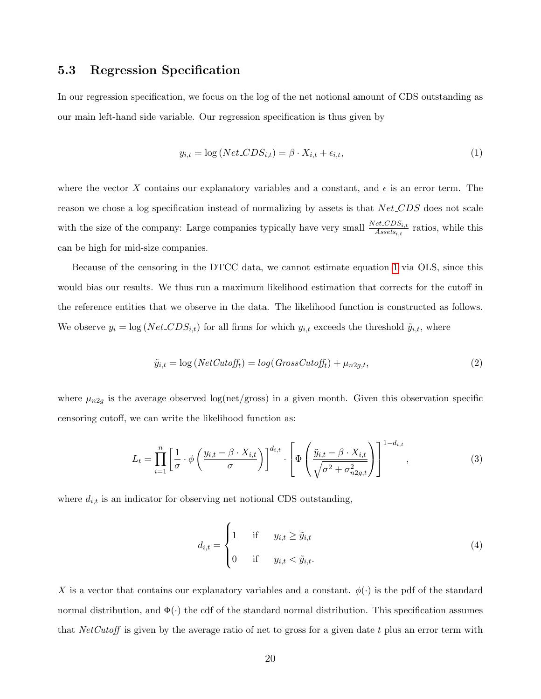## 5.3 Regression Specification

In our regression specification, we focus on the log of the net notional amount of CDS outstanding as our main left-hand side variable. Our regression specification is thus given by

<span id="page-19-0"></span>
$$
y_{i,t} = \log(Net\_CDS_{i,t}) = \beta \cdot X_{i,t} + \epsilon_{i,t},\tag{1}
$$

where the vector X contains our explanatory variables and a constant, and  $\epsilon$  is an error term. The reason we chose a log specification instead of normalizing by assets is that  $Net\_CDS$  does not scale with the size of the company: Large companies typically have very small  $\frac{Net\text{ }CDS_{i,t}}{Assets_{i,t}}$  ratios, while this can be high for mid-size companies.

Because of the censoring in the DTCC data, we cannot estimate equation [1](#page-19-0) via OLS, since this would bias our results. We thus run a maximum likelihood estimation that corrects for the cutoff in the reference entities that we observe in the data. The likelihood function is constructed as follows. We observe  $y_i = \log(Net\_CDS_{i,t})$  for all firms for which  $y_{i,t}$  exceeds the threshold  $\tilde{y}_{i,t}$ , where

$$
\tilde{y}_{i,t} = \log(NetCutoff_t) = \log(GrossCutoff_t) + \mu_{n2g,t},\tag{2}
$$

where  $\mu_{n2g}$  is the average observed log(net/gross) in a given month. Given this observation specific censoring cutoff, we can write the likelihood function as:

$$
L_t = \prod_{i=1}^n \left[ \frac{1}{\sigma} \cdot \phi \left( \frac{y_{i,t} - \beta \cdot X_{i,t}}{\sigma} \right) \right]^{d_{i,t}} \cdot \left[ \Phi \left( \frac{\tilde{y}_{i,t} - \beta \cdot X_{i,t}}{\sqrt{\sigma^2 + \sigma_{n2g,t}^2}} \right) \right]^{1 - d_{i,t}}, \tag{3}
$$

where  $d_{i,t}$  is an indicator for observing net notional CDS outstanding,

$$
d_{i,t} = \begin{cases} 1 & \text{if } y_{i,t} \ge \tilde{y}_{i,t} \\ 0 & \text{if } y_{i,t} < \tilde{y}_{i,t}. \end{cases}
$$
 (4)

X is a vector that contains our explanatory variables and a constant.  $\phi(\cdot)$  is the pdf of the standard normal distribution, and  $\Phi(\cdot)$  the cdf of the standard normal distribution. This specification assumes that  $NetCutoff$  is given by the average ratio of net to gross for a given date t plus an error term with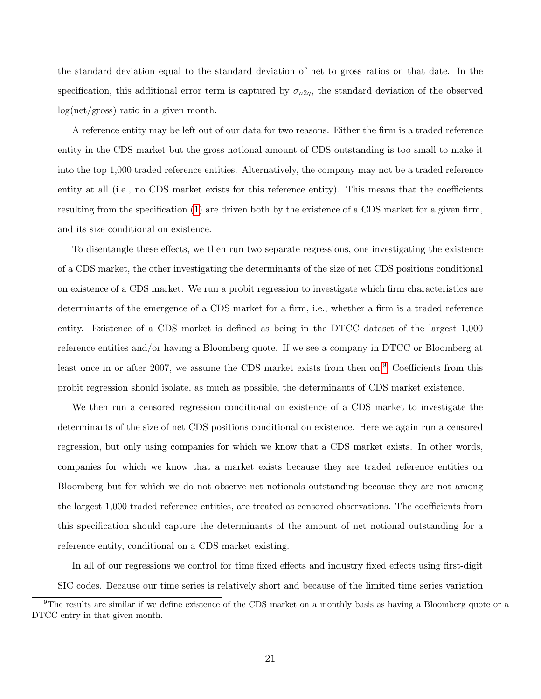the standard deviation equal to the standard deviation of net to gross ratios on that date. In the specification, this additional error term is captured by  $\sigma_{n2g}$ , the standard deviation of the observed log(net/gross) ratio in a given month.

A reference entity may be left out of our data for two reasons. Either the firm is a traded reference entity in the CDS market but the gross notional amount of CDS outstanding is too small to make it into the top 1,000 traded reference entities. Alternatively, the company may not be a traded reference entity at all (i.e., no CDS market exists for this reference entity). This means that the coefficients resulting from the specification [\(1\)](#page-19-0) are driven both by the existence of a CDS market for a given firm, and its size conditional on existence.

To disentangle these effects, we then run two separate regressions, one investigating the existence of a CDS market, the other investigating the determinants of the size of net CDS positions conditional on existence of a CDS market. We run a probit regression to investigate which firm characteristics are determinants of the emergence of a CDS market for a firm, i.e., whether a firm is a traded reference entity. Existence of a CDS market is defined as being in the DTCC dataset of the largest 1,000 reference entities and/or having a Bloomberg quote. If we see a company in DTCC or Bloomberg at least once in or after 2007, we assume the CDS market exists from then on.<sup>[9](#page-20-0)</sup> Coefficients from this probit regression should isolate, as much as possible, the determinants of CDS market existence.

We then run a censored regression conditional on existence of a CDS market to investigate the determinants of the size of net CDS positions conditional on existence. Here we again run a censored regression, but only using companies for which we know that a CDS market exists. In other words, companies for which we know that a market exists because they are traded reference entities on Bloomberg but for which we do not observe net notionals outstanding because they are not among the largest 1,000 traded reference entities, are treated as censored observations. The coefficients from this specification should capture the determinants of the amount of net notional outstanding for a reference entity, conditional on a CDS market existing.

In all of our regressions we control for time fixed effects and industry fixed effects using first-digit SIC codes. Because our time series is relatively short and because of the limited time series variation

<span id="page-20-0"></span><sup>&</sup>lt;sup>9</sup>The results are similar if we define existence of the CDS market on a monthly basis as having a Bloomberg quote or a DTCC entry in that given month.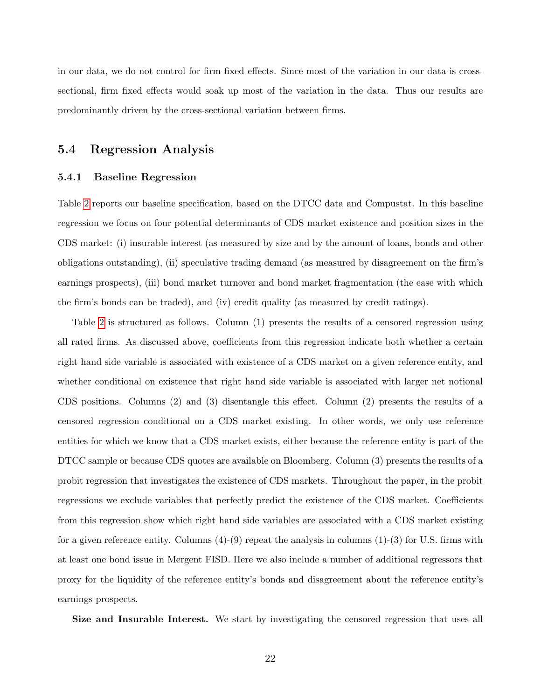in our data, we do not control for firm fixed effects. Since most of the variation in our data is crosssectional, firm fixed effects would soak up most of the variation in the data. Thus our results are predominantly driven by the cross-sectional variation between firms.

## 5.4 Regression Analysis

#### 5.4.1 Baseline Regression

Table [2](#page-44-0) reports our baseline specification, based on the DTCC data and Compustat. In this baseline regression we focus on four potential determinants of CDS market existence and position sizes in the CDS market: (i) insurable interest (as measured by size and by the amount of loans, bonds and other obligations outstanding), (ii) speculative trading demand (as measured by disagreement on the firm's earnings prospects), (iii) bond market turnover and bond market fragmentation (the ease with which the firm's bonds can be traded), and (iv) credit quality (as measured by credit ratings).

Table [2](#page-44-0) is structured as follows. Column (1) presents the results of a censored regression using all rated firms. As discussed above, coefficients from this regression indicate both whether a certain right hand side variable is associated with existence of a CDS market on a given reference entity, and whether conditional on existence that right hand side variable is associated with larger net notional CDS positions. Columns (2) and (3) disentangle this effect. Column (2) presents the results of a censored regression conditional on a CDS market existing. In other words, we only use reference entities for which we know that a CDS market exists, either because the reference entity is part of the DTCC sample or because CDS quotes are available on Bloomberg. Column (3) presents the results of a probit regression that investigates the existence of CDS markets. Throughout the paper, in the probit regressions we exclude variables that perfectly predict the existence of the CDS market. Coefficients from this regression show which right hand side variables are associated with a CDS market existing for a given reference entity. Columns  $(4)-(9)$  repeat the analysis in columns  $(1)-(3)$  for U.S. firms with at least one bond issue in Mergent FISD. Here we also include a number of additional regressors that proxy for the liquidity of the reference entity's bonds and disagreement about the reference entity's earnings prospects.

Size and Insurable Interest. We start by investigating the censored regression that uses all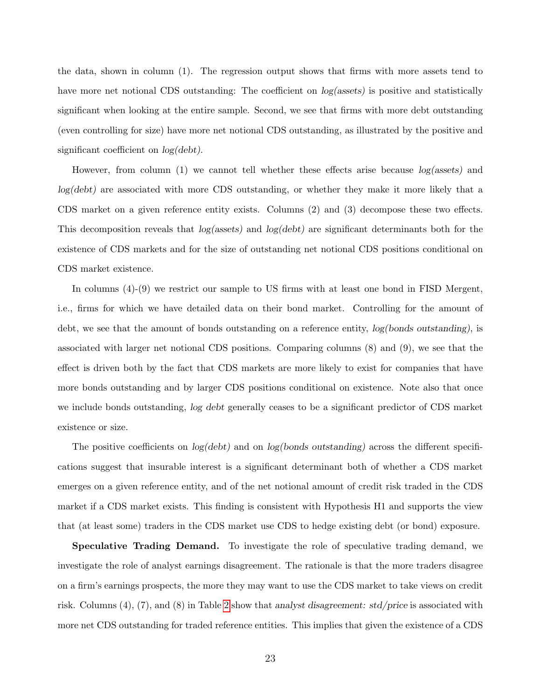the data, shown in column (1). The regression output shows that firms with more assets tend to have more net notional CDS outstanding: The coefficient on  $log(asserts)$  is positive and statistically significant when looking at the entire sample. Second, we see that firms with more debt outstanding (even controlling for size) have more net notional CDS outstanding, as illustrated by the positive and significant coefficient on  $log(debt)$ .

However, from column (1) we cannot tell whether these effects arise because  $log(assert)$  and log(debt) are associated with more CDS outstanding, or whether they make it more likely that a CDS market on a given reference entity exists. Columns (2) and (3) decompose these two effects. This decomposition reveals that  $log(asserts)$  and  $log(dett)$  are significant determinants both for the existence of CDS markets and for the size of outstanding net notional CDS positions conditional on CDS market existence.

In columns (4)-(9) we restrict our sample to US firms with at least one bond in FISD Mergent, i.e., firms for which we have detailed data on their bond market. Controlling for the amount of debt, we see that the amount of bonds outstanding on a reference entity,  $log(bonds outstanding)$ , is associated with larger net notional CDS positions. Comparing columns (8) and (9), we see that the effect is driven both by the fact that CDS markets are more likely to exist for companies that have more bonds outstanding and by larger CDS positions conditional on existence. Note also that once we include bonds outstanding, log debt generally ceases to be a significant predictor of CDS market existence or size.

The positive coefficients on  $log(debt)$  and on  $log(bonds$  outstanding) across the different specifications suggest that insurable interest is a significant determinant both of whether a CDS market emerges on a given reference entity, and of the net notional amount of credit risk traded in the CDS market if a CDS market exists. This finding is consistent with Hypothesis H1 and supports the view that (at least some) traders in the CDS market use CDS to hedge existing debt (or bond) exposure.

Speculative Trading Demand. To investigate the role of speculative trading demand, we investigate the role of analyst earnings disagreement. The rationale is that the more traders disagree on a firm's earnings prospects, the more they may want to use the CDS market to take views on credit risk. Columns (4), (7), and (8) in Table [2](#page-44-0) show that analyst disagreement: std/price is associated with more net CDS outstanding for traded reference entities. This implies that given the existence of a CDS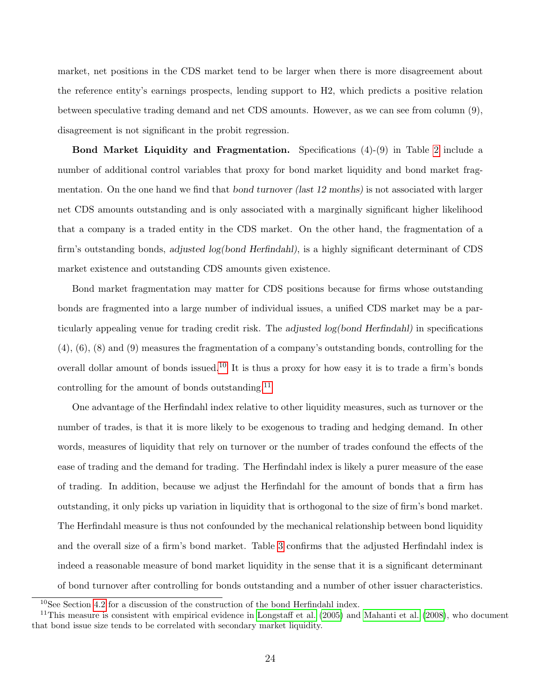market, net positions in the CDS market tend to be larger when there is more disagreement about the reference entity's earnings prospects, lending support to H2, which predicts a positive relation between speculative trading demand and net CDS amounts. However, as we can see from column (9), disagreement is not significant in the probit regression.

**Bond Market Liquidity and Fragmentation.** Specifications  $(4)-(9)$  in Table [2](#page-44-0) include a number of additional control variables that proxy for bond market liquidity and bond market fragmentation. On the one hand we find that bond turnover (last 12 months) is not associated with larger net CDS amounts outstanding and is only associated with a marginally significant higher likelihood that a company is a traded entity in the CDS market. On the other hand, the fragmentation of a firm's outstanding bonds, adjusted log(bond Herfindahl), is a highly significant determinant of CDS market existence and outstanding CDS amounts given existence.

Bond market fragmentation may matter for CDS positions because for firms whose outstanding bonds are fragmented into a large number of individual issues, a unified CDS market may be a particularly appealing venue for trading credit risk. The adjusted log(bond Herfindahl) in specifications (4), (6), (8) and (9) measures the fragmentation of a company's outstanding bonds, controlling for the overall dollar amount of bonds issued.<sup>[10](#page-23-0)</sup> It is thus a proxy for how easy it is to trade a firm's bonds controlling for the amount of bonds outstanding. $^{11}$  $^{11}$  $^{11}$ 

One advantage of the Herfindahl index relative to other liquidity measures, such as turnover or the number of trades, is that it is more likely to be exogenous to trading and hedging demand. In other words, measures of liquidity that rely on turnover or the number of trades confound the effects of the ease of trading and the demand for trading. The Herfindahl index is likely a purer measure of the ease of trading. In addition, because we adjust the Herfindahl for the amount of bonds that a firm has outstanding, it only picks up variation in liquidity that is orthogonal to the size of firm's bond market. The Herfindahl measure is thus not confounded by the mechanical relationship between bond liquidity and the overall size of a firm's bond market. Table [3](#page-45-0) confirms that the adjusted Herfindahl index is indeed a reasonable measure of bond market liquidity in the sense that it is a significant determinant of bond turnover after controlling for bonds outstanding and a number of other issuer characteristics.

<span id="page-23-1"></span><span id="page-23-0"></span> $10$ See Section [4.2](#page-11-0) for a discussion of the construction of the bond Herfindahl index.

<sup>&</sup>lt;sup>11</sup>This measure is consistent with empirical evidence in [Longstaff et al.](#page-37-8)  $(2005)$  and [Mahanti et al.](#page-37-9)  $(2008)$ , who document that bond issue size tends to be correlated with secondary market liquidity.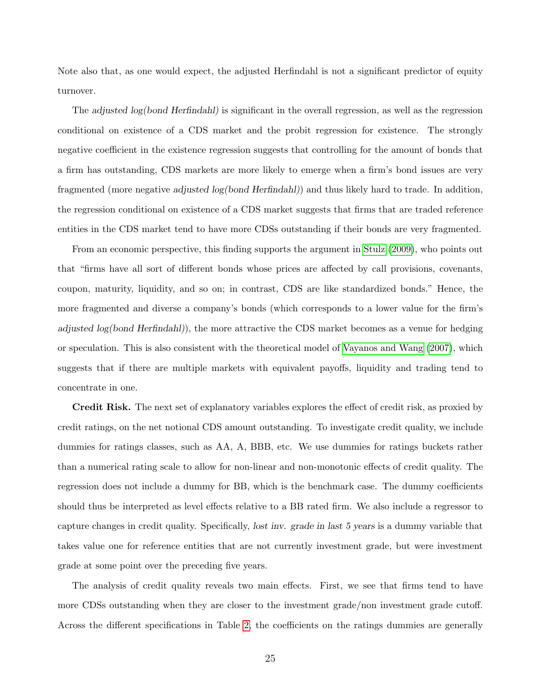Note also that, as one would expect, the adjusted Herfindahl is not a significant predictor of equity turnover.

The adjusted log(bond Herfindahl) is significant in the overall regression, as well as the regression conditional on existence of a CDS market and the probit regression for existence. The strongly negative coefficient in the existence regression suggests that controlling for the amount of bonds that a firm has outstanding, CDS markets are more likely to emerge when a firm's bond issues are very fragmented (more negative adjusted log(bond Herfindahl)) and thus likely hard to trade. In addition, the regression conditional on existence of a CDS market suggests that firms that are traded reference entities in the CDS market tend to have more CDSs outstanding if their bonds are very fragmented.

From an economic perspective, this finding supports the argument in [Stulz](#page-38-9) [\(2009\)](#page-38-9), who points out that "firms have all sort of different bonds whose prices are affected by call provisions, covenants, coupon, maturity, liquidity, and so on; in contrast, CDS are like standardized bonds." Hence, the more fragmented and diverse a company's bonds (which corresponds to a lower value for the firm's adjusted log(bond Herfindahl)), the more attractive the CDS market becomes as a venue for hedging or speculation. This is also consistent with the theoretical model of [Vayanos and Wang](#page-38-11) [\(2007\)](#page-38-11), which suggests that if there are multiple markets with equivalent payoffs, liquidity and trading tend to concentrate in one.

Credit Risk. The next set of explanatory variables explores the effect of credit risk, as proxied by credit ratings, on the net notional CDS amount outstanding. To investigate credit quality, we include dummies for ratings classes, such as AA, A, BBB, etc. We use dummies for ratings buckets rather than a numerical rating scale to allow for non-linear and non-monotonic effects of credit quality. The regression does not include a dummy for BB, which is the benchmark case. The dummy coefficients should thus be interpreted as level effects relative to a BB rated firm. We also include a regressor to capture changes in credit quality. Specifically, lost inv. grade in last 5 years is a dummy variable that takes value one for reference entities that are not currently investment grade, but were investment grade at some point over the preceding five years.

The analysis of credit quality reveals two main effects. First, we see that firms tend to have more CDSs outstanding when they are closer to the investment grade/non investment grade cutoff. Across the different specifications in Table [2,](#page-44-0) the coefficients on the ratings dummies are generally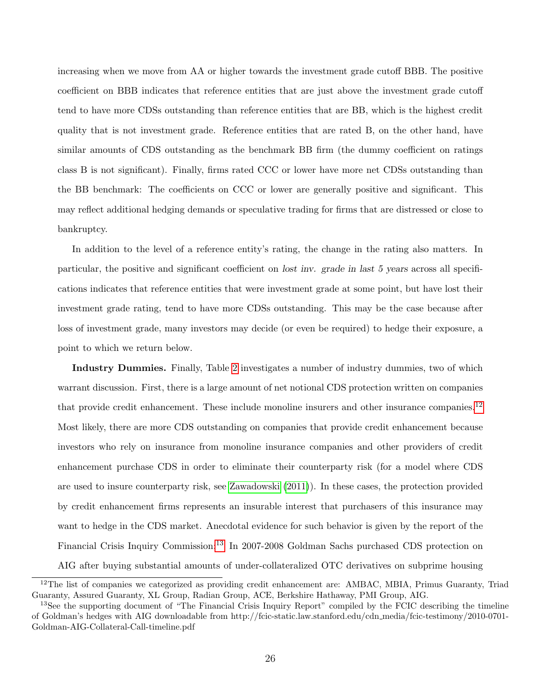increasing when we move from AA or higher towards the investment grade cutoff BBB. The positive coefficient on BBB indicates that reference entities that are just above the investment grade cutoff tend to have more CDSs outstanding than reference entities that are BB, which is the highest credit quality that is not investment grade. Reference entities that are rated B, on the other hand, have similar amounts of CDS outstanding as the benchmark BB firm (the dummy coefficient on ratings class B is not significant). Finally, firms rated CCC or lower have more net CDSs outstanding than the BB benchmark: The coefficients on CCC or lower are generally positive and significant. This may reflect additional hedging demands or speculative trading for firms that are distressed or close to bankruptcy.

In addition to the level of a reference entity's rating, the change in the rating also matters. In particular, the positive and significant coefficient on lost inv. grade in last 5 years across all specifications indicates that reference entities that were investment grade at some point, but have lost their investment grade rating, tend to have more CDSs outstanding. This may be the case because after loss of investment grade, many investors may decide (or even be required) to hedge their exposure, a point to which we return below.

Industry Dummies. Finally, Table [2](#page-44-0) investigates a number of industry dummies, two of which warrant discussion. First, there is a large amount of net notional CDS protection written on companies that provide credit enhancement. These include monoline insurers and other insurance companies.<sup>[12](#page-25-0)</sup> Most likely, there are more CDS outstanding on companies that provide credit enhancement because investors who rely on insurance from monoline insurance companies and other providers of credit enhancement purchase CDS in order to eliminate their counterparty risk (for a model where CDS are used to insure counterparty risk, see [Zawadowski](#page-38-8) [\(2011\)](#page-38-8)). In these cases, the protection provided by credit enhancement firms represents an insurable interest that purchasers of this insurance may want to hedge in the CDS market. Anecdotal evidence for such behavior is given by the report of the Financial Crisis Inquiry Commission:<sup>[13](#page-25-1)</sup> In 2007-2008 Goldman Sachs purchased CDS protection on AIG after buying substantial amounts of under-collateralized OTC derivatives on subprime housing

<span id="page-25-0"></span><sup>&</sup>lt;sup>12</sup>The list of companies we categorized as providing credit enhancement are: AMBAC, MBIA, Primus Guaranty, Triad Guaranty, Assured Guaranty, XL Group, Radian Group, ACE, Berkshire Hathaway, PMI Group, AIG.

<span id="page-25-1"></span><sup>&</sup>lt;sup>13</sup>See the supporting document of "The Financial Crisis Inquiry Report" compiled by the FCIC describing the timeline of Goldman's hedges with AIG downloadable from http://fcic-static.law.stanford.edu/cdn media/fcic-testimony/2010-0701- Goldman-AIG-Collateral-Call-timeline.pdf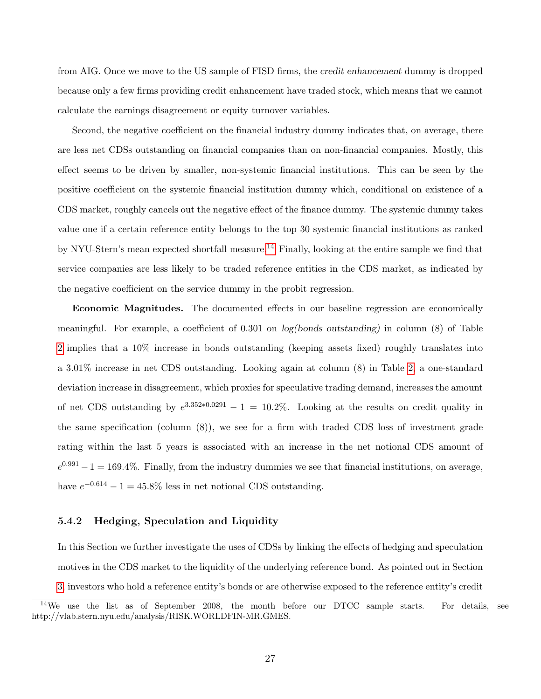from AIG. Once we move to the US sample of FISD firms, the credit enhancement dummy is dropped because only a few firms providing credit enhancement have traded stock, which means that we cannot calculate the earnings disagreement or equity turnover variables.

Second, the negative coefficient on the financial industry dummy indicates that, on average, there are less net CDSs outstanding on financial companies than on non-financial companies. Mostly, this effect seems to be driven by smaller, non-systemic financial institutions. This can be seen by the positive coefficient on the systemic financial institution dummy which, conditional on existence of a CDS market, roughly cancels out the negative effect of the finance dummy. The systemic dummy takes value one if a certain reference entity belongs to the top 30 systemic financial institutions as ranked by NYU-Stern's mean expected shortfall measure.<sup>[14](#page-26-0)</sup> Finally, looking at the entire sample we find that service companies are less likely to be traded reference entities in the CDS market, as indicated by the negative coefficient on the service dummy in the probit regression.

Economic Magnitudes. The documented effects in our baseline regression are economically meaningful. For example, a coefficient of 0.301 on log(bonds outstanding) in column (8) of Table [2](#page-44-0) implies that a 10% increase in bonds outstanding (keeping assets fixed) roughly translates into a 3.01% increase in net CDS outstanding. Looking again at column (8) in Table [2,](#page-44-0) a one-standard deviation increase in disagreement, which proxies for speculative trading demand, increases the amount of net CDS outstanding by  $e^{3.352*0.0291} - 1 = 10.2\%$ . Looking at the results on credit quality in the same specification (column (8)), we see for a firm with traded CDS loss of investment grade rating within the last 5 years is associated with an increase in the net notional CDS amount of  $e^{0.991} - 1 = 169.4\%$ . Finally, from the industry dummies we see that financial institutions, on average, have  $e^{-0.614} - 1 = 45.8\%$  less in net notional CDS outstanding.

#### 5.4.2 Hedging, Speculation and Liquidity

In this Section we further investigate the uses of CDSs by linking the effects of hedging and speculation motives in the CDS market to the liquidity of the underlying reference bond. As pointed out in Section [3,](#page-7-0) investors who hold a reference entity's bonds or are otherwise exposed to the reference entity's credit

<span id="page-26-0"></span><sup>&</sup>lt;sup>14</sup>We use the list as of September 2008, the month before our DTCC sample starts. For details, see http://vlab.stern.nyu.edu/analysis/RISK.WORLDFIN-MR.GMES.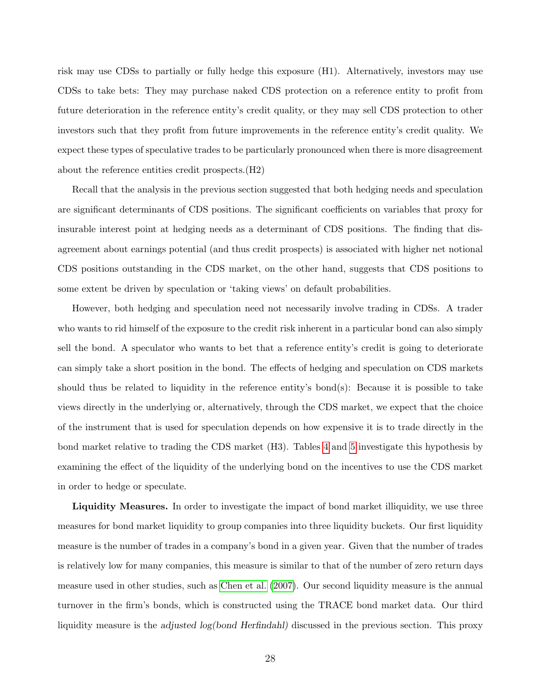risk may use CDSs to partially or fully hedge this exposure (H1). Alternatively, investors may use CDSs to take bets: They may purchase naked CDS protection on a reference entity to profit from future deterioration in the reference entity's credit quality, or they may sell CDS protection to other investors such that they profit from future improvements in the reference entity's credit quality. We expect these types of speculative trades to be particularly pronounced when there is more disagreement about the reference entities credit prospects.(H2)

Recall that the analysis in the previous section suggested that both hedging needs and speculation are significant determinants of CDS positions. The significant coefficients on variables that proxy for insurable interest point at hedging needs as a determinant of CDS positions. The finding that disagreement about earnings potential (and thus credit prospects) is associated with higher net notional CDS positions outstanding in the CDS market, on the other hand, suggests that CDS positions to some extent be driven by speculation or 'taking views' on default probabilities.

However, both hedging and speculation need not necessarily involve trading in CDSs. A trader who wants to rid himself of the exposure to the credit risk inherent in a particular bond can also simply sell the bond. A speculator who wants to bet that a reference entity's credit is going to deteriorate can simply take a short position in the bond. The effects of hedging and speculation on CDS markets should thus be related to liquidity in the reference entity's bond $(s)$ : Because it is possible to take views directly in the underlying or, alternatively, through the CDS market, we expect that the choice of the instrument that is used for speculation depends on how expensive it is to trade directly in the bond market relative to trading the CDS market (H3). Tables [4](#page-46-0) and [5](#page-47-0) investigate this hypothesis by examining the effect of the liquidity of the underlying bond on the incentives to use the CDS market in order to hedge or speculate.

Liquidity Measures. In order to investigate the impact of bond market illiquidity, we use three measures for bond market liquidity to group companies into three liquidity buckets. Our first liquidity measure is the number of trades in a company's bond in a given year. Given that the number of trades is relatively low for many companies, this measure is similar to that of the number of zero return days measure used in other studies, such as [Chen et al.](#page-36-9) [\(2007\)](#page-36-9). Our second liquidity measure is the annual turnover in the firm's bonds, which is constructed using the TRACE bond market data. Our third liquidity measure is the adjusted log(bond Herfindahl) discussed in the previous section. This proxy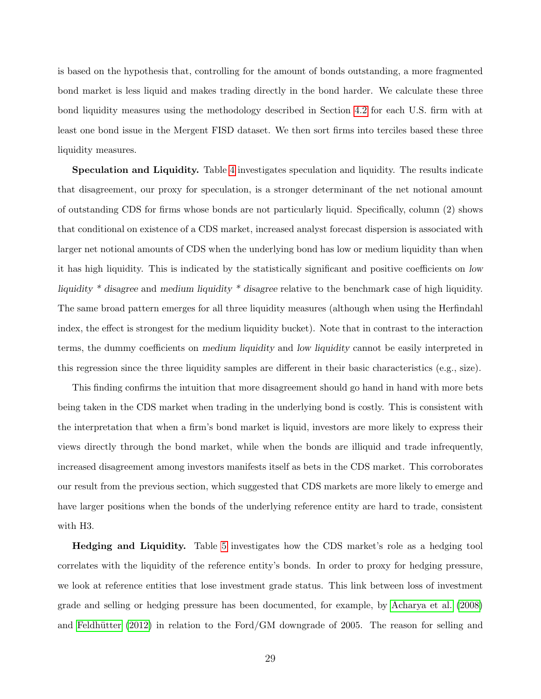is based on the hypothesis that, controlling for the amount of bonds outstanding, a more fragmented bond market is less liquid and makes trading directly in the bond harder. We calculate these three bond liquidity measures using the methodology described in Section [4.2](#page-11-0) for each U.S. firm with at least one bond issue in the Mergent FISD dataset. We then sort firms into terciles based these three liquidity measures.

Speculation and Liquidity. Table [4](#page-46-0) investigates speculation and liquidity. The results indicate that disagreement, our proxy for speculation, is a stronger determinant of the net notional amount of outstanding CDS for firms whose bonds are not particularly liquid. Specifically, column (2) shows that conditional on existence of a CDS market, increased analyst forecast dispersion is associated with larger net notional amounts of CDS when the underlying bond has low or medium liquidity than when it has high liquidity. This is indicated by the statistically significant and positive coefficients on low liquidity \* disagree and medium liquidity \* disagree relative to the benchmark case of high liquidity. The same broad pattern emerges for all three liquidity measures (although when using the Herfindahl index, the effect is strongest for the medium liquidity bucket). Note that in contrast to the interaction terms, the dummy coefficients on medium liquidity and low liquidity cannot be easily interpreted in this regression since the three liquidity samples are different in their basic characteristics (e.g., size).

This finding confirms the intuition that more disagreement should go hand in hand with more bets being taken in the CDS market when trading in the underlying bond is costly. This is consistent with the interpretation that when a firm's bond market is liquid, investors are more likely to express their views directly through the bond market, while when the bonds are illiquid and trade infrequently, increased disagreement among investors manifests itself as bets in the CDS market. This corroborates our result from the previous section, which suggested that CDS markets are more likely to emerge and have larger positions when the bonds of the underlying reference entity are hard to trade, consistent with H3.

Hedging and Liquidity. Table [5](#page-47-0) investigates how the CDS market's role as a hedging tool correlates with the liquidity of the reference entity's bonds. In order to proxy for hedging pressure, we look at reference entities that lose investment grade status. This link between loss of investment grade and selling or hedging pressure has been documented, for example, by [Acharya et al.](#page-36-10) [\(2008\)](#page-36-10) and Feldhütter  $(2012)$  in relation to the Ford/GM downgrade of 2005. The reason for selling and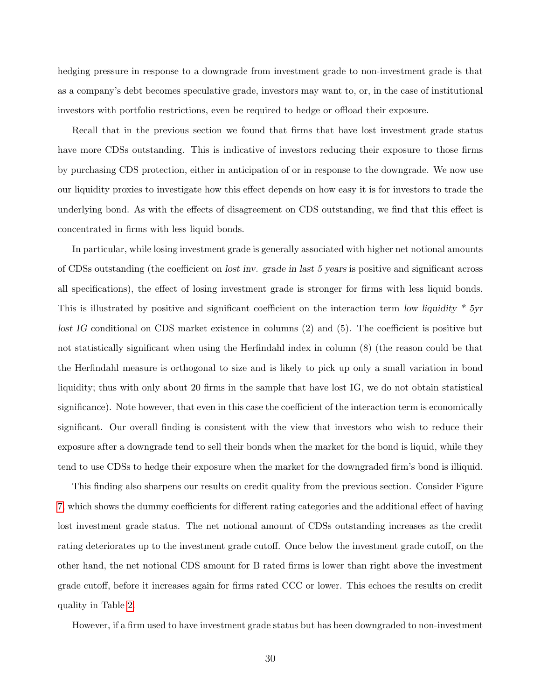hedging pressure in response to a downgrade from investment grade to non-investment grade is that as a company's debt becomes speculative grade, investors may want to, or, in the case of institutional investors with portfolio restrictions, even be required to hedge or offload their exposure.

Recall that in the previous section we found that firms that have lost investment grade status have more CDSs outstanding. This is indicative of investors reducing their exposure to those firms by purchasing CDS protection, either in anticipation of or in response to the downgrade. We now use our liquidity proxies to investigate how this effect depends on how easy it is for investors to trade the underlying bond. As with the effects of disagreement on CDS outstanding, we find that this effect is concentrated in firms with less liquid bonds.

In particular, while losing investment grade is generally associated with higher net notional amounts of CDSs outstanding (the coefficient on lost inv. grade in last 5 years is positive and significant across all specifications), the effect of losing investment grade is stronger for firms with less liquid bonds. This is illustrated by positive and significant coefficient on the interaction term low liquidity  $*$  5yr lost IG conditional on CDS market existence in columns (2) and (5). The coefficient is positive but not statistically significant when using the Herfindahl index in column (8) (the reason could be that the Herfindahl measure is orthogonal to size and is likely to pick up only a small variation in bond liquidity; thus with only about 20 firms in the sample that have lost IG, we do not obtain statistical significance). Note however, that even in this case the coefficient of the interaction term is economically significant. Our overall finding is consistent with the view that investors who wish to reduce their exposure after a downgrade tend to sell their bonds when the market for the bond is liquid, while they tend to use CDSs to hedge their exposure when the market for the downgraded firm's bond is illiquid.

This finding also sharpens our results on credit quality from the previous section. Consider Figure [7,](#page-42-1) which shows the dummy coefficients for different rating categories and the additional effect of having lost investment grade status. The net notional amount of CDSs outstanding increases as the credit rating deteriorates up to the investment grade cutoff. Once below the investment grade cutoff, on the other hand, the net notional CDS amount for B rated firms is lower than right above the investment grade cutoff, before it increases again for firms rated CCC or lower. This echoes the results on credit quality in Table [2.](#page-44-0)

However, if a firm used to have investment grade status but has been downgraded to non-investment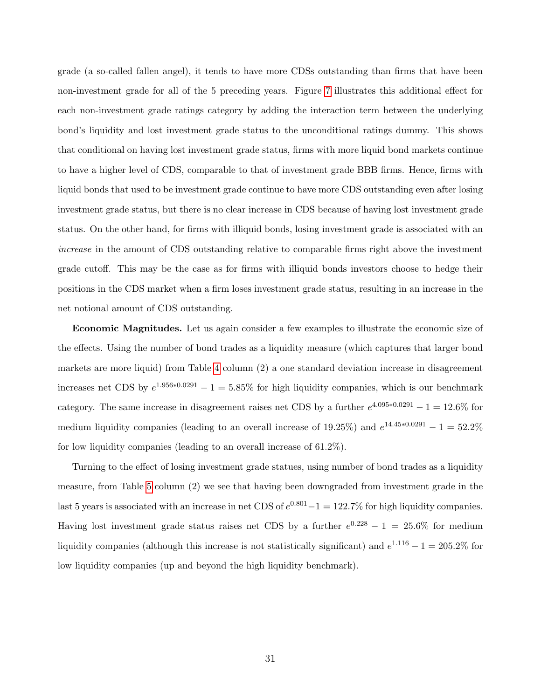grade (a so-called fallen angel), it tends to have more CDSs outstanding than firms that have been non-investment grade for all of the 5 preceding years. Figure [7](#page-42-1) illustrates this additional effect for each non-investment grade ratings category by adding the interaction term between the underlying bond's liquidity and lost investment grade status to the unconditional ratings dummy. This shows that conditional on having lost investment grade status, firms with more liquid bond markets continue to have a higher level of CDS, comparable to that of investment grade BBB firms. Hence, firms with liquid bonds that used to be investment grade continue to have more CDS outstanding even after losing investment grade status, but there is no clear increase in CDS because of having lost investment grade status. On the other hand, for firms with illiquid bonds, losing investment grade is associated with an increase in the amount of CDS outstanding relative to comparable firms right above the investment grade cutoff. This may be the case as for firms with illiquid bonds investors choose to hedge their positions in the CDS market when a firm loses investment grade status, resulting in an increase in the net notional amount of CDS outstanding.

Economic Magnitudes. Let us again consider a few examples to illustrate the economic size of the effects. Using the number of bond trades as a liquidity measure (which captures that larger bond markets are more liquid) from Table [4](#page-46-0) column (2) a one standard deviation increase in disagreement increases net CDS by  $e^{1.956*0.0291} - 1 = 5.85\%$  for high liquidity companies, which is our benchmark category. The same increase in disagreement raises net CDS by a further  $e^{4.095*0.0291} - 1 = 12.6\%$  for medium liquidity companies (leading to an overall increase of 19.25%) and  $e^{14.45*0.0291} - 1 = 52.2\%$ for low liquidity companies (leading to an overall increase of 61.2%).

Turning to the effect of losing investment grade statues, using number of bond trades as a liquidity measure, from Table [5](#page-47-0) column (2) we see that having been downgraded from investment grade in the last 5 years is associated with an increase in net CDS of  $e^{0.801} - 1 = 122.7\%$  for high liquidity companies. Having lost investment grade status raises net CDS by a further  $e^{0.228} - 1 = 25.6\%$  for medium liquidity companies (although this increase is not statistically significant) and  $e^{1.116} - 1 = 205.2\%$  for low liquidity companies (up and beyond the high liquidity benchmark).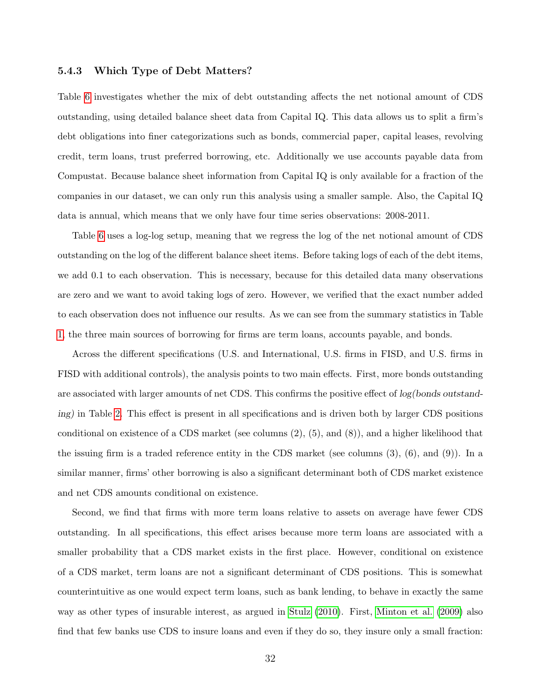#### 5.4.3 Which Type of Debt Matters?

Table [6](#page-48-0) investigates whether the mix of debt outstanding affects the net notional amount of CDS outstanding, using detailed balance sheet data from Capital IQ. This data allows us to split a firm's debt obligations into finer categorizations such as bonds, commercial paper, capital leases, revolving credit, term loans, trust preferred borrowing, etc. Additionally we use accounts payable data from Compustat. Because balance sheet information from Capital IQ is only available for a fraction of the companies in our dataset, we can only run this analysis using a smaller sample. Also, the Capital IQ data is annual, which means that we only have four time series observations: 2008-2011.

Table [6](#page-48-0) uses a log-log setup, meaning that we regress the log of the net notional amount of CDS outstanding on the log of the different balance sheet items. Before taking logs of each of the debt items, we add 0.1 to each observation. This is necessary, because for this detailed data many observations are zero and we want to avoid taking logs of zero. However, we verified that the exact number added to each observation does not influence our results. As we can see from the summary statistics in Table [1,](#page-43-0) the three main sources of borrowing for firms are term loans, accounts payable, and bonds.

Across the different specifications (U.S. and International, U.S. firms in FISD, and U.S. firms in FISD with additional controls), the analysis points to two main effects. First, more bonds outstanding are associated with larger amounts of net CDS. This confirms the positive effect of log(bonds outstanding) in Table [2.](#page-44-0) This effect is present in all specifications and is driven both by larger CDS positions conditional on existence of a CDS market (see columns (2), (5), and (8)), and a higher likelihood that the issuing firm is a traded reference entity in the CDS market (see columns (3), (6), and (9)). In a similar manner, firms' other borrowing is also a significant determinant both of CDS market existence and net CDS amounts conditional on existence.

Second, we find that firms with more term loans relative to assets on average have fewer CDS outstanding. In all specifications, this effect arises because more term loans are associated with a smaller probability that a CDS market exists in the first place. However, conditional on existence of a CDS market, term loans are not a significant determinant of CDS positions. This is somewhat counterintuitive as one would expect term loans, such as bank lending, to behave in exactly the same way as other types of insurable interest, as argued in [Stulz](#page-38-0) [\(2010\)](#page-38-0). First, [Minton et al.](#page-37-4) [\(2009\)](#page-37-4) also find that few banks use CDS to insure loans and even if they do so, they insure only a small fraction: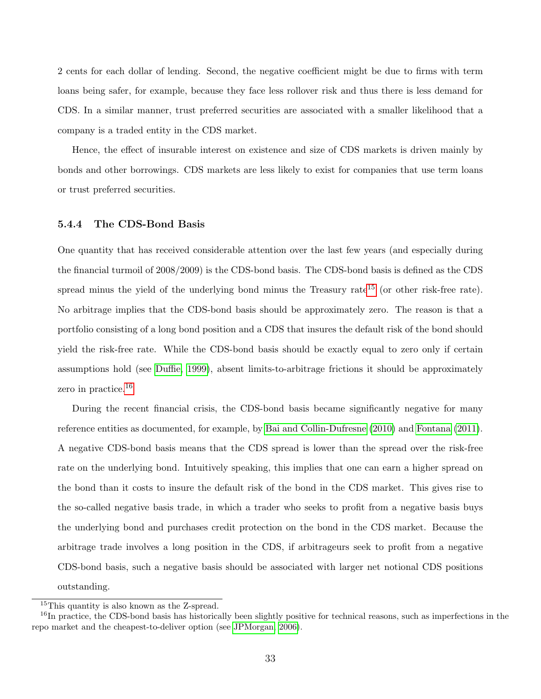2 cents for each dollar of lending. Second, the negative coefficient might be due to firms with term loans being safer, for example, because they face less rollover risk and thus there is less demand for CDS. In a similar manner, trust preferred securities are associated with a smaller likelihood that a company is a traded entity in the CDS market.

Hence, the effect of insurable interest on existence and size of CDS markets is driven mainly by bonds and other borrowings. CDS markets are less likely to exist for companies that use term loans or trust preferred securities.

#### 5.4.4 The CDS-Bond Basis

One quantity that has received considerable attention over the last few years (and especially during the financial turmoil of 2008/2009) is the CDS-bond basis. The CDS-bond basis is defined as the CDS spread minus the yield of the underlying bond minus the Treasury rate<sup>[15](#page-32-0)</sup> (or other risk-free rate). No arbitrage implies that the CDS-bond basis should be approximately zero. The reason is that a portfolio consisting of a long bond position and a CDS that insures the default risk of the bond should yield the risk-free rate. While the CDS-bond basis should be exactly equal to zero only if certain assumptions hold (see [Duffie, 1999\)](#page-37-3), absent limits-to-arbitrage frictions it should be approximately zero in practice.<sup>[16](#page-32-1)</sup>

During the recent financial crisis, the CDS-bond basis became significantly negative for many reference entities as documented, for example, by [Bai and Collin-Dufresne](#page-36-3) [\(2010\)](#page-36-3) and [Fontana](#page-37-2) [\(2011\)](#page-37-2). A negative CDS-bond basis means that the CDS spread is lower than the spread over the risk-free rate on the underlying bond. Intuitively speaking, this implies that one can earn a higher spread on the bond than it costs to insure the default risk of the bond in the CDS market. This gives rise to the so-called negative basis trade, in which a trader who seeks to profit from a negative basis buys the underlying bond and purchases credit protection on the bond in the CDS market. Because the arbitrage trade involves a long position in the CDS, if arbitrageurs seek to profit from a negative CDS-bond basis, such a negative basis should be associated with larger net notional CDS positions outstanding.

<span id="page-32-1"></span><span id="page-32-0"></span><sup>&</sup>lt;sup>15</sup>This quantity is also known as the Z-spread.

<sup>&</sup>lt;sup>16</sup>In practice, the CDS-bond basis has historically been slightly positive for technical reasons, such as imperfections in the repo market and the cheapest-to-deliver option (see [JPMorgan, 2006\)](#page-37-11).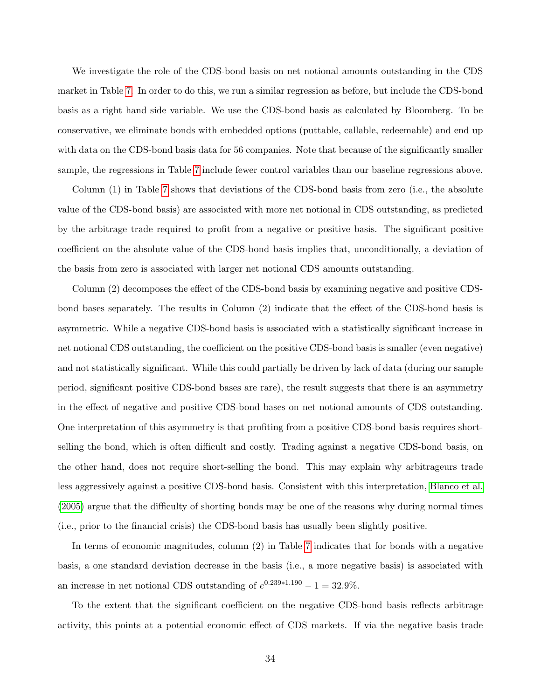We investigate the role of the CDS-bond basis on net notional amounts outstanding in the CDS market in Table [7.](#page-49-0) In order to do this, we run a similar regression as before, but include the CDS-bond basis as a right hand side variable. We use the CDS-bond basis as calculated by Bloomberg. To be conservative, we eliminate bonds with embedded options (puttable, callable, redeemable) and end up with data on the CDS-bond basis data for 56 companies. Note that because of the significantly smaller sample, the regressions in Table [7](#page-49-0) include fewer control variables than our baseline regressions above.

Column (1) in Table [7](#page-49-0) shows that deviations of the CDS-bond basis from zero (i.e., the absolute value of the CDS-bond basis) are associated with more net notional in CDS outstanding, as predicted by the arbitrage trade required to profit from a negative or positive basis. The significant positive coefficient on the absolute value of the CDS-bond basis implies that, unconditionally, a deviation of the basis from zero is associated with larger net notional CDS amounts outstanding.

Column (2) decomposes the effect of the CDS-bond basis by examining negative and positive CDSbond bases separately. The results in Column (2) indicate that the effect of the CDS-bond basis is asymmetric. While a negative CDS-bond basis is associated with a statistically significant increase in net notional CDS outstanding, the coefficient on the positive CDS-bond basis is smaller (even negative) and not statistically significant. While this could partially be driven by lack of data (during our sample period, significant positive CDS-bond bases are rare), the result suggests that there is an asymmetry in the effect of negative and positive CDS-bond bases on net notional amounts of CDS outstanding. One interpretation of this asymmetry is that profiting from a positive CDS-bond basis requires shortselling the bond, which is often difficult and costly. Trading against a negative CDS-bond basis, on the other hand, does not require short-selling the bond. This may explain why arbitrageurs trade less aggressively against a positive CDS-bond basis. Consistent with this interpretation, [Blanco et al.](#page-36-2) [\(2005\)](#page-36-2) argue that the difficulty of shorting bonds may be one of the reasons why during normal times (i.e., prior to the financial crisis) the CDS-bond basis has usually been slightly positive.

In terms of economic magnitudes, column (2) in Table [7](#page-49-0) indicates that for bonds with a negative basis, a one standard deviation decrease in the basis (i.e., a more negative basis) is associated with an increase in net notional CDS outstanding of  $e^{0.239*1.190} - 1 = 32.9\%$ .

To the extent that the significant coefficient on the negative CDS-bond basis reflects arbitrage activity, this points at a potential economic effect of CDS markets. If via the negative basis trade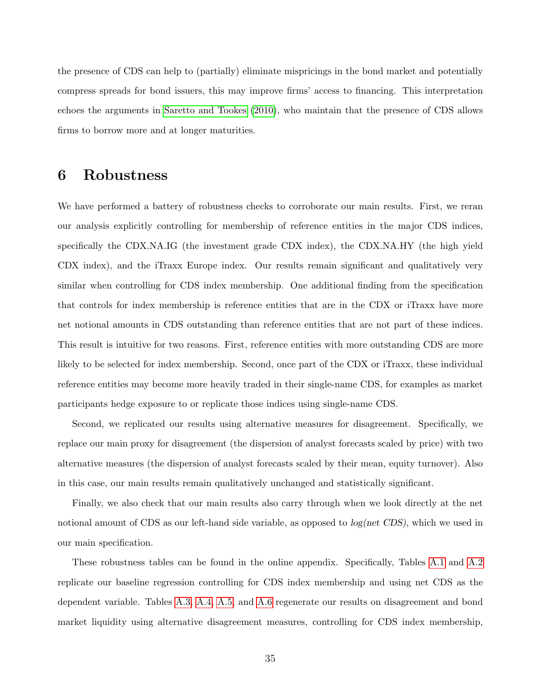the presence of CDS can help to (partially) eliminate mispricings in the bond market and potentially compress spreads for bond issuers, this may improve firms' access to financing. This interpretation echoes the arguments in [Saretto and Tookes](#page-38-1) [\(2010\)](#page-38-1), who maintain that the presence of CDS allows firms to borrow more and at longer maturities.

## <span id="page-34-0"></span>6 Robustness

We have performed a battery of robustness checks to corroborate our main results. First, we reran our analysis explicitly controlling for membership of reference entities in the major CDS indices, specifically the CDX.NA.IG (the investment grade CDX index), the CDX.NA.HY (the high yield CDX index), and the iTraxx Europe index. Our results remain significant and qualitatively very similar when controlling for CDS index membership. One additional finding from the specification that controls for index membership is reference entities that are in the CDX or iTraxx have more net notional amounts in CDS outstanding than reference entities that are not part of these indices. This result is intuitive for two reasons. First, reference entities with more outstanding CDS are more likely to be selected for index membership. Second, once part of the CDX or iTraxx, these individual reference entities may become more heavily traded in their single-name CDS, for examples as market participants hedge exposure to or replicate those indices using single-name CDS.

Second, we replicated our results using alternative measures for disagreement. Specifically, we replace our main proxy for disagreement (the dispersion of analyst forecasts scaled by price) with two alternative measures (the dispersion of analyst forecasts scaled by their mean, equity turnover). Also in this case, our main results remain qualitatively unchanged and statistically significant.

Finally, we also check that our main results also carry through when we look directly at the net notional amount of CDS as our left-hand side variable, as opposed to *log(net CDS)*, which we used in our main specification.

These robustness tables can be found in the online appendix. Specifically, Tables [A.1](#page-43-0) and [A.2](#page-44-0) replicate our baseline regression controlling for CDS index membership and using net CDS as the dependent variable. Tables [A.3,](#page-45-0) [A.4,](#page-46-0) [A.5,](#page-47-0) and [A.6](#page-48-0) regenerate our results on disagreement and bond market liquidity using alternative disagreement measures, controlling for CDS index membership,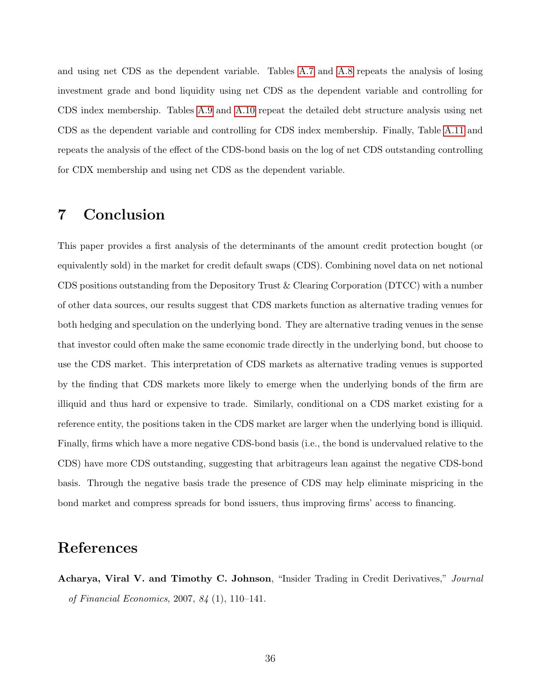and using net CDS as the dependent variable. Tables [A.7](#page-49-0) and [A.8](#page-57-0) repeats the analysis of losing investment grade and bond liquidity using net CDS as the dependent variable and controlling for CDS index membership. Tables [A.9](#page-58-0) and [A.10](#page-59-0) repeat the detailed debt structure analysis using net CDS as the dependent variable and controlling for CDS index membership. Finally, Table [A.11](#page-60-0) and repeats the analysis of the effect of the CDS-bond basis on the log of net CDS outstanding controlling for CDX membership and using net CDS as the dependent variable.

## <span id="page-35-0"></span>7 Conclusion

This paper provides a first analysis of the determinants of the amount credit protection bought (or equivalently sold) in the market for credit default swaps (CDS). Combining novel data on net notional CDS positions outstanding from the Depository Trust  $&$  Clearing Corporation (DTCC) with a number of other data sources, our results suggest that CDS markets function as alternative trading venues for both hedging and speculation on the underlying bond. They are alternative trading venues in the sense that investor could often make the same economic trade directly in the underlying bond, but choose to use the CDS market. This interpretation of CDS markets as alternative trading venues is supported by the finding that CDS markets more likely to emerge when the underlying bonds of the firm are illiquid and thus hard or expensive to trade. Similarly, conditional on a CDS market existing for a reference entity, the positions taken in the CDS market are larger when the underlying bond is illiquid. Finally, firms which have a more negative CDS-bond basis (i.e., the bond is undervalued relative to the CDS) have more CDS outstanding, suggesting that arbitrageurs lean against the negative CDS-bond basis. Through the negative basis trade the presence of CDS may help eliminate mispricing in the bond market and compress spreads for bond issuers, thus improving firms' access to financing.

## References

<span id="page-35-1"></span>Acharya, Viral V. and Timothy C. Johnson, "Insider Trading in Credit Derivatives," Journal of Financial Economics, 2007, 84 (1), 110–141.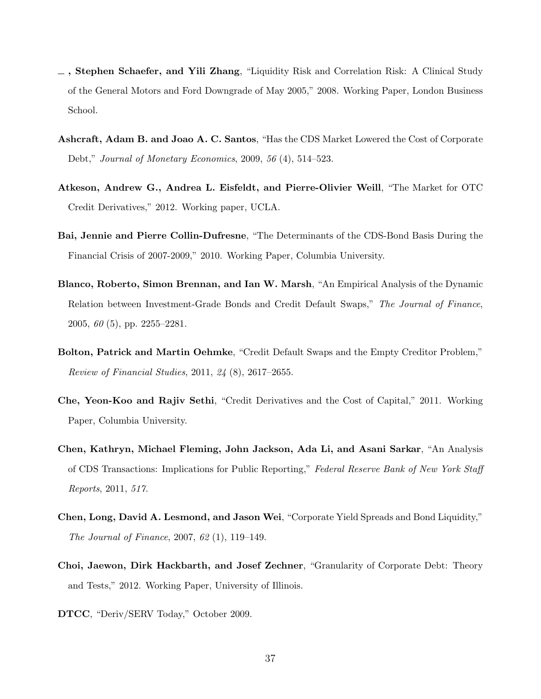- <span id="page-36-10"></span> $\equiv$ , Stephen Schaefer, and Yili Zhang, "Liquidity Risk and Correlation Risk: A Clinical Study of the General Motors and Ford Downgrade of May 2005," 2008. Working Paper, London Business School.
- <span id="page-36-4"></span>Ashcraft, Adam B. and Joao A. C. Santos, "Has the CDS Market Lowered the Cost of Corporate Debt," Journal of Monetary Economics, 2009, 56 (4), 514–523.
- <span id="page-36-5"></span>Atkeson, Andrew G., Andrea L. Eisfeldt, and Pierre-Olivier Weill, "The Market for OTC Credit Derivatives," 2012. Working paper, UCLA.
- <span id="page-36-3"></span>Bai, Jennie and Pierre Collin-Dufresne, "The Determinants of the CDS-Bond Basis During the Financial Crisis of 2007-2009," 2010. Working Paper, Columbia University.
- <span id="page-36-2"></span>Blanco, Roberto, Simon Brennan, and Ian W. Marsh, "An Empirical Analysis of the Dynamic Relation between Investment-Grade Bonds and Credit Default Swaps," The Journal of Finance, 2005, 60 (5), pp. 2255–2281.
- <span id="page-36-0"></span>Bolton, Patrick and Martin Oehmke, "Credit Default Swaps and the Empty Creditor Problem," Review of Financial Studies, 2011, 24 (8), 2617–2655.
- <span id="page-36-6"></span>Che, Yeon-Koo and Rajiv Sethi, "Credit Derivatives and the Cost of Capital," 2011. Working Paper, Columbia University.
- <span id="page-36-1"></span>Chen, Kathryn, Michael Fleming, John Jackson, Ada Li, and Asani Sarkar, "An Analysis of CDS Transactions: Implications for Public Reporting," Federal Reserve Bank of New York Staff Reports, 2011, 517.
- <span id="page-36-9"></span>Chen, Long, David A. Lesmond, and Jason Wei, "Corporate Yield Spreads and Bond Liquidity," The Journal of Finance, 2007, 62 (1), 119–149.
- <span id="page-36-8"></span>Choi, Jaewon, Dirk Hackbarth, and Josef Zechner, "Granularity of Corporate Debt: Theory and Tests," 2012. Working Paper, University of Illinois.
- <span id="page-36-7"></span>DTCC, "Deriv/SERV Today," October 2009.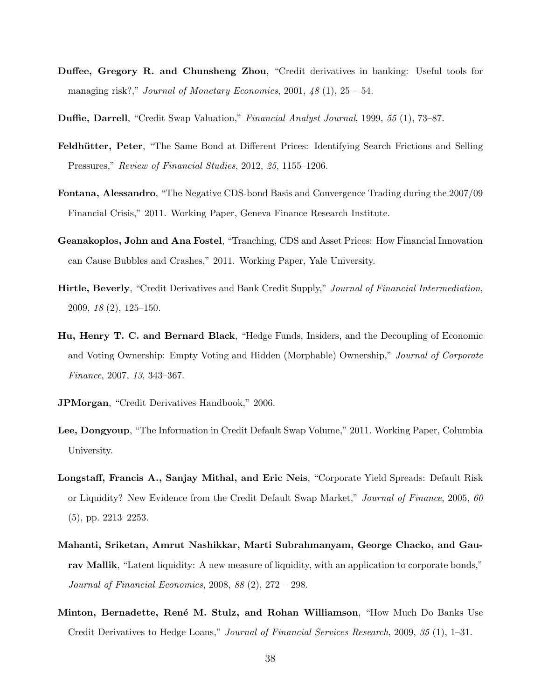- <span id="page-37-6"></span>Duffee, Gregory R. and Chunsheng Zhou, "Credit derivatives in banking: Useful tools for managing risk?," Journal of Monetary Economics, 2001,  $48(1)$ , 25 – 54.
- <span id="page-37-3"></span>Duffie, Darrell, "Credit Swap Valuation," Financial Analyst Journal, 1999, 55 (1), 73–87.
- <span id="page-37-10"></span>Feldhütter, Peter, "The Same Bond at Different Prices: Identifying Search Frictions and Selling Pressures," Review of Financial Studies, 2012, 25, 1155–1206.
- <span id="page-37-2"></span>Fontana, Alessandro, "The Negative CDS-bond Basis and Convergence Trading during the 2007/09 Financial Crisis," 2011. Working Paper, Geneva Finance Research Institute.
- <span id="page-37-7"></span>Geanakoplos, John and Ana Fostel, "Tranching, CDS and Asset Prices: How Financial Innovation can Cause Bubbles and Crashes," 2011. Working Paper, Yale University.
- <span id="page-37-5"></span>Hirtle, Beverly, "Credit Derivatives and Bank Credit Supply," Journal of Financial Intermediation, 2009, 18 (2), 125–150.
- <span id="page-37-0"></span>Hu, Henry T. C. and Bernard Black, "Hedge Funds, Insiders, and the Decoupling of Economic and Voting Ownership: Empty Voting and Hidden (Morphable) Ownership," Journal of Corporate Finance, 2007, 13, 343–367.
- <span id="page-37-11"></span>JPMorgan, "Credit Derivatives Handbook," 2006.
- <span id="page-37-1"></span>Lee, Dongyoup, "The Information in Credit Default Swap Volume," 2011. Working Paper, Columbia University.
- <span id="page-37-8"></span>Longstaff, Francis A., Sanjay Mithal, and Eric Neis, "Corporate Yield Spreads: Default Risk or Liquidity? New Evidence from the Credit Default Swap Market," Journal of Finance, 2005, 60 (5), pp. 2213–2253.
- <span id="page-37-9"></span>Mahanti, Sriketan, Amrut Nashikkar, Marti Subrahmanyam, George Chacko, and Gaurav Mallik, "Latent liquidity: A new measure of liquidity, with an application to corporate bonds," Journal of Financial Economics, 2008, 88 (2), 272 – 298.
- <span id="page-37-4"></span>Minton, Bernadette, René M. Stulz, and Rohan Williamson, "How Much Do Banks Use Credit Derivatives to Hedge Loans," Journal of Financial Services Research, 2009, 35 (1), 1–31.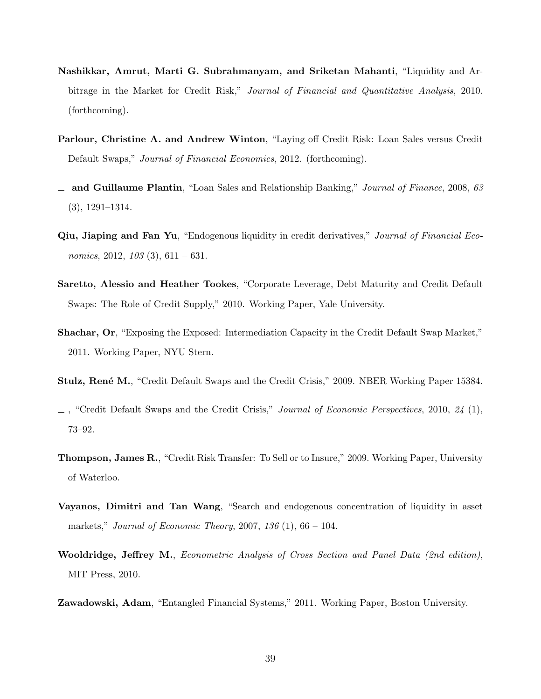- <span id="page-38-3"></span>Nashikkar, Amrut, Marti G. Subrahmanyam, and Sriketan Mahanti, "Liquidity and Arbitrage in the Market for Credit Risk," Journal of Financial and Quantitative Analysis, 2010. (forthcoming).
- <span id="page-38-7"></span>Parlour, Christine A. and Andrew Winton, "Laying off Credit Risk: Loan Sales versus Credit Default Swaps," Journal of Financial Economics, 2012. (forthcoming).
- <span id="page-38-5"></span> $\Delta$  and Guillaume Plantin, "Loan Sales and Relationship Banking," Journal of Finance, 2008, 63 (3), 1291–1314.
- <span id="page-38-4"></span>Qiu, Jiaping and Fan Yu, "Endogenous liquidity in credit derivatives," Journal of Financial Economics, 2012,  $103(3)$ , 611 – 631.
- <span id="page-38-1"></span>Saretto, Alessio and Heather Tookes, "Corporate Leverage, Debt Maturity and Credit Default Swaps: The Role of Credit Supply," 2010. Working Paper, Yale University.
- <span id="page-38-2"></span>Shachar, Or, "Exposing the Exposed: Intermediation Capacity in the Credit Default Swap Market," 2011. Working Paper, NYU Stern.
- <span id="page-38-9"></span>Stulz, René M., "Credit Default Swaps and the Credit Crisis," 2009. NBER Working Paper 15384.
- <span id="page-38-0"></span> $\ldots$ , "Credit Default Swaps and the Credit Crisis," Journal of Economic Perspectives, 2010, 24 (1), 73–92.
- <span id="page-38-6"></span>Thompson, James R., "Credit Risk Transfer: To Sell or to Insure," 2009. Working Paper, University of Waterloo.
- <span id="page-38-11"></span>Vayanos, Dimitri and Tan Wang, "Search and endogenous concentration of liquidity in asset markets," *Journal of Economic Theory*, 2007, 136 (1), 66 – 104.
- <span id="page-38-10"></span>Wooldridge, Jeffrey M., Econometric Analysis of Cross Section and Panel Data (2nd edition), MIT Press, 2010.
- <span id="page-38-8"></span>Zawadowski, Adam, "Entangled Financial Systems," 2011. Working Paper, Boston University.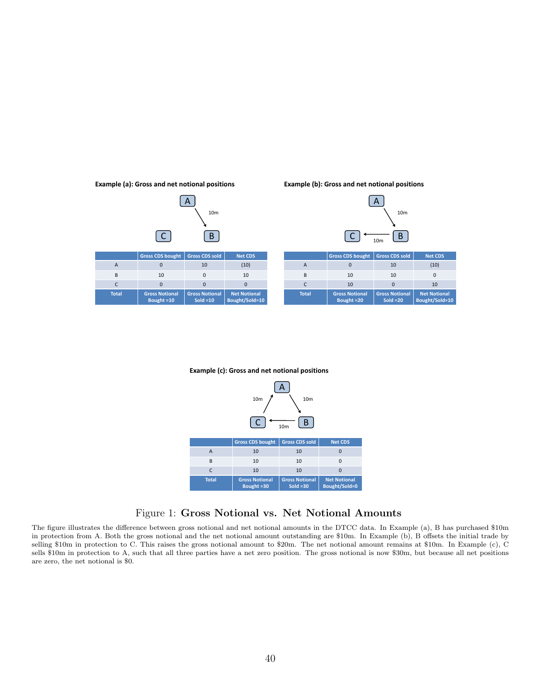

**Example (a): Gross and net notional positions**

**Example (b): Gross and net notional positions**



|              | <b>Gross CDS bought</b>              | <b>Gross CDS sold</b>                | <b>Net CDS</b>                        |
|--------------|--------------------------------------|--------------------------------------|---------------------------------------|
|              |                                      | 10                                   | (10)                                  |
| B            | 10                                   | 10                                   |                                       |
|              | 10                                   |                                      | 10                                    |
| <b>Total</b> | <b>Gross Notional</b><br>Bought = 20 | <b>Gross Notional</b><br>$Sold = 20$ | <b>Net Notional</b><br>Bought/Sold=10 |

#### **Example (c): Gross and net notional positions**



### <span id="page-39-0"></span>Figure 1: Gross Notional vs. Net Notional Amounts

The figure illustrates the difference between gross notional and net notional amounts in the DTCC data. In Example (a), B has purchased \$10m in protection from A. Both the gross notional and the net notional amount outstanding are \$10m. In Example (b), B offsets the initial trade by selling \$10m in protection to C. This raises the gross notional amount to \$20m. The net notional amount remains at \$10m. In Example (c), C sells \$10m in protection to A, such that all three parties have a net zero position. The gross notional is now \$30m, but because all net positions are zero, the net notional is \$0.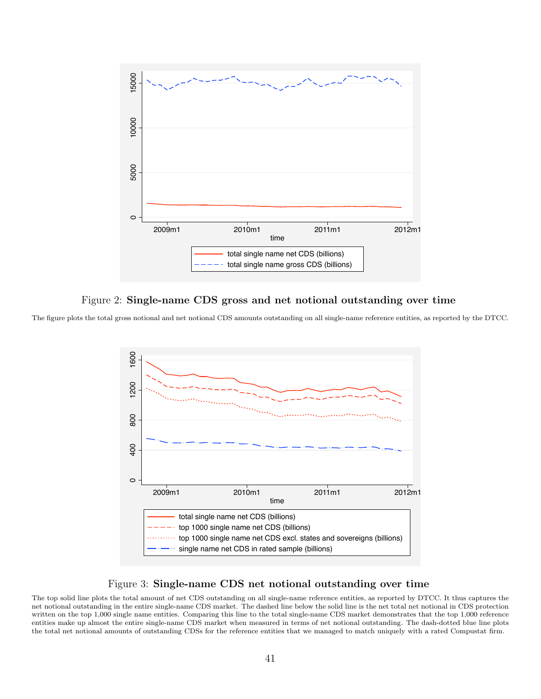

<span id="page-40-0"></span>Figure 2: Single-name CDS gross and net notional outstanding over time

The figure plots the total gross notional and net notional CDS amounts outstanding on all single-name reference entities, as reported by the DTCC.



### <span id="page-40-1"></span>Figure 3: Single-name CDS net notional outstanding over time

The top solid line plots the total amount of net CDS outstanding on all single-name reference entities, as reported by DTCC. It thus captures the net notional outstanding in the entire single-name CDS market. The dashed line below the solid line is the net total net notional in CDS protection written on the top 1,000 single name entities. Comparing this line to the total single-name CDS market demonstrates that the top 1,000 reference entities make up almost the entire single-name CDS market when measured in terms of net notional outstanding. The dash-dotted blue line plots the total net notional amounts of outstanding CDSs for the reference entities that we managed to match uniquely with a rated Compustat firm.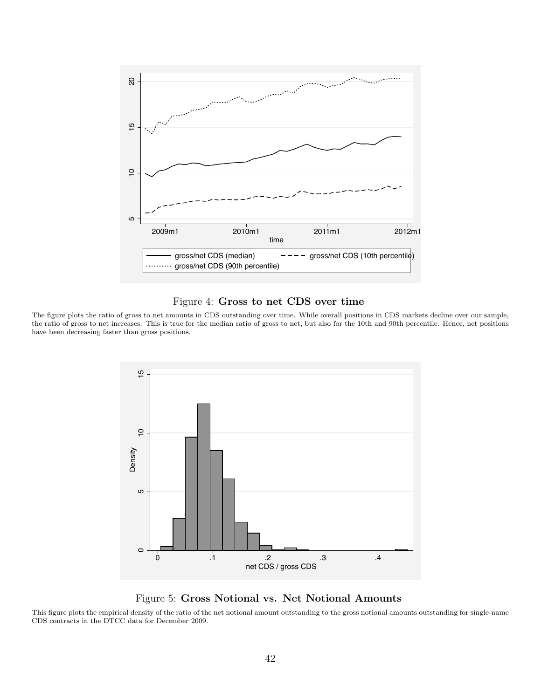

### <span id="page-41-0"></span>Figure 4: Gross to net CDS over time

The figure plots the ratio of gross to net amounts in CDS outstanding over time. While overall positions in CDS markets decline over our sample, the ratio of gross to net increases. This is true for the median ratio of gross to net, but also for the 10th and 90th percentile. Hence, net positions have been decreasing faster than gross positions.



<span id="page-41-1"></span>Figure 5: Gross Notional vs. Net Notional Amounts

This figure plots the empirical density of the ratio of the net notional amount outstanding to the gross notional amounts outstanding for single-name CDS contracts in the DTCC data for December 2009.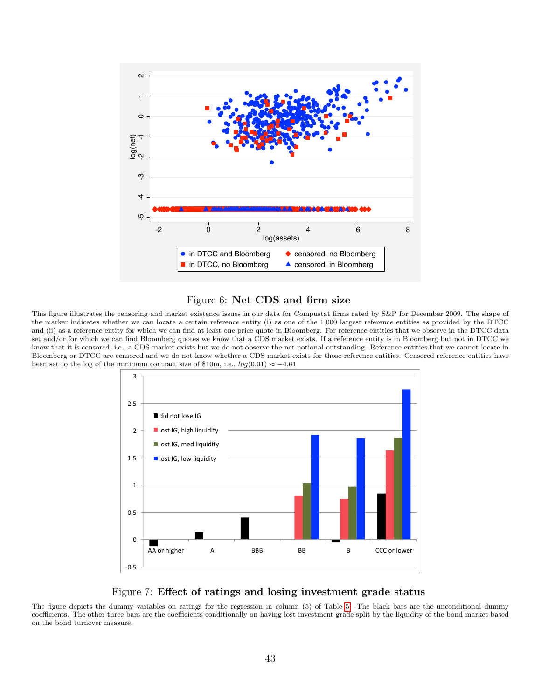

#### <span id="page-42-0"></span>Figure 6: Net CDS and firm size

This figure illustrates the censoring and market existence issues in our data for Compustat firms rated by S&P for December 2009. The shape of the marker indicates whether we can locate a certain reference entity (i) as one of the 1,000 largest reference entities as provided by the DTCC and (ii) as a reference entity for which we can find at least one price quote in Bloomberg. For reference entities that we observe in the DTCC data set and/or for which we can find Bloomberg quotes we know that a CDS market exists. If a reference entity is in Bloomberg but not in DTCC we know that it is censored, i.e., a CDS market exists but we do not observe the net notional outstanding. Reference entities that we cannot locate in Bloomberg or DTCC are censored and we do not know whether a CDS market exists for those reference entities. Censored reference entities have been set to the log of the minimum contract size of \$10m, i.e.,  $log(0.01) \approx -4.61$ 



#### <span id="page-42-1"></span>Figure 7: Effect of ratings and losing investment grade status

The figure depicts the dummy variables on ratings for the regression in column (5) of Table [5.](#page-47-0) The black bars are the unconditional dummy coefficients. The other three bars are the coefficients conditionally on having lost investment grade split by the liquidity of the bond market based on the bond turnover measure.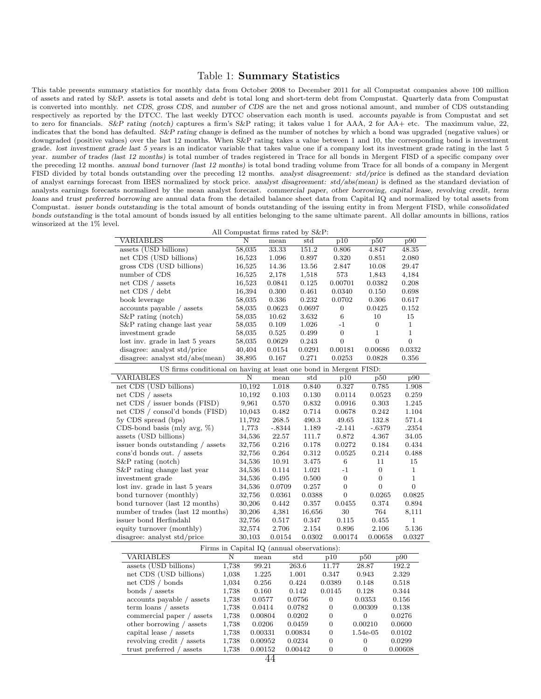#### <span id="page-43-0"></span>Table 1: Summary Statistics

This table presents summary statistics for monthly data from October 2008 to December 2011 for all Compustat companies above 100 million of assets and rated by S&P. assets is total assets and debt is total long and short-term debt from Compustat. Quarterly data from Compustat is converted into monthly. net CDS, gross CDS, and number of CDS are the net and gross notional amount, and number of CDS outstanding respectively as reported by the DTCC. The last weekly DTCC observation each month is used. accounts payable is from Compustat and set to zero for financials. S&P rating (notch) captures a firm's S&P rating; it takes value 1 for AAA, 2 for AA+ etc. The maximum value, 22, indicates that the bond has defaulted. S&P rating change is defined as the number of notches by which a bond was upgraded (negative values) or downgraded (positive values) over the last 12 months. When S&P rating takes a value between 1 and 10, the corresponding bond is investment grade. lost investment grade last 5 years is an indicator variable that takes value one if a company lost its investment grade rating in the last 5 year. number of trades (last 12 months) is total number of trades registered in Trace for all bonds in Mergent FISD of a specific company over the preceding 12 months. annual bond turnover (last 12 months) is total bond trading volume from Trace for all bonds of a company in Mergent FISD divided by total bonds outstanding over the preceding 12 months. analyst disagreement: std/price is defined as the standard deviation of analyst earnings forecast from IBES normalized by stock price. analyst disagreement: std/abs(mean) is defined as the standard deviation of analysts earnings forecasts normalized by the mean analyst forecast. commercial paper, other borrowing, capital lease, revolving credit, term loans and trust preferred borrowing are annual data from the detailed balance sheet data from Capital IQ and normalized by total assets from Compustat. issuer bonds outstanding is the total amount of bonds outstanding of the issuing entity in from Mergent FISD, while consolidated bonds outstanding is the total amount of bonds issued by all entities belonging to the same ultimate parent. All dollar amounts in billions, ratios winsorized at the 1% level.

|                                                                   |       |        |         | All Compustat firms rated by S&P:          |                  |                  |                  |                  |
|-------------------------------------------------------------------|-------|--------|---------|--------------------------------------------|------------------|------------------|------------------|------------------|
| VARIABLES                                                         |       | Ν      | mean    | $_{\rm std}$                               | p10              |                  | p50              | p90              |
| assets (USD billions)                                             |       | 58,035 | 33.33   | 151.2                                      | 0.806            |                  | 4.847            | 48.35            |
| net CDS (USD billions)                                            |       | 16,523 | 1.096   | 0.897                                      | 0.320            |                  | 0.851            | 2.080            |
| gross CDS (USD billions)                                          |       | 16,525 | 14.36   | 13.56                                      | 2.847            |                  | 10.08            | 29.47            |
| number of CDS                                                     |       | 16,525 | 2,178   | 1,518                                      | 573              |                  | 1,843            | 4,184            |
| net CDS / assets                                                  |       | 16,523 | 0.0841  | 0.125                                      | 0.00701          |                  | 0.0382           | 0.208            |
| net CDS / debt                                                    |       | 16,394 | 0.300   | 0.461                                      | 0.0340           |                  | 0.150            | 0.698            |
| book leverage                                                     |       | 58,035 | 0.336   | 0.232                                      | 0.0702           |                  | 0.306            | 0.617            |
| accounts payable / assets                                         |       | 58,035 | 0.0623  | 0.0697                                     | $\boldsymbol{0}$ |                  | 0.0425           | 0.152            |
| $S\&P$ rating (notch)                                             |       | 58,035 | 10.62   | 3.632                                      | 6                |                  | 10               | 15               |
| S&P rating change last year                                       |       | 58,035 | 0.109   | 1.026                                      | $-1$             |                  | $\boldsymbol{0}$ | $\mathbf{1}$     |
| investment grade                                                  |       | 58,035 | 0.525   | 0.499                                      | $\boldsymbol{0}$ |                  | $\mathbf 1$      | $\mathbf{1}$     |
| lost inv. grade in last 5 years                                   |       | 58,035 | 0.0629  | 0.243                                      | $\boldsymbol{0}$ |                  | 0                | $\boldsymbol{0}$ |
| disagree: analyst std/price                                       |       | 40,404 | 0.0154  | 0.0291                                     | 0.00181          |                  | 0.00686          | 0.0332           |
| disagree: analyst $std/abs(mean)$                                 |       | 38,895 | 0.167   | 0.271                                      | 0.0253           |                  | 0.0828           | 0.356            |
| US firms conditional on having at least one bond in Mergent FISD: |       |        |         |                                            |                  |                  |                  |                  |
| VARIABLES                                                         |       | Ν      | mean    | std                                        |                  | p10              | p50              | p90              |
| net CDS (USD billions)                                            |       | 10,192 | 1.018   | 0.840                                      |                  | 0.327            | 0.785            | 1.908            |
| net CDS / assets                                                  |       | 10,192 | 0.103   | 0.130                                      |                  | 0.0114           | 0.0523           | 0.259            |
| net CDS / issuer bonds (FISD)                                     |       | 9,961  | 0.570   | 0.832                                      |                  | 0.0916           | 0.303            | 1.245            |
| net CDS / consol'd bonds (FISD)                                   |       | 10,043 | 0.482   | 0.714                                      |                  | 0.0678           | 0.242            | 1.104            |
| 5y CDS spread (bps)                                               |       | 11,792 | 268.5   | 490.3                                      |                  | 49.65            | 132.8            | 571.4            |
| CDS-bond basis (mly avg, $\%$ )                                   |       | 1,773  | $-8344$ | 1.189                                      |                  | $-2.141$         | $-.6379$         | .2354            |
| assets (USD billions)                                             |       | 34,536 | 22.57   | 111.7                                      |                  | 0.872            | 4.367            | 34.05            |
| issuer bonds outstanding / assets                                 |       | 32,756 | 0.216   | 0.178                                      |                  | 0.0272           | 0.184            | 0.434            |
| cons'd bonds out. / assets                                        |       | 32,756 | 0.264   | 0.312                                      |                  | 0.0525           | 0.214            | 0.488            |
| $S\&P$ rating (notch)                                             |       | 34,536 | 10.91   | 3.475                                      |                  | 6                | 11               | 15               |
| S&P rating change last year                                       |       | 34,536 | 0.114   | 1.021                                      |                  | $-1$             | 0                | 1                |
| investment grade                                                  |       | 34,536 | 0.495   | 0.500                                      |                  | $\boldsymbol{0}$ | $\boldsymbol{0}$ | 1                |
| lost inv. grade in last 5 years                                   |       | 34,536 | 0.0709  | 0.257                                      |                  | $\boldsymbol{0}$ | $\boldsymbol{0}$ | $\boldsymbol{0}$ |
| bond turnover (monthly)                                           |       | 32,756 | 0.0361  | 0.0388                                     |                  | 0                | 0.0265           | 0.0825           |
| bond turnover (last 12 months)                                    |       | 30,206 | 0.442   | 0.357                                      |                  | 0.0455           | 0.374            | 0.894            |
| number of trades (last 12 months)                                 |       | 30,206 | 4,381   | 16,656                                     |                  | 30               | 764              | 8,111            |
| issuer bond Herfindahl                                            |       | 32,756 | 0.517   | 0.347                                      |                  | 0.115            | 0.455            | 1                |
| equity turnover (monthly)                                         |       | 32,574 | 2.706   | 2.154                                      |                  | 0.896            | 2.106            | 5.136            |
| disagree: analyst std/price                                       |       | 30,103 | 0.0154  | 0.0302                                     |                  | 0.00174          | 0.00658          | 0.0327           |
|                                                                   |       |        |         | Firms in Capital IQ (annual observations): |                  |                  |                  |                  |
| <b>VARIABLES</b>                                                  | N     |        | mean    | std                                        | p10              |                  | p50              | p90              |
| assets (USD billions)                                             | 1,738 |        | 99.21   | 263.6                                      | 11.77            |                  | 28.87            | 192.2            |
| net CDS (USD billions)                                            | 1,038 |        | 1.225   | 1.001                                      | 0.347            |                  | 0.943            | 2.329            |
| net CDS $\slash$ bonds                                            | 1,034 |        | 0.256   | 0.424                                      | 0.0389           |                  | 0.148            | 0.518            |
| bonds / assets                                                    | 1,738 |        | 0.160   | 0.142                                      | 0.0145           |                  | 0.128            | 0.344            |
| accounts payable / assets                                         | 1,738 |        | 0.0577  | 0.0756                                     | $\overline{0}$   |                  | 0.0353           | 0.156            |
| term loans $\frac{\ }{2}$ assets                                  | 1,738 |        | 0.0414  | 0.0782                                     | $\boldsymbol{0}$ |                  | 0.00309          | 0.138            |
| commercial paper / assets                                         | 1,738 |        | 0.00804 | 0.0202                                     | $\boldsymbol{0}$ |                  | 0                | 0.0276           |
| other borrowing / assets                                          | 1,738 |        | 0.0206  | 0.0459                                     | $\mathbf{0}$     |                  | 0.00210          | 0.0600           |
| capital lease / assets                                            | 1,738 |        | 0.00331 | 0.00834                                    | $\boldsymbol{0}$ |                  | 1.54e-05         | 0.0102           |
| revolving credit / assets                                         | 1,738 |        | 0.00952 | 0.0234                                     | $\boldsymbol{0}$ |                  | 0                | 0.0299           |
| trust preferred / assets                                          | 1,738 |        | 0.00152 | 0.00442                                    | $\overline{0}$   |                  | 0                | 0.00608          |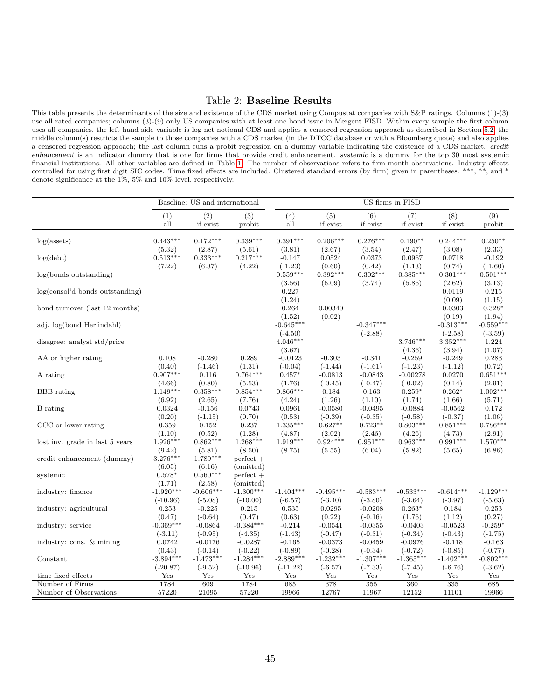#### <span id="page-44-0"></span>Table 2: Baseline Results

This table presents the determinants of the size and existence of the CDS market using Compustat companies with S&P ratings. Columns (1)-(3) use all rated companies; columns (3)-(9) only US companies with at least one bond issue in Mergent FISD. Within every sample the first column uses all companies, the left hand side variable is log net notional CDS and applies a censored regression approach as described in Section [5.2;](#page-17-0) the middle column(s) restricts the sample to those companies with a CDS market (in the DTCC database or with a Bloomberg quote) and also applies a censored regression approach; the last column runs a probit regression on a dummy variable indicating the existence of a CDS market. credit enhancement is an indicator dummy that is one for firms that provide credit enhancement. systemic is a dummy for the top 30 most systemic financial institutions. All other variables are defined in Table [1.](#page-43-0) The number of observations refers to firm-month observations. Industry effects controlled for using first digit SIC codes. Time fixed effects are included. Clustered standard errors (by firm) given in parentheses. \*\*\*, \*\*, and \* denote significance at the 1%, 5% and 10% level, respectively.

|                                  |                      | Baseline: US and international |                          |                       |                        |                        | US firms in FISD        |                  |                       |
|----------------------------------|----------------------|--------------------------------|--------------------------|-----------------------|------------------------|------------------------|-------------------------|------------------|-----------------------|
|                                  | (1)<br>all           | (2)<br>if exist                | (3)<br>probit            | (4)<br>all            | (5)<br>if exist        | (6)<br>if exist        | (7)<br>if exist         | (8)<br>if exist  | (9)<br>probit         |
| $log($ assets $)$                | $0.443***$           | $0.172***$                     | $0.339***$               | $0.391***$            | $0.206***$             | $0.276***$             | $0.190**$               | $0.244***$       | $0.250**$             |
|                                  | (5.32)               | (2.87)                         | (5.61)                   | (3.81)                | (2.67)                 | (3.54)                 | (2.47)                  | (3.08)           | (2.33)                |
| log(debt)                        | $0.513***$<br>(7.22) | $0.333***$<br>(6.37)           | $0.217***$<br>(4.22)     | $-0.147$<br>$(-1.23)$ | 0.0524<br>(0.60)       | 0.0373<br>(0.42)       | 0.0967<br>(1.13)        | 0.0718<br>(0.74) | $-0.192$<br>$(-1.60)$ |
| log(bonds outstanding)           |                      |                                |                          | $0.559***$            | $0.392***$             | $0.302***$             | $0.385***$              | $0.301***$       | $0.501***$            |
|                                  |                      |                                |                          | (3.56)                | (6.09)                 | (3.74)                 | (5.86)                  | (2.62)           | (3.13)                |
| $log(constd)$ bonds outstanding) |                      |                                |                          | 0.227                 |                        |                        |                         | 0.0119           | 0.215                 |
|                                  |                      |                                |                          | (1.24)                |                        |                        |                         | (0.09)           | (1.15)                |
| bond turnover (last 12 months)   |                      |                                |                          | 0.264<br>(1.52)       | 0.00340<br>(0.02)      |                        |                         | 0.0303<br>(0.19) | $0.328*$<br>(1.94)    |
| adj. log(bond Herfindahl)        |                      |                                |                          | $-0.645***$           |                        | $-0.347***$            |                         | $-0.313***$      | $-0.559***$           |
|                                  |                      |                                |                          | $(-4.50)$             |                        | $(-2.88)$              |                         | $(-2.58)$        | $(-3.59)$             |
| disagree: analyst std/price      |                      |                                |                          | $4.046***$            |                        |                        | $3.746***$              | $3.352***$       | 1.224                 |
|                                  |                      |                                |                          | (3.67)                |                        |                        | (4.36)                  | (3.94)           | (1.07)                |
| AA or higher rating              | 0.108                | $-0.280$                       | 0.289                    | $-0.0123$             | $-0.303$               | $-0.341$               | $-0.259$                | $-0.249$         | 0.283                 |
|                                  | (0.40)               | $(-1.46)$                      | (1.31)                   | $(-0.04)$             | $(-1.44)$              | $(-1.61)$              | $(-1.23)$               | $(-1.12)$        | (0.72)                |
| A rating                         | $0.907***$<br>(4.66) | 0.116<br>(0.80)                | $0.764***$<br>(5.53)     | $0.457*$<br>(1.76)    | $-0.0813$<br>$(-0.45)$ | $-0.0843$<br>$(-0.47)$ | $-0.00278$<br>$(-0.02)$ | 0.0270<br>(0.14) | $0.651***$<br>(2.91)  |
| <b>BBB</b> rating                | $1.149***$           | $0.358***$                     | $0.854***$               | $0.866***$            | 0.184                  | 0.163                  | $0.259*$                | $0.262*$         | $1.002***$            |
|                                  | (6.92)               | (2.65)                         | (7.76)                   | (4.24)                | (1.26)                 | (1.10)                 | (1.74)                  | (1.66)           | (5.71)                |
| <b>B</b> rating                  | 0.0324               | $-0.156$                       | 0.0743                   | 0.0961                | $-0.0580$              | $-0.0495$              | $-0.0884$               | $-0.0562$        | 0.172                 |
|                                  | (0.20)               | $(-1.15)$                      | (0.70)                   | (0.53)                | $(-0.39)$              | $(-0.35)$              | $(-0.58)$               | $(-0.37)$        | (1.06)                |
| CCC or lower rating              | 0.359                | 0.152                          | 0.237                    | $1.335***$            | $0.627**$              | $0.723**$              | $0.803***$              | $0.851***$       | $0.786***$            |
|                                  | (1.10)               | (0.52)                         | (1.28)                   | (4.87)                | (2.02)                 | (2.46)                 | (4.26)                  | (4.73)           | (2.91)                |
| lost inv. grade in last 5 years  | $1.926***$           | $0.862***$                     | $1.268***$               | $1.919***$            | $0.924***$             | $0.951***$             | $0.963***$              | $0.991***$       | $1.570***$            |
|                                  | (9.42)               | (5.81)                         | (8.50)                   | (8.75)                | (5.55)                 | (6.04)                 | (5.82)                  | (5.65)           | (6.86)                |
| credit enhancement (dummy)       | $3.276***$           | $1.789***$                     | $perfect +$              |                       |                        |                        |                         |                  |                       |
|                                  | (6.05)               | (6.16)                         | (omitted)                |                       |                        |                        |                         |                  |                       |
| systemic                         | $0.578*$<br>(1.71)   | $0.560***$<br>(2.58)           | $perfect +$<br>(omitted) |                       |                        |                        |                         |                  |                       |
| industry: finance                | $-1.920***$          | $-0.606***$                    | $-1.300***$              | $-1.404***$           | $-0.495***$            | $-0.583***$            | $-0.533***$             | $-0.614***$      | $-1.129***$           |
|                                  | $(-10.96)$           | $(-5.08)$                      | $(-10.00)$               | $(-6.57)$             | $(-3.40)$              | $(-3.80)$              | $(-3.64)$               | $(-3.97)$        | $(-5.63)$             |
| industry: agricultural           | 0.253                | $-0.225$                       | 0.215                    | 0.535                 | 0.0295                 | $-0.0208$              | $0.263*$                | 0.184            | 0.253                 |
|                                  | (0.47)               | $(-0.64)$                      | (0.47)                   | (0.63)                | (0.22)                 | $(-0.16)$              | (1.76)                  | (1.12)           | (0.27)                |
| industry: service                | $-0.369***$          | $-0.0864$                      | $-0.384***$              | $-0.214$              | $-0.0541$              | $-0.0355$              | $-0.0403$               | $-0.0523$        | $-0.259*$             |
|                                  | $(-3.11)$            | $(-0.95)$                      | $(-4.35)$                | $(-1.43)$             | $(-0.47)$              | $(-0.31)$              | $(-0.34)$               | $(-0.43)$        | $(-1.75)$             |
| industry: cons. & mining         | 0.0742               | $-0.0176$                      | $-0.0287$                | $-0.165$              | $-0.0373$              | $-0.0459$              | $-0.0976$               | $-0.118$         | $-0.163$              |
|                                  | (0.43)               | $(-0.14)$                      | $(-0.22)$                | $(-0.89)$             | $(-0.28)$              | $(-0.34)$              | $(-0.72)$               | $(-0.85)$        | $(-0.77)$             |
| Constant                         | $-3.894***$          | $-1.473***$<br>$(-9.52)$       | $-1.284***$              | $-2.889***$           | $-1.232***$            | $-1.307***$            | $-1.365***$             | $-1.402***$      | $-0.802***$           |
| time fixed effects               | $(-20.87)$<br>Yes    | Yes                            | $(-10.96)$<br>Yes        | $(-11.22)$<br>Yes     | $(-6.57)$<br>Yes       | $(-7.33)$<br>Yes       | $(-7.45)$<br>Yes        | $(-6.76)$<br>Yes | $(-3.62)$<br>Yes      |
| Number of Firms                  | 1784                 | 609                            | 1784                     | 685                   | 378                    | 355                    | 360                     | 335              | 685                   |
| Number of Observations           | 57220                | 21095                          | 57220                    | 19966                 | 12767                  | 11967                  | 12152                   | 11101            | 19966                 |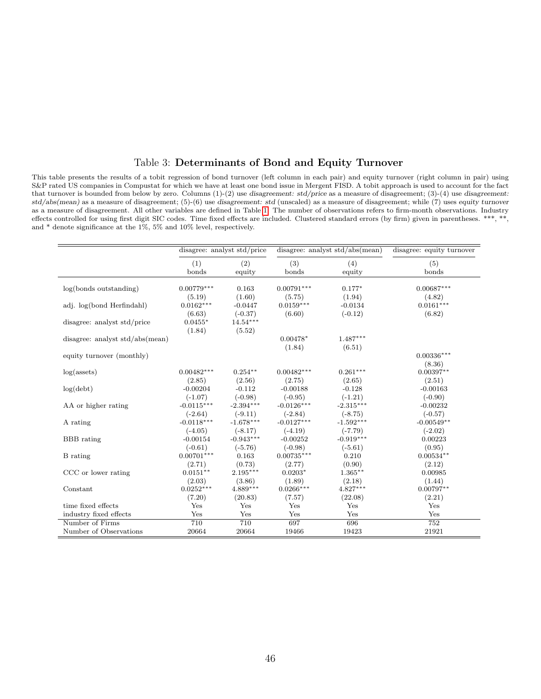### <span id="page-45-0"></span>Table 3: Determinants of Bond and Equity Turnover

This table presents the results of a tobit regression of bond turnover (left column in each pair) and equity turnover (right column in pair) using S&P rated US companies in Compustat for which we have at least one bond issue in Mergent FISD. A tobit approach is used to account for the fact that turnover is bounded from below by zero. Columns (1)-(2) use disagreement: std/price as a measure of disagreement; (3)-(4) use disagreement: std/abs(mean) as a measure of disagreement; (5)-(6) use disagreement: std (unscaled) as a measure of disagreement; while (7) uses equity turnover as a measure of disagreement. All other variables are defined in Table [1.](#page-43-0) The number of observations refers to firm-month observations. Industry effects controlled for using first digit SIC codes. Time fixed effects are included. Clustered standard errors (by firm) given in parentheses. \*\*\*, \*\*, and  $^*$  denote significance at the  $1\%,\,5\%$  and  $10\%$  level, respectively.

|                                   |              | disagree: analyst std/price |              | disagree: analyst $std/abs(mean)$ | disagree: equity turnover |
|-----------------------------------|--------------|-----------------------------|--------------|-----------------------------------|---------------------------|
|                                   | (1)          | (2)                         | (3)          | (4)                               | (5)                       |
|                                   | bonds        | equity                      | bonds        | equity                            | bonds                     |
|                                   |              |                             |              |                                   |                           |
| log(bonds outstanding)            | $0.00779***$ | 0.163                       | $0.00791***$ | $0.177*$                          | $0.00687***$              |
|                                   | (5.19)       | (1.60)                      | (5.75)       | (1.94)                            | (4.82)                    |
| adj. log(bond Herfindahl)         | $0.0162***$  | $-0.0447$                   | $0.0159***$  | $-0.0134$                         | $0.0161***$               |
|                                   | (6.63)       | $(-0.37)$                   | (6.60)       | $(-0.12)$                         | (6.82)                    |
| disagree: analyst std/price       | $0.0455*$    | $14.54***$                  |              |                                   |                           |
|                                   | (1.84)       | (5.52)                      |              |                                   |                           |
| disagree: analyst $std/abs(mean)$ |              |                             | $0.00478*$   | $1.487***$                        |                           |
|                                   |              |                             | (1.84)       | (6.51)                            |                           |
| equity turnover (monthly)         |              |                             |              |                                   | $0.00336***$              |
|                                   |              |                             |              |                                   | (8.36)                    |
| log(asserts)                      | $0.00482***$ | $0.254**$                   | $0.00482***$ | $0.261***$                        | $0.00397**$               |
|                                   | (2.85)       | (2.56)                      | (2.75)       | (2.65)                            | (2.51)                    |
| log(debt)                         | $-0.00204$   | $-0.112$                    | $-0.00188$   | $-0.128$                          | $-0.00163$                |
|                                   | $(-1.07)$    | $(-0.98)$                   | $(-0.95)$    | $(-1.21)$                         | $(-0.90)$                 |
| AA or higher rating               | $-0.0115***$ | $-2.394***$                 | $-0.0126***$ | $-2.315***$                       | $-0.00232$                |
|                                   | $(-2.64)$    | $(-9.11)$                   | $(-2.84)$    | $(-8.75)$                         | $(-0.57)$                 |
| A rating                          | $-0.0118***$ | $-1.678***$                 | $-0.0127***$ | $-1.592***$                       | $-0.00549**$              |
|                                   | $(-4.05)$    | $(-8.17)$                   | $(-4.19)$    | $(-7.79)$                         | $(-2.02)$                 |
| <b>BBB</b> rating                 | $-0.00154$   | $-0.943***$                 | $-0.00252$   | $-0.919***$                       | 0.00223                   |
|                                   | $(-0.61)$    | $(-5.76)$                   | $(-0.98)$    | $(-5.61)$                         | (0.95)                    |
| B rating                          | $0.00701***$ | 0.163                       | $0.00735***$ | 0.210                             | $0.00534**$               |
|                                   | (2.71)       | (0.73)                      | (2.77)       | (0.90)                            | (2.12)                    |
| CCC or lower rating               | $0.0151**$   | $2.195***$                  | $0.0203*$    | $1.365***$                        | 0.00985                   |
|                                   | (2.03)       | (3.86)                      | (1.89)       | (2.18)                            | (1.44)                    |
| Constant                          | $0.0252***$  | $4.889***$                  | $0.0266***$  | $4.827***$                        | $0.00797**$               |
|                                   | (7.20)       | (20.83)                     | (7.57)       | (22.08)                           | (2.21)                    |
| time fixed effects                | Yes          | Yes                         | Yes          | Yes                               | Yes                       |
| industry fixed effects            | Yes          | Yes                         | Yes          | Yes                               | Yes                       |
| Number of Firms                   | 710          | 710                         | 697          | 696                               | 752                       |
| Number of Observations            | 20664        | 20664                       | 19466        | 19423                             | 21921                     |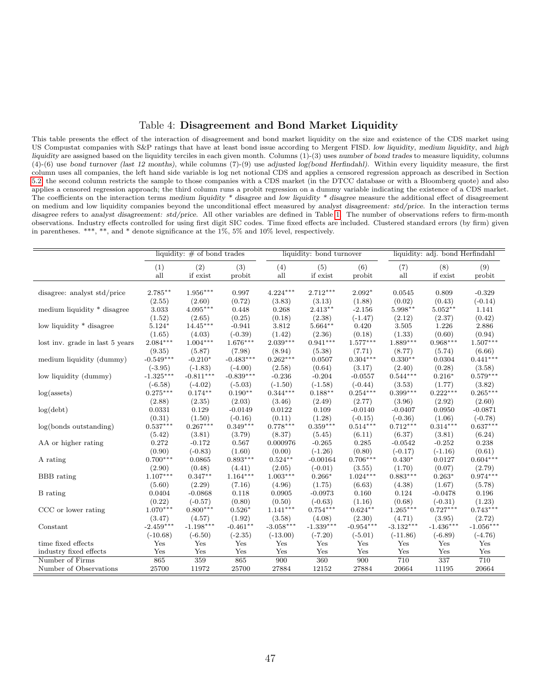### <span id="page-46-0"></span>Table 4: Disagreement and Bond Market Liquidity

This table presents the effect of the interaction of disagreement and bond market liquidity on the size and existence of the CDS market using US Compustat companies with S&P ratings that have at least bond issue according to Mergent FISD. low liquidity, medium liquidity, and high liquidity are assigned based on the liquidity terciles in each given month. Columns (1)-(3) uses number of bond trades to measure liquidity, columns  $(4)-(6)$  use bond turnover (last 12 months), while columns (7)-(9) use adjusted log(bond Herfindahl). Within every liquidity measure, the first column uses all companies, the left hand side variable is log net notional CDS and applies a censored regression approach as described in Section [5.2;](#page-17-0) the second column restricts the sample to those companies with a CDS market (in the DTCC database or with a Bloomberg quote) and also applies a censored regression approach; the third column runs a probit regression on a dummy variable indicating the existence of a CDS market. The coefficients on the interaction terms medium liquidity  $*$  disagree and low liquidity  $*$  disagree measure the additional effect of disagreement on medium and low liquidity companies beyond the unconditional effect measured by analyst disagreement: std/price. In the interaction terms disagree refers to analyst disagreement: std/price. All other variables are defined in Table [1.](#page-43-0) The number of observations refers to firm-month observations. Industry effects controlled for using first digit SIC codes. Time fixed effects are included. Clustered standard errors (by firm) given in parentheses. \*\*\*, \*\*, and \* denote significance at the  $1\%$ , 5% and  $10\%$  level, respectively.

|                                 |             | liquidity: $\#$ of bond trades |             |             | liquidity: bond turnover |             |             | liquidity: adj. bond Herfindahl |             |  |  |
|---------------------------------|-------------|--------------------------------|-------------|-------------|--------------------------|-------------|-------------|---------------------------------|-------------|--|--|
|                                 | (1)         | (2)                            | (3)         | (4)         | (5)                      | (6)         | (7)         | (8)                             | (9)         |  |  |
|                                 | all         | if exist                       | probit      | all         | if exist                 | probit      | all         | if exist                        | probit      |  |  |
| disagree: analyst std/price     | $2.785**$   | $1.956***$                     | 0.997       | $4.224***$  | $2.712***$               | $2.092*$    | 0.0545      | 0.809                           | $-0.329$    |  |  |
|                                 | (2.55)      | (2.60)                         | (0.72)      | (3.83)      | (3.13)                   | (1.88)      | (0.02)      | (0.43)                          | $(-0.14)$   |  |  |
| medium liquidity * disagree     | 3.033       | $4.095***$                     | 0.448       | 0.268       | $2.413**$                | $-2.156$    | $5.998**$   | $5.052**$                       | 1.141       |  |  |
|                                 | (1.52)      | (2.65)                         | (0.25)      | (0.18)      | (2.38)                   | $(-1.47)$   | (2.12)      | (2.37)                          | (0.42)      |  |  |
| low liquidity * disagree        | $5.124*$    | $14.45***$                     | $-0.941$    | 3.812       | $5.664***$               | 0.420       | 3.505       | 1.226                           | 2.886       |  |  |
| lost inv. grade in last 5 years | (1.65)      | (4.03)                         | $(-0.39)$   | (1.42)      | (2.36)                   | (0.18)      | (1.33)      | (0.60)                          | (0.94)      |  |  |
|                                 | $2.084***$  | $1.004***$                     | $1.676***$  | $2.039***$  | $0.941***$               | $1.577***$  | $1.889***$  | $0.968***$                      | $1.507***$  |  |  |
| medium liquidity (dummy)        | (9.35)      | (5.87)                         | (7.98)      | (8.94)      | (5.38)                   | (7.71)      | (8.77)      | (5.74)                          | (6.66)      |  |  |
|                                 | $-0.549***$ | $-0.210*$                      | $-0.483***$ | $0.262***$  | 0.0507                   | $0.304***$  | $0.330**$   | 0.0304                          | $0.441***$  |  |  |
| low liquidity (dummy)           | $(-3.95)$   | $(-1.83)$                      | $(-4.00)$   | (2.58)      | (0.64)                   | (3.17)      | (2.40)      | (0.28)                          | (3.58)      |  |  |
|                                 | $-1.325***$ | $-0.811***$                    | $-0.839***$ | $-0.236$    | $-0.204$                 | $-0.0557$   | $0.544***$  | $0.216*$                        | $0.579***$  |  |  |
| $log($ assets $)$               | $(-6.58)$   | $(-4.02)$                      | $(-5.03)$   | $(-1.50)$   | $(-1.58)$                | $(-0.44)$   | (3.53)      | (1.77)                          | (3.82)      |  |  |
|                                 | $0.275***$  | $0.174**$                      | $0.190**$   | $0.344***$  | $0.188**$                | $0.254***$  | $0.399***$  | $0.222***$                      | $0.265***$  |  |  |
| log(debt)                       | (2.88)      | (2.35)                         | (2.03)      | (3.46)      | (2.49)                   | (2.77)      | (3.96)      | (2.92)                          | (2.60)      |  |  |
|                                 | 0.0331      | 0.129                          | $-0.0149$   | 0.0122      | 0.109                    | $-0.0140$   | $-0.0407$   | 0.0950                          | $-0.0871$   |  |  |
| log(bonds outstanding)          | (0.31)      | (1.50)                         | $(-0.16)$   | (0.11)      | (1.28)                   | $(-0.15)$   | $(-0.36)$   | (1.06)                          | $(-0.78)$   |  |  |
|                                 | $0.537***$  | $0.267***$                     | $0.349***$  | $0.778***$  | $0.359***$               | $0.514***$  | $0.712***$  | $0.314***$                      | $0.637***$  |  |  |
| AA or higher rating             | (5.42)      | (3.81)                         | (3.79)      | (8.37)      | (5.45)                   | (6.11)      | (6.37)      | (3.81)                          | (6.24)      |  |  |
|                                 | 0.272       | $-0.172$                       | 0.567       | 0.000976    | $-0.265$                 | 0.285       | $-0.0542$   | $-0.252$                        | 0.238       |  |  |
| A rating                        | (0.90)      | $(-0.83)$                      | (1.60)      | (0.00)      | $(-1.26)$                | (0.80)      | $(-0.17)$   | $(-1.16)$                       | (0.61)      |  |  |
|                                 | $0.700***$  | 0.0865                         | $0.893***$  | $0.524**$   | $-0.00164$               | $0.706***$  | $0.430*$    | 0.0127                          | $0.604***$  |  |  |
| <b>BBB</b> rating               | (2.90)      | (0.48)                         | (4.41)      | (2.05)      | $(-0.01)$                | (3.55)      | (1.70)      | (0.07)                          | (2.79)      |  |  |
|                                 | $1.107***$  | $0.347**$                      | $1.164***$  | $1.003***$  | $0.266*$                 | $1.024***$  | $0.883***$  | $0.263*$                        | $0.974***$  |  |  |
| B rating                        | (5.60)      | (2.29)                         | (7.16)      | (4.96)      | (1.75)                   | (6.63)      | (4.38)      | (1.67)                          | (5.78)      |  |  |
|                                 | 0.0404      | $-0.0868$                      | 0.118       | 0.0905      | $-0.0973$                | 0.160       | 0.124       | $-0.0478$                       | 0.196       |  |  |
| CCC or lower rating             | (0.22)      | $(-0.57)$                      | (0.80)      | (0.50)      | $(-0.63)$                | (1.16)      | (0.68)      | $(-0.31)$                       | (1.23)      |  |  |
|                                 | $1.070***$  | $0.800***$                     | $0.526*$    | $1.141***$  | $0.754***$               | $0.624**$   | $1.265***$  | $0.727***$                      | $0.743***$  |  |  |
| Constant                        | (3.47)      | (4.57)                         | (1.92)      | (3.58)      | (4.08)                   | (2.30)      | (4.71)      | (3.95)                          | (2.72)      |  |  |
|                                 | $-2.459***$ | $-1.198***$                    | $-0.461**$  | $-3.058***$ | $-1.339***$              | $-0.954***$ | $-3.132***$ | $-1.436***$                     | $-1.056***$ |  |  |
| time fixed effects              | $(-10.68)$  | $(-6.50)$                      | $(-2.35)$   | $(-13.00)$  | $(-7.20)$                | $(-5.01)$   | $(-11.86)$  | $(-6.89)$                       | $(-4.76)$   |  |  |
|                                 | Yes         | Yes                            | Yes         | Yes         | Yes                      | Yes         | Yes         | Yes                             | Yes         |  |  |
| industry fixed effects          | Yes         | Yes                            | Yes         | Yes         | Yes                      | Yes         | Yes         | Yes                             | Yes         |  |  |
| Number of Firms                 | 865         | 359                            | 865         | 900         | 360                      | 900         | 710         | 337                             | 710         |  |  |
| Number of Observations          | 25700       | 11972                          | 25700       | 27884       | 12152                    | 27884       | 20664       | 11195                           | 20664       |  |  |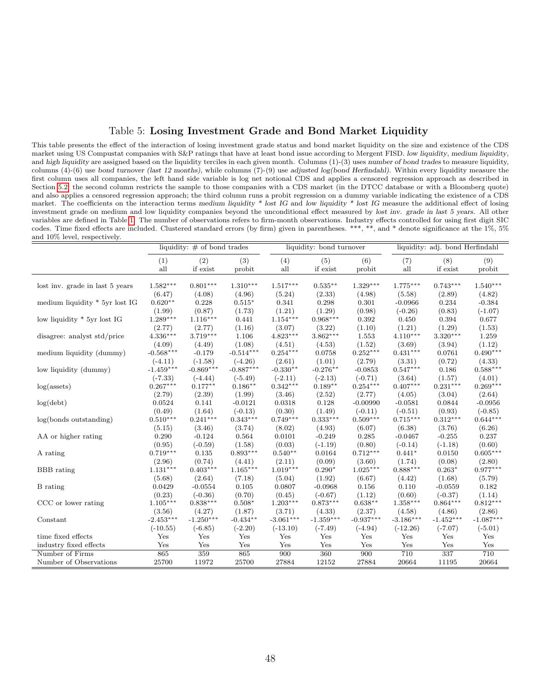### <span id="page-47-0"></span>Table 5: Losing Investment Grade and Bond Market Liquidity

This table presents the effect of the interaction of losing investment grade status and bond market liquidity on the size and existence of the CDS market using US Compustat companies with S&P ratings that have at least bond issue according to Mergent FISD. low liquidity, medium liquidity, and high liquidity are assigned based on the liquidity terciles in each given month. Columns (1)-(3) uses number of bond trades to measure liquidity, columns (4)-(6) use bond turnover (last 12 months), while columns (7)-(9) use adjusted log(bond Herfindahl). Within every liquidity measure the first column uses all companies, the left hand side variable is log net notional CDS and applies a censored regression approach as described in Section [5.2;](#page-17-0) the second column restricts the sample to those companies with a CDS market (in the DTCC database or with a Bloomberg quote) and also applies a censored regression approach; the third column runs a probit regression on a dummy variable indicating the existence of a CDS market. The coefficients on the interaction terms medium liquidity \* lost IG and low liquidity \* lost IG measure the additional effect of losing investment grade on medium and low liquidity companies beyond the unconditional effect measured by lost inv. grade in last 5 years. All other variables are defined in Table [1.](#page-43-0) The number of observations refers to firm-month observations. Industry effects controlled for using first digit SIC codes. Time fixed effects are included. Clustered standard errors (by firm) given in parentheses. \*\*\*, \*\*, and \* denote significance at the  $1\%$ ,  $5\%$ and 10% level, respectively.

|                                                                                                                                     |                                                                                                                              | liquidity: $\#$ of bond trades                                                                                                    |                                                                                                                         |                                                                                                                              | liquidity: bond turnover                                                                                                        |                                                                                                                           |                                                                                                                             | liquidity: adj. bond Herfindahl                                                                                                 |                                                                                                                            |
|-------------------------------------------------------------------------------------------------------------------------------------|------------------------------------------------------------------------------------------------------------------------------|-----------------------------------------------------------------------------------------------------------------------------------|-------------------------------------------------------------------------------------------------------------------------|------------------------------------------------------------------------------------------------------------------------------|---------------------------------------------------------------------------------------------------------------------------------|---------------------------------------------------------------------------------------------------------------------------|-----------------------------------------------------------------------------------------------------------------------------|---------------------------------------------------------------------------------------------------------------------------------|----------------------------------------------------------------------------------------------------------------------------|
|                                                                                                                                     | (1)                                                                                                                          | (2)                                                                                                                               | (3)                                                                                                                     | (4)                                                                                                                          | (5)                                                                                                                             | (6)                                                                                                                       | (7)                                                                                                                         | (8)                                                                                                                             | (9)                                                                                                                        |
|                                                                                                                                     | all                                                                                                                          | if exist                                                                                                                          | probit                                                                                                                  | all                                                                                                                          | if exist                                                                                                                        | probit                                                                                                                    | all                                                                                                                         | if exist                                                                                                                        | probit                                                                                                                     |
|                                                                                                                                     |                                                                                                                              |                                                                                                                                   |                                                                                                                         |                                                                                                                              |                                                                                                                                 |                                                                                                                           |                                                                                                                             |                                                                                                                                 |                                                                                                                            |
| lost inv. grade in last 5 years                                                                                                     | $1.582***$                                                                                                                   | $0.801***$                                                                                                                        | $1.310***$                                                                                                              | $1.517***$                                                                                                                   | $0.535**$                                                                                                                       | $1.329***$                                                                                                                | $1.775***$                                                                                                                  | $0.743***$                                                                                                                      | $1.540***$                                                                                                                 |
|                                                                                                                                     | (6.47)                                                                                                                       | (4.08)                                                                                                                            | (4.96)                                                                                                                  | (5.24)                                                                                                                       | (2.33)                                                                                                                          | (4.98)                                                                                                                    | (5.58)                                                                                                                      | (2.89)                                                                                                                          | (4.82)                                                                                                                     |
| medium liquidity * 5yr lost IG                                                                                                      | $0.620**$                                                                                                                    | 0.228                                                                                                                             | $0.515*$                                                                                                                | 0.341                                                                                                                        | 0.298                                                                                                                           | 0.301                                                                                                                     | $-0.0966$                                                                                                                   | 0.234                                                                                                                           | $-0.384$                                                                                                                   |
|                                                                                                                                     | (1.99)                                                                                                                       | (0.87)                                                                                                                            | (1.73)                                                                                                                  | (1.21)                                                                                                                       | (1.29)                                                                                                                          | (0.98)                                                                                                                    | $(-0.26)$                                                                                                                   | (0.83)                                                                                                                          | $(-1.07)$                                                                                                                  |
| low liquidity $*$ 5yr lost IG                                                                                                       | $1.289***$                                                                                                                   | $1.116***$                                                                                                                        | 0.441                                                                                                                   | $1.154***$                                                                                                                   | $0.968***$                                                                                                                      | 0.392                                                                                                                     | 0.450                                                                                                                       | 0.394                                                                                                                           | 0.677                                                                                                                      |
|                                                                                                                                     | (2.77)                                                                                                                       | (2.77)                                                                                                                            | (1.16)                                                                                                                  | (3.07)                                                                                                                       | (3.22)                                                                                                                          | (1.10)                                                                                                                    | (1.21)                                                                                                                      | (1.29)                                                                                                                          | (1.53)                                                                                                                     |
| disagree: analyst std/price                                                                                                         | $4.336***$                                                                                                                   | $3.719***$                                                                                                                        | 1.106                                                                                                                   | $4.823***$                                                                                                                   | $3.862***$                                                                                                                      | 1.553                                                                                                                     | $4.110***$                                                                                                                  | $3.320***$                                                                                                                      | 1.259                                                                                                                      |
|                                                                                                                                     | (4.09)                                                                                                                       | (4.49)                                                                                                                            | (1.08)                                                                                                                  | (4.51)                                                                                                                       | (4.53)                                                                                                                          | (1.52)                                                                                                                    | (3.69)                                                                                                                      | (3.94)                                                                                                                          | (1.12)                                                                                                                     |
| medium liquidity (dummy)                                                                                                            | $-0.568***$                                                                                                                  | $-0.179$                                                                                                                          | $-0.514***$                                                                                                             | $0.254***$                                                                                                                   | 0.0758                                                                                                                          | $0.252***$                                                                                                                | $0.431***$                                                                                                                  | 0.0761                                                                                                                          | $0.490***$                                                                                                                 |
|                                                                                                                                     | $(-4.11)$                                                                                                                    | $(-1.58)$                                                                                                                         | $(-4.26)$                                                                                                               | (2.61)                                                                                                                       | (1.01)                                                                                                                          | (2.79)                                                                                                                    | (3.31)                                                                                                                      | (0.72)                                                                                                                          | (4.33)                                                                                                                     |
| low liquidity (dummy)                                                                                                               | $-1.459***$                                                                                                                  | $-0.869***$                                                                                                                       | $-0.887***$                                                                                                             | $-0.330**$                                                                                                                   | $-0.276**$                                                                                                                      | $-0.0853$                                                                                                                 | $0.547***$                                                                                                                  | 0.186                                                                                                                           | $0.588***$                                                                                                                 |
|                                                                                                                                     | $(-7.33)$                                                                                                                    | $(-4.44)$                                                                                                                         | $(-5.49)$                                                                                                               | $(-2.11)$                                                                                                                    | $(-2.13)$                                                                                                                       | $(-0.71)$                                                                                                                 | (3.64)                                                                                                                      | (1.57)                                                                                                                          | (4.01)                                                                                                                     |
| $log($ assets)                                                                                                                      | $0.267***$                                                                                                                   | $0.177**$                                                                                                                         | $0.186**$                                                                                                               | $0.342***$                                                                                                                   | $0.189**$                                                                                                                       | $0.254***$                                                                                                                | $0.407***$                                                                                                                  | $0.231***$                                                                                                                      | $0.269***$                                                                                                                 |
|                                                                                                                                     | (2.79)                                                                                                                       | (2.39)                                                                                                                            | (1.99)                                                                                                                  | (3.46)                                                                                                                       | (2.52)                                                                                                                          | (2.77)                                                                                                                    | (4.05)                                                                                                                      | (3.04)                                                                                                                          | (2.64)                                                                                                                     |
| log(debt)                                                                                                                           | 0.0524                                                                                                                       | 0.141                                                                                                                             | $-0.0121$                                                                                                               | 0.0318                                                                                                                       | 0.128                                                                                                                           | $-0.00990$                                                                                                                | $-0.0581$                                                                                                                   | 0.0844                                                                                                                          | $-0.0956$                                                                                                                  |
|                                                                                                                                     | (0.49)<br>$0.510***$                                                                                                         | (1.64)<br>$0.241***$                                                                                                              | $(-0.13)$<br>$0.343***$                                                                                                 | (0.30)<br>$0.749***$                                                                                                         | (1.49)<br>$0.333***$                                                                                                            | $(-0.11)$<br>$0.509***$                                                                                                   | $(-0.51)$<br>$0.715***$                                                                                                     | (0.93)<br>$0.312***$                                                                                                            | $(-0.85)$<br>$0.644***$                                                                                                    |
| log(bonds outstanding)                                                                                                              | (5.15)                                                                                                                       |                                                                                                                                   |                                                                                                                         |                                                                                                                              |                                                                                                                                 |                                                                                                                           |                                                                                                                             |                                                                                                                                 |                                                                                                                            |
|                                                                                                                                     | 0.290                                                                                                                        | (3.46)<br>$-0.124$                                                                                                                | (3.74)<br>0.564                                                                                                         | (8.02)<br>0.0101                                                                                                             | (4.93)<br>$-0.249$                                                                                                              | (6.07)<br>0.285                                                                                                           | (6.38)<br>$-0.0467$                                                                                                         | (3.76)<br>$-0.255$                                                                                                              | (6.26)<br>0.237                                                                                                            |
| AA or higher rating                                                                                                                 | (0.95)                                                                                                                       |                                                                                                                                   |                                                                                                                         | (0.03)                                                                                                                       | $(-1.19)$                                                                                                                       |                                                                                                                           |                                                                                                                             |                                                                                                                                 |                                                                                                                            |
| A rating                                                                                                                            | $0.719***$                                                                                                                   | $(-0.59)$<br>0.135                                                                                                                | (1.58)<br>$0.893***$                                                                                                    | $0.540**$                                                                                                                    | 0.0164                                                                                                                          | (0.80)<br>$0.712***$                                                                                                      | $(-0.14)$<br>$0.441*$                                                                                                       | $(-1.18)$<br>0.0150                                                                                                             | (0.60)<br>$0.605***$                                                                                                       |
|                                                                                                                                     |                                                                                                                              |                                                                                                                                   |                                                                                                                         |                                                                                                                              |                                                                                                                                 |                                                                                                                           |                                                                                                                             |                                                                                                                                 |                                                                                                                            |
|                                                                                                                                     |                                                                                                                              |                                                                                                                                   |                                                                                                                         |                                                                                                                              |                                                                                                                                 |                                                                                                                           |                                                                                                                             |                                                                                                                                 |                                                                                                                            |
|                                                                                                                                     |                                                                                                                              |                                                                                                                                   |                                                                                                                         |                                                                                                                              |                                                                                                                                 |                                                                                                                           |                                                                                                                             |                                                                                                                                 |                                                                                                                            |
|                                                                                                                                     |                                                                                                                              |                                                                                                                                   |                                                                                                                         |                                                                                                                              |                                                                                                                                 |                                                                                                                           |                                                                                                                             |                                                                                                                                 |                                                                                                                            |
|                                                                                                                                     |                                                                                                                              |                                                                                                                                   |                                                                                                                         |                                                                                                                              |                                                                                                                                 |                                                                                                                           |                                                                                                                             |                                                                                                                                 |                                                                                                                            |
|                                                                                                                                     |                                                                                                                              |                                                                                                                                   |                                                                                                                         |                                                                                                                              |                                                                                                                                 |                                                                                                                           |                                                                                                                             |                                                                                                                                 |                                                                                                                            |
|                                                                                                                                     |                                                                                                                              |                                                                                                                                   |                                                                                                                         |                                                                                                                              |                                                                                                                                 |                                                                                                                           |                                                                                                                             |                                                                                                                                 |                                                                                                                            |
|                                                                                                                                     |                                                                                                                              |                                                                                                                                   |                                                                                                                         |                                                                                                                              |                                                                                                                                 |                                                                                                                           |                                                                                                                             |                                                                                                                                 |                                                                                                                            |
|                                                                                                                                     |                                                                                                                              |                                                                                                                                   |                                                                                                                         |                                                                                                                              |                                                                                                                                 |                                                                                                                           |                                                                                                                             |                                                                                                                                 |                                                                                                                            |
|                                                                                                                                     |                                                                                                                              |                                                                                                                                   |                                                                                                                         |                                                                                                                              |                                                                                                                                 |                                                                                                                           |                                                                                                                             |                                                                                                                                 |                                                                                                                            |
|                                                                                                                                     |                                                                                                                              |                                                                                                                                   |                                                                                                                         |                                                                                                                              |                                                                                                                                 |                                                                                                                           |                                                                                                                             |                                                                                                                                 |                                                                                                                            |
|                                                                                                                                     |                                                                                                                              |                                                                                                                                   |                                                                                                                         |                                                                                                                              |                                                                                                                                 |                                                                                                                           |                                                                                                                             |                                                                                                                                 |                                                                                                                            |
| Number of Observations                                                                                                              | 25700                                                                                                                        | 11972                                                                                                                             | 25700                                                                                                                   | 27884                                                                                                                        | 12152                                                                                                                           | 27884                                                                                                                     | 20664                                                                                                                       | 11195                                                                                                                           | 20664                                                                                                                      |
| <b>BBB</b> rating<br>B rating<br>CCC or lower rating<br>Constant<br>time fixed effects<br>industry fixed effects<br>Number of Firms | (2.96)<br>$1.131***$<br>(5.68)<br>0.0429<br>(0.23)<br>$1.105***$<br>(3.56)<br>$-2.453***$<br>$(-10.55)$<br>Yes<br>Yes<br>865 | (0.74)<br>$0.403***$<br>(2.64)<br>$-0.0554$<br>$(-0.36)$<br>$0.838***$<br>(4.27)<br>$-1.250***$<br>$(-6.85)$<br>Yes<br>Yes<br>359 | (4.41)<br>$1.165***$<br>(7.18)<br>0.105<br>(0.70)<br>$0.508*$<br>(1.87)<br>$-0.434**$<br>$(-2.20)$<br>Yes<br>Yes<br>865 | (2.11)<br>$1.019***$<br>(5.04)<br>0.0807<br>(0.45)<br>$1.203***$<br>(3.71)<br>$-3.061***$<br>$(-13.10)$<br>Yes<br>Yes<br>900 | (0.09)<br>$0.290*$<br>(1.92)<br>$-0.0968$<br>$(-0.67)$<br>$0.873***$<br>(4.33)<br>$-1.359***$<br>$(-7.49)$<br>Yes<br>Yes<br>360 | (3.60)<br>$1.025***$<br>(6.67)<br>0.156<br>(1.12)<br>$0.638**$<br>(2.37)<br>$-0.937***$<br>$(-4.94)$<br>Yes<br>Yes<br>900 | (1.74)<br>$0.888***$<br>(4.42)<br>0.110<br>(0.60)<br>$1.358***$<br>(4.58)<br>$-3.186***$<br>$(-12.26)$<br>Yes<br>Yes<br>710 | (0.08)<br>$0.263*$<br>(1.68)<br>$-0.0559$<br>$(-0.37)$<br>$0.864***$<br>(4.86)<br>$-1.452***$<br>$(-7.07)$<br>Yes<br>Yes<br>337 | (2.80)<br>$0.977***$<br>(5.79)<br>0.182<br>(1.14)<br>$0.812***$<br>(2.86)<br>$-1.087***$<br>$(-5.01)$<br>Yes<br>Yes<br>710 |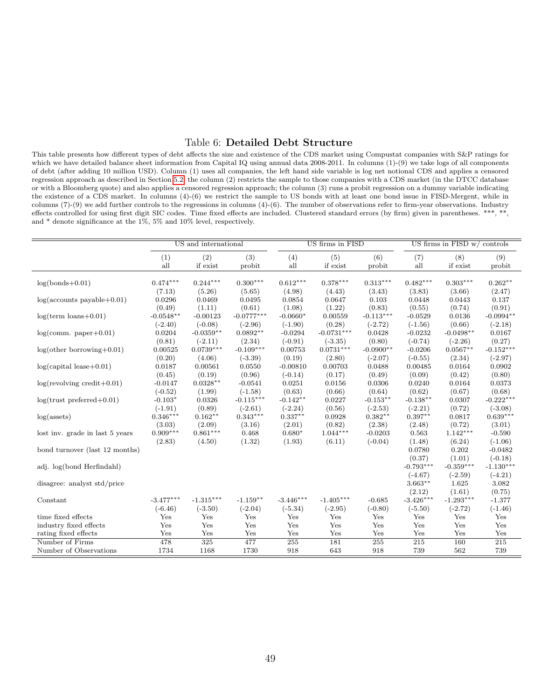### <span id="page-48-0"></span>Table 6: Detailed Debt Structure

This table presents how different types of debt affects the size and existence of the CDS market using Compustat companies with S&P ratings for which we have detailed balance sheet information from Capital IQ using annual data 2008-2011. In columns (1)-(9) we take logs of all components of debt (after adding 10 million USD). Column (1) uses all companies, the left hand side variable is log net notional CDS and applies a censored regression approach as described in Section [5.2;](#page-17-0) the column (2) restricts the sample to those companies with a CDS market (in the DTCC database or with a Bloomberg quote) and also applies a censored regression approach; the column (3) runs a probit regression on a dummy variable indicating the existence of a CDS market. In columns (4)-(6) we restrict the sample to US bonds with at least one bond issue in FISD-Mergent, while in columns (7)-(9) we add further controls to the regressions in columns (4)-(6). The number of observations refer to firm-year observations. Industry effects controlled for using first digit SIC codes. Time fixed effects are included. Clustered standard errors (by firm) given in parentheses. \*\*\*, \*\*, and \* denote significance at the 1%, 5% and 10% level, respectively.

|                                  |             | US and international |              |             | US firms in FISD |                  |                  | US firms in FISD w/ controls |                  |
|----------------------------------|-------------|----------------------|--------------|-------------|------------------|------------------|------------------|------------------------------|------------------|
|                                  | (1)         | (2)                  | (3)          | (4)         | (5)              | (6)              | (7)              | (8)                          | (9)              |
|                                  | all         | if exist             | probit       | all         | if exist         | probit           | all              | if exist                     | probit           |
|                                  |             |                      |              |             |                  |                  |                  |                              |                  |
| $log(bonds+0.01)$                | $0.474***$  | $0.244***$           | $0.300***$   | $0.612***$  | $0.378***$       | $0.313***$       | $0.482***$       | $0.303***$                   | $0.262**$        |
|                                  | (7.13)      | (5.26)               | (5.65)       | (4.98)      | (4.43)           | (3.43)           | (3.83)           | (3.66)                       | (2.47)           |
| $log($ accounts payable $+0.01)$ | 0.0296      | 0.0469               | 0.0495       | 0.0854      | 0.0647           | 0.103            | 0.0448           | 0.0443                       | 0.137            |
|                                  | (0.49)      | (1.11)               | (0.61)       | (1.08)      | (1.22)           | (0.83)           | (0.55)           | (0.74)                       | (0.91)           |
| $log($ term $loans+0.01)$        | $-0.0548**$ | $-0.00123$           | $-0.0777***$ | $-0.0660*$  | 0.00559          | $-0.113***$      | $-0.0529$        | 0.0136                       | $-0.0994**$      |
|                                  | $(-2.40)$   | $(-0.08)$            | $(-2.96)$    | $(-1.90)$   | (0.28)           | $(-2.72)$        | $(-1.56)$        | (0.66)                       | $(-2.18)$        |
| $log(comm. paper+0.01)$          | 0.0204      | $-0.0359**$          | $0.0892**$   | $-0.0294$   | $-0.0731***$     | 0.0428           | $-0.0232$        | $-0.0498**$                  | 0.0167           |
|                                  | (0.81)      | $(-2.11)$            | (2.34)       | $(-0.91)$   | $(-3.35)$        | (0.80)           | $(-0.74)$        | $(-2.26)$                    | (0.27)           |
| $log(other borrowing+0.01)$      | 0.00525     | $0.0739***$          | $-0.109***$  | 0.00753     | $0.0731***$      | $-0.0900**$      | $-0.0206$        | $0.0567**$                   | $-0.152***$      |
|                                  | (0.20)      | (4.06)               | $(-3.39)$    | (0.19)      | (2.80)           | $(-2.07)$        | $(-0.55)$        | (2.34)                       | $(-2.97)$        |
| $log(capital lease+0.01)$        | 0.0187      | 0.00561              | 0.0550       | $-0.00810$  | 0.00703          | 0.0488           | 0.00485          | 0.0164                       | 0.0902           |
|                                  | (0.45)      | (0.19)               | (0.96)       | $(-0.14)$   | (0.17)           | (0.49)           | (0.09)           | (0.42)                       | (0.80)           |
| $log(revolving credit+0.01)$     | $-0.0147$   | $0.0328**$           | $-0.0541$    | 0.0251      | 0.0156           | 0.0306           | 0.0240           | 0.0164                       | 0.0373           |
|                                  | $(-0.52)$   | (1.99)               | $(-1.58)$    | (0.63)      | (0.66)           | (0.64)           | (0.62)           | (0.67)                       | (0.68)           |
| $log(t$ rust preferred $+0.01)$  | $-0.103*$   | 0.0326               | $-0.115***$  | $-0.142**$  | 0.0227           | $-0.153**$       | $-0.138**$       | 0.0307                       | $-0.222***$      |
|                                  | $(-1.91)$   | (0.89)               | $(-2.61)$    | $(-2.24)$   | (0.56)           | $(-2.53)$        | $(-2.21)$        | (0.72)                       | $(-3.08)$        |
| $log($ assets $)$                | $0.346***$  | $0.162**$            | $0.343***$   | $0.337**$   | 0.0928           | $0.382**$        | $0.397**$        | 0.0817                       | $0.639***$       |
|                                  | (3.03)      | (2.09)               | (3.16)       | (2.01)      | (0.82)           | (2.38)           | (2.48)           | (0.72)                       | (3.01)           |
| lost inv. grade in last 5 years  | $0.909***$  | $0.861***$           | 0.468        | $0.680*$    | $1.044***$       | $-0.0203$        | 0.563            | $1.142***$                   | $-0.590$         |
|                                  | (2.83)      | (4.50)               | (1.32)       | (1.93)      | (6.11)           | $(-0.04)$        | (1.48)           | (6.24)                       | $(-1.06)$        |
| bond turnover (last 12 months)   |             |                      |              |             |                  |                  | 0.0780           | 0.202                        | $-0.0482$        |
|                                  |             |                      |              |             |                  |                  | (0.37)           | (1.01)                       | $(-0.18)$        |
| adj. log(bond Herfindahl)        |             |                      |              |             |                  |                  | $-0.793***$      | $-0.359***$                  | $-1.130***$      |
|                                  |             |                      |              |             |                  |                  | $(-4.67)$        | $(-2.59)$                    | $(-4.21)$        |
| disagree: analyst std/price      |             |                      |              |             |                  |                  | $3.663**$        | 1.625                        | 3.082            |
|                                  |             |                      |              |             |                  |                  | (2.12)           | (1.61)                       | (0.75)           |
| Constant                         | $-3.477***$ | $-1.315***$          | $-1.159**$   | $-3.446***$ | $-1.405***$      | $-0.685$         | $-3.426***$      | $-1.293***$                  | $-1.377$         |
|                                  | $(-6.46)$   | $(-3.50)$            | $(-2.04)$    | $(-5.34)$   | $(-2.95)$        | $(-0.80)$        | $(-5.50)$        | $(-2.72)$                    | $(-1.46)$        |
| time fixed effects               | Yes         | Yes                  | Yes          | Yes         | Yes              | Yes              | Yes              | Yes                          | Yes              |
| industry fixed effects           | Yes         | Yes                  | Yes          | Yes         | Yes              | Yes              | Yes              | Yes                          | Yes              |
| rating fixed effects             | Yes         | Yes                  | Yes          | Yes         | Yes              | Yes              | Yes              | Yes                          | Yes              |
| Number of Firms                  | 478         | 325                  | 477          | 255         | 181              | $\overline{255}$ | $\overline{215}$ | 160                          | $\overline{215}$ |
| Number of Observations           | 1734        | 1168                 | 1730         | 918         | 643              | 918              | 739              | 562                          | 739              |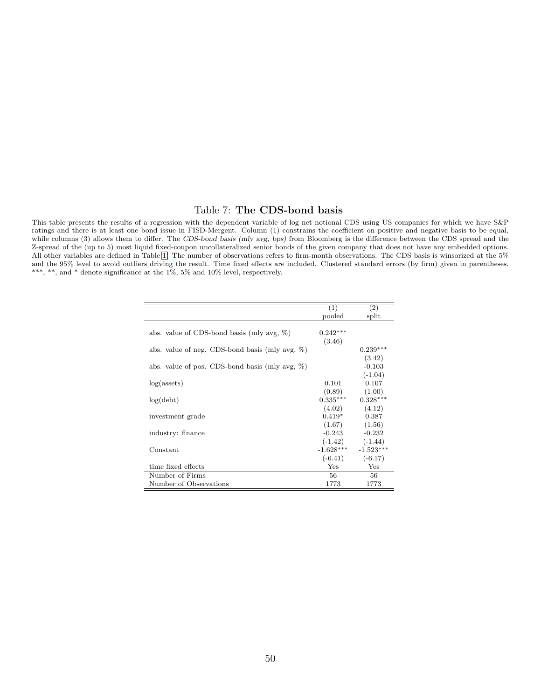#### <span id="page-49-0"></span>Table 7: The CDS-bond basis

This table presents the results of a regression with the dependent variable of log net notional CDS using US companies for which we have S&P ratings and there is at least one bond issue in FISD-Mergent. Column (1) constrains the coefficient on positive and negative basis to be equal, while columns (3) allows them to differ. The CDS-bond basis (mly avg, bps) from Bloomberg is the difference between the CDS spread and the Z-spread of the (up to 5) most liquid fixed-coupon uncollateralized senior bonds of the given company that does not have any embedded options. All other variables are defined in Table [1.](#page-43-0) The number of observations refers to firm-month observations. The CDS basis is winsorized at the 5% and the 95% level to avoid outliers driving the result. Time fixed effects are included. Clustered standard errors (by firm) given in parentheses. \*\*\*, \*\*, and \* denote significance at the  $1\%$ , 5% and 10% level, respectively.

|                                                    | (1)         | (2)         |
|----------------------------------------------------|-------------|-------------|
|                                                    | pooled      | split       |
|                                                    |             |             |
| abs. value of CDS-bond basis (mly avg, $\%$ )      | $0.242***$  |             |
|                                                    | (3.46)      |             |
| abs. value of neg. CDS-bond basis (mly avg, $\%$ ) |             | $0.239***$  |
|                                                    |             | (3.42)      |
| abs. value of pos. CDS-bond basis (mly avg, $\%$ ) |             | $-0.103$    |
|                                                    |             | $(-1.04)$   |
| $log($ assets $)$                                  | 0.101       | 0.107       |
|                                                    | (0.89)      | (1.00)      |
| log(debt)                                          | $0.335***$  | $0.328***$  |
|                                                    | (4.02)      | (4.12)      |
| investment grade                                   | $0.419*$    | 0.387       |
|                                                    | (1.67)      | (1.56)      |
| industry: finance                                  | $-0.243$    | $-0.232$    |
|                                                    | $(-1.42)$   | $(-1.44)$   |
| Constant                                           | $-1.628***$ | $-1.523***$ |
|                                                    | $(-6.41)$   | $(-6.17)$   |
| time fixed effects                                 | Yes         | Yes         |
| Number of Firms                                    | 56          | 56          |
| Number of Observations                             | 1773        | 1773        |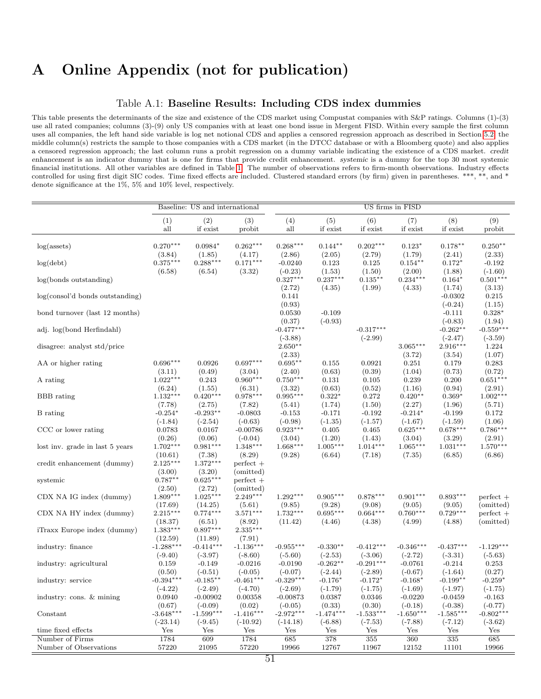# A Online Appendix (not for publication)

## Table A.1: Baseline Results: Including CDS index dummies

This table presents the determinants of the size and existence of the CDS market using Compustat companies with S&P ratings. Columns (1)-(3) use all rated companies; columns (3)-(9) only US companies with at least one bond issue in Mergent FISD. Within every sample the first column uses all companies, the left hand side variable is log net notional CDS and applies a censored regression approach as described in Section [5.2;](#page-17-0) the middle column(s) restricts the sample to those companies with a CDS market (in the DTCC database or with a Bloomberg quote) and also applies a censored regression approach; the last column runs a probit regression on a dummy variable indicating the existence of a CDS market. credit enhancement is an indicator dummy that is one for firms that provide credit enhancement. systemic is a dummy for the top 30 most systemic financial institutions. All other variables are defined in Table [1.](#page-43-0) The number of observations refers to firm-month observations. Industry effects controlled for using first digit SIC codes. Time fixed effects are included. Clustered standard errors (by firm) given in parentheses. \*\*\*, \*\*, and \* denote significance at the 1%, 5% and 10% level, respectively.

|                                    |                        | Baseline: US and international |                          |                          |                         |                          | US firms in FISD         |                          |                          |
|------------------------------------|------------------------|--------------------------------|--------------------------|--------------------------|-------------------------|--------------------------|--------------------------|--------------------------|--------------------------|
|                                    | (1)<br>all             | (2)<br>if exist                | (3)<br>probit            | (4)<br>all               | (5)<br>if exist         | (6)<br>if exist          | (7)<br>if exist          | (8)<br>if exist          | (9)<br>probit            |
| $log($ assets $)$                  | $0.270***$             | $0.0984*$                      | $0.262***$               | $0.268***$               | $0.144**$               | $0.202***$               | $0.123*$                 | $0.178**$                | $0.250**$                |
| log(debt)                          | (3.84)<br>$0.375***$   | (1.85)<br>$0.288***$           | (4.17)<br>$0.171***$     | (2.86)<br>$-0.0240$      | (2.05)<br>0.123         | (2.79)<br>0.125          | (1.79)<br>$0.154**$      | (2.41)<br>$0.172*$       | (2.33)<br>$-0.192$       |
| log(bonds outstanding)             | (6.58)                 | (6.54)                         | (3.32)                   | $(-0.23)$<br>$0.327***$  | (1.53)<br>$0.237***$    | (1.50)<br>$0.135***$     | (2.00)<br>$0.234***$     | (1.88)<br>$0.164*$       | $(-1.60)$<br>$0.501***$  |
| $log(const' d)$ bonds outstanding) |                        |                                |                          | (2.72)<br>0.141          | (4.35)                  | (1.99)                   | (4.33)                   | (1.74)<br>$-0.0302$      | (3.13)<br>0.215          |
| bond turnover (last 12 months)     |                        |                                |                          | (0.93)<br>0.0530         | $-0.109$                |                          |                          | $(-0.24)$<br>$-0.111$    | (1.15)<br>$0.328*$       |
| adj. log(bond Herfindahl)          |                        |                                |                          | (0.37)<br>$-0.477***$    | $(-0.93)$               | $-0.317***$              |                          | $(-0.83)$<br>$-0.262**$  | (1.94)<br>$-0.559***$    |
| disagree: analyst std/price        |                        |                                |                          | $(-3.88)$<br>$2.650**$   |                         | $(-2.99)$                | $3.065***$               | $(-2.47)$<br>$2.916***$  | $(-3.59)$<br>1.224       |
| AA or higher rating                | $0.696***$             | 0.0926                         | $0.697***$               | (2.33)<br>$0.695**$      | 0.155                   | 0.0921                   | (3.72)<br>0.251          | (3.54)<br>0.179          | (1.07)<br>0.283          |
| A rating                           | (3.11)<br>$1.022***$   | (0.49)<br>0.243                | (3.04)<br>$0.960***$     | (2.40)<br>$0.750***$     | (0.63)<br>0.131         | (0.39)<br>0.105          | (1.04)<br>0.239          | (0.73)<br>0.200          | (0.72)<br>$0.651***$     |
| <b>BBB</b> rating                  | (6.24)<br>$1.132***$   | (1.55)<br>$0.420***$           | (6.31)<br>$0.978***$     | (3.32)<br>$0.995***$     | (0.63)<br>$0.322*$      | (0.52)<br>0.272          | (1.16)<br>$0.420**$      | (0.94)<br>$0.369*$       | (2.91)<br>$1.002***$     |
| B rating                           | (7.78)<br>$-0.254*$    | (2.75)<br>$-0.293**$           | (7.82)<br>$-0.0803$      | (5.41)<br>$-0.153$       | (1.74)<br>$-0.171$      | (1.50)<br>$-0.192$       | (2.27)<br>$-0.214*$      | (1.96)<br>$-0.199$       | (5.71)<br>0.172          |
| CCC or lower rating                | $(-1.84)$<br>0.0783    | $(-2.54)$<br>0.0167            | $(-0.63)$<br>$-0.00786$  | $(-0.98)$<br>$0.923***$  | $(-1.35)$<br>0.405      | $(-1.57)$<br>0.465       | $(-1.67)$<br>$0.625***$  | $(-1.59)$<br>$0.678***$  | (1.06)<br>$0.786***$     |
| lost inv. grade in last 5 years    | (0.26)<br>$1.702***$   | (0.06)<br>$0.981***$           | $(-0.04)$<br>$1.348***$  | (3.04)<br>$1.668***$     | (1.20)<br>$1.005***$    | (1.43)<br>$1.014***$     | (3.04)<br>$1.065***$     | (3.29)<br>$1.031***$     | (2.91)<br>$1.570***$     |
| credit enhancement (dummy)         | (10.61)<br>$2.125***$  | (7.38)<br>$1.372***$           | (8.29)<br>$perfect +$    | (9.28)                   | (6.64)                  | (7.18)                   | (7.35)                   | (6.85)                   | (6.86)                   |
| systemic                           | (3.00)<br>$0.787**$    | (3.20)<br>$0.625***$           | (omitted)<br>$perfect +$ |                          |                         |                          |                          |                          |                          |
| CDX NA IG index (dummy)            | (2.50)<br>$1.809***$   | (2.72)<br>$1.025***$           | (omitted)<br>$2.249***$  | $1.292***$               | $0.905***$              | $0.878***$               | $0.901***$               | $0.893***$               | $perfect +$              |
| CDX NA HY index (dummy)            | (17.69)<br>$2.215***$  | (14.25)<br>$0.774***$          | (5.61)<br>$3.571***$     | (9.85)<br>$1.732***$     | (9.28)<br>$0.695***$    | (9.08)<br>$0.664***$     | (9.05)<br>$0.760***$     | (9.05)<br>$0.729***$     | (omitted)<br>$perfect +$ |
| iTraxx Europe index (dummy)        | (18.37)<br>$1.383***$  | (6.51)<br>$0.897***$           | (8.92)<br>$2.335***$     | (11.42)                  | (4.46)                  | (4.38)                   | (4.99)                   | (4.88)                   | (omitted)                |
| industry: finance                  | (12.59)<br>$-1.288***$ | (11.89)<br>$-0.414***$         | (7.91)<br>$-1.136***$    | $-0.955***$              | $-0.330**$              | $-0.412***$              | $-0.346***$              | $-0.437***$              | $-1.129***$              |
| industry: agricultural             | $(-9.40)$<br>0.159     | $(-3.97)$<br>$-0.149$          | $(-8.60)$<br>$-0.0216$   | $(-5.60)$<br>$-0.0190$   | $(-2.53)$<br>$-0.262**$ | $(-3.06)$<br>$-0.291***$ | $(-2.72)$<br>$-0.0761$   | $(-3.31)$<br>$-0.214$    | $(-5.63)$<br>0.253       |
| industry: service                  | (0.50)<br>$-0.394***$  | $(-0.51)$<br>$-0.185**$        | $(-0.05)$<br>$-0.461***$ | $(-0.07)$<br>$-0.329***$ | $(-2.44)$<br>$-0.176*$  | $(-2.89)$<br>$-0.172*$   | $(-0.67)$<br>$-0.168*$   | $(-1.64)$<br>$-0.199**$  | (0.27)<br>$-0.259*$      |
| industry: cons. & mining           | $(-4.22)$<br>0.0940    | $(-2.49)$<br>$-0.00902$        | $(-4.70)$<br>0.00358     | $(-2.69)$<br>$-0.00873$  | $(-1.79)$<br>0.0387     | $(-1.75)$<br>0.0346      | $(-1.69)$<br>$-0.0220$   | $(-1.97)$<br>$-0.0459$   | $(-1.75)$<br>$-0.163$    |
| Constant                           | (0.67)<br>$-3.648***$  | $(-0.09)$<br>$-1.599***$       | (0.02)<br>$-1.416***$    | $(-0.05)$<br>$-2.972***$ | (0.33)<br>$-1.474***$   | (0.30)<br>$-1.533***$    | $(-0.18)$<br>$-1.650***$ | $(-0.38)$<br>$-1.585***$ | $(-0.77)$<br>$-0.802***$ |
| time fixed effects                 | $(-23.14)$<br>Yes      | $(-9.45)$<br>Yes               | $(-10.92)$<br>Yes        | $(-14.18)$<br>Yes        | $(-6.88)$<br>Yes        | $(-7.53)$<br>Yes         | $(-7.88)$<br>Yes         | $(-7.12)$<br>Yes         | $(-3.62)$<br>Yes         |
| Number of Firms                    | 1784<br>57220          | 609                            | 1784<br>57220            | 685<br>19966             | 378<br>12767            | 355<br>11967             | 360<br>12152             | 335                      | 685<br>19966             |
| Number of Observations             |                        | 21095                          |                          |                          |                         |                          |                          | 11101                    |                          |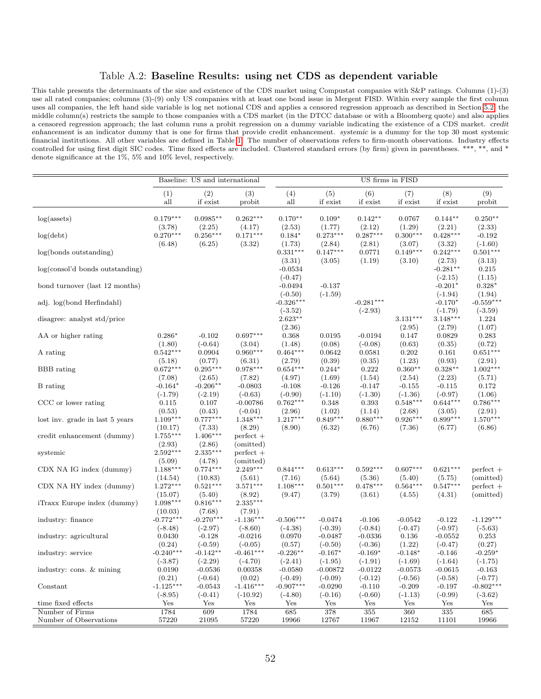#### Table A.2: Baseline Results: using net CDS as dependent variable

This table presents the determinants of the size and existence of the CDS market using Compustat companies with S&P ratings. Columns (1)-(3) use all rated companies; columns (3)-(9) only US companies with at least one bond issue in Mergent FISD. Within every sample the first column uses all companies, the left hand side variable is log net notional CDS and applies a censored regression approach as described in Section [5.2;](#page-17-0) the middle column(s) restricts the sample to those companies with a CDS market (in the DTCC database or with a Bloomberg quote) and also applies a censored regression approach; the last column runs a probit regression on a dummy variable indicating the existence of a CDS market. credit enhancement is an indicator dummy that is one for firms that provide credit enhancement. systemic is a dummy for the top 30 most systemic financial institutions. All other variables are defined in Table [1.](#page-43-0) The number of observations refers to firm-month observations. Industry effects controlled for using first digit SIC codes. Time fixed effects are included. Clustered standard errors (by firm) given in parentheses. \*\*\*, \*\*, and \* denote significance at the 1%, 5% and 10% level, respectively.

|                                   |                      | Baseline: US and international |                         |                        |                         | US firms in FISD       |                        |                          |                          |
|-----------------------------------|----------------------|--------------------------------|-------------------------|------------------------|-------------------------|------------------------|------------------------|--------------------------|--------------------------|
|                                   | (1)                  | (2)                            | (3)                     | (4)                    | (5)                     | (6)                    | (7)                    | (8)                      | (9)                      |
|                                   | all                  | if exist                       | probit                  | all                    | if exist                | if exist               | if exist               | if exist                 | probit                   |
| log(asserts)                      | $0.179***$           | $0.0985**$                     | $0.262***$              | $0.170**$              | $0.109*$                | $0.142**$              | 0.0767                 | $0.144**$                | $0.250**$                |
|                                   | (3.78)               | (2.25)                         | (4.17)                  | (2.53)                 | (1.77)                  | (2.12)                 | (1.29)                 | (2.21)                   | (2.33)                   |
| log(debt)                         | $0.270***$           | $0.256***$                     | $0.171***$              | $0.184*$               | $0.273***$              | $0.287***$             | $0.300***$             | $0.428***$               | $\text{-}0.192$          |
|                                   | (6.48)               | (6.25)                         | (3.32)                  | (1.73)                 | (2.84)                  | (2.81)                 | (3.07)                 | (3.32)                   | $(-1.60)$                |
| log(bonds outstanding)            |                      |                                |                         | $0.331***$             | $0.147***$              | 0.0771                 | $0.149***$             | $0.242***$               | $0.501***$               |
|                                   |                      |                                |                         | (3.31)                 | (3.05)                  | (1.19)                 | (3.10)                 | (2.73)                   | (3.13)                   |
| $log(const'$ d bonds outstanding) |                      |                                |                         | $-0.0534$<br>$(-0.47)$ |                         |                        |                        | $-0.281***$<br>$(-2.15)$ | 0.215<br>(1.15)          |
| bond turnover (last 12 months)    |                      |                                |                         | $-0.0494$              | $-0.137$                |                        |                        | $-0.201*$                | $0.328*$                 |
|                                   |                      |                                |                         | $(-0.50)$              | $(-1.59)$               |                        |                        | $(-1.94)$                | (1.94)                   |
| adj. log(bond Herfindahl)         |                      |                                |                         | $-0.326***$            |                         | $-0.281***$            |                        | $-0.170*$                | $-0.559***$              |
|                                   |                      |                                |                         | $(-3.52)$              |                         | $(-2.93)$              |                        | $(-1.79)$                | $(-3.59)$                |
| disagree: analyst std/price       |                      |                                |                         | $2.623**$              |                         |                        | $3.131***$             | $3.148***$               | 1.224                    |
|                                   |                      |                                |                         | (2.36)                 |                         |                        | (2.95)                 | (2.79)                   | (1.07)                   |
| AA or higher rating               | $0.286*$             | $-0.102$                       | $0.697***$              | 0.368                  | 0.0195                  | $-0.0194$              | 0.147                  | 0.0829                   | 0.283                    |
|                                   | (1.80)               | $(-0.64)$                      | (3.04)                  | (1.48)                 | (0.08)                  | $(-0.08)$              | (0.63)                 | (0.35)                   | (0.72)                   |
| A rating                          | $0.542***$           | 0.0904                         | $0.960***$              | $0.464***$             | 0.0642                  | 0.0581                 | 0.202                  | 0.161                    | $0.651***$               |
|                                   | (5.18)               | (0.77)                         | (6.31)                  | (2.79)                 | (0.39)                  | (0.35)                 | (1.23)                 | (0.93)                   | (2.91)                   |
| <b>BBB</b> rating                 | $0.672***$<br>(7.08) | $0.295***$<br>(2.65)           | $0.978***$<br>(7.82)    | $0.654***$<br>(4.97)   | $0.244*$<br>(1.69)      | 0.222<br>(1.54)        | $0.360**$<br>(2.54)    | $0.328**$<br>(2.23)      | $1.002***$<br>(5.71)     |
| B rating                          | $-0.164*$            | $-0.206**$                     | $-0.0803$               | $-0.108$               | $-0.126$                | $-0.147$               | $-0.155$               | $-0.115$                 | 0.172                    |
|                                   | $(-1.79)$            | $(-2.19)$                      | $(-0.63)$               | $(-0.90)$              | $(-1.10)$               | $(-1.30)$              | $(-1.36)$              | $(-0.97)$                | (1.06)                   |
| CCC or lower rating               | 0.115                | 0.107                          | $-0.00786$              | $0.762***$             | 0.348                   | 0.393                  | $0.548***$             | $0.644***$               | $0.786***$               |
|                                   | (0.53)               | (0.43)                         | $(-0.04)$               | (2.96)                 | (1.02)                  | (1.14)                 | (2.68)                 | (3.05)                   | (2.91)                   |
| lost inv. grade in last 5 years   | $1.109***$           | $0.777***$                     | $1.348***$              | $1.217***$             | $0.849***$              | $0.880***$             | $0.926***$             | $0.899***$               | $1.570***$               |
|                                   | (10.17)              | (7.33)                         | (8.29)                  | (8.90)                 | (6.32)                  | (6.76)                 | (7.36)                 | (6.77)                   | (6.86)                   |
| credit enhancement (dummy)        | $1.755***$           | $1.406***$                     | $perfect +$             |                        |                         |                        |                        |                          |                          |
|                                   | (2.93)               | (2.86)                         | (omitted)               |                        |                         |                        |                        |                          |                          |
| systemic                          | $2.592***$           | $2.335***$                     | $perfect +$             |                        |                         |                        |                        |                          |                          |
|                                   | (5.09)<br>$1.188***$ | (4.78)<br>$0.774***$           | (omitted)<br>$2.249***$ | $0.844***$             | $0.613***$              | $0.592***$             | $0.607***$             | $0.621***$               |                          |
| CDX NA IG index (dummy)           | (14.54)              | (10.83)                        | (5.61)                  | (7.16)                 | (5.64)                  | (5.36)                 | (5.40)                 | (5.75)                   | $perfect +$<br>(omitted) |
| CDX NA HY index (dummy)           | $1.272***$           | $0.521***$                     | $3.571***$              | $1.108***$             | $0.501***$              | $0.478***$             | $0.564***$             | $0.547***$               | $perfect +$              |
|                                   | (15.07)              | (5.40)                         | (8.92)                  | (9.47)                 | (3.79)                  | (3.61)                 | (4.55)                 | (4.31)                   | (omitted)                |
| iTraxx Europe index (dummy)       | $1.098***$           | $0.816***$                     | $2.335***$              |                        |                         |                        |                        |                          |                          |
|                                   | (10.03)              | (7.68)                         | (7.91)                  |                        |                         |                        |                        |                          |                          |
| industry: finance                 | $-0.772***$          | $-0.270***$                    | $-1.136***$             | $-0.506***$            | $-0.0474$               | $-0.106$               | $-0.0542$              | $-0.122$                 | $-1.129***$              |
|                                   | $(-8.48)$            | $(-2.97)$                      | $(-8.60)$               | $(-4.38)$              | $(-0.39)$               | $(-0.84)$              | $(-0.47)$              | $(-0.97)$                | $(-5.63)$                |
| industry: agricultural            | 0.0430               | $-0.128$                       | $-0.0216$               | 0.0970                 | $-0.0487$               | $-0.0336$              | 0.136                  | $-0.0552$                | 0.253                    |
|                                   | (0.24)               | $(-0.59)$                      | $(-0.05)$               | (0.57)                 | $(-0.50)$               | $(-0.36)$              | (1.22)                 | $(-0.47)$                | (0.27)                   |
| industry: service                 | $-0.240***$          | $-0.142**$                     | $-0.461***$             | $-0.226**$             | $-0.167*$               | $-0.169*$              | $-0.148*$              | $-0.146$<br>$(-1.64)$    | $-0.259*$                |
| industry: cons. & mining          | $(-3.87)$<br>0.0190  | $(-2.29)$<br>$-0.0536$         | $(-4.70)$<br>0.00358    | $(-2.41)$<br>$-0.0580$ | $(-1.95)$<br>$-0.00872$ | $(-1.91)$<br>$-0.0122$ | $(-1.69)$<br>$-0.0573$ | $-0.0615$                | $(-1.75)$<br>$-0.163$    |
|                                   | (0.21)               | $(-0.64)$                      | (0.02)                  | $(-0.49)$              | $(-0.09)$               | $(-0.12)$              | $(-0.56)$              | $(-0.58)$                | $(-0.77)$                |
| Constant                          | $-1.125***$          | $-0.0543$                      | $-1.416***$             | $-0.907***$            | $-0.0290$               | $-0.110$               | $-0.209$               | $-0.197$                 | $-0.802***$              |
|                                   | $(-8.95)$            | $(-0.41)$                      | $(-10.92)$              | $(-4.80)$              | $(-0.16)$               | $(-0.60)$              | $(-1.13)$              | $(-0.99)$                | $(-3.62)$                |
| time fixed effects                | Yes                  | Yes                            | Yes                     | Yes                    | Yes                     | Yes                    | Yes                    | Yes                      | Yes                      |
| Number of Firms                   | 1784                 | 609                            | 1784                    | 685                    | 378                     | 355                    | 360                    | 335                      | 685                      |
| Number of Observations            | 57220                | 21095                          | 57220                   | 19966                  | 12767                   | 11967                  | 12152                  | 11101                    | 19966                    |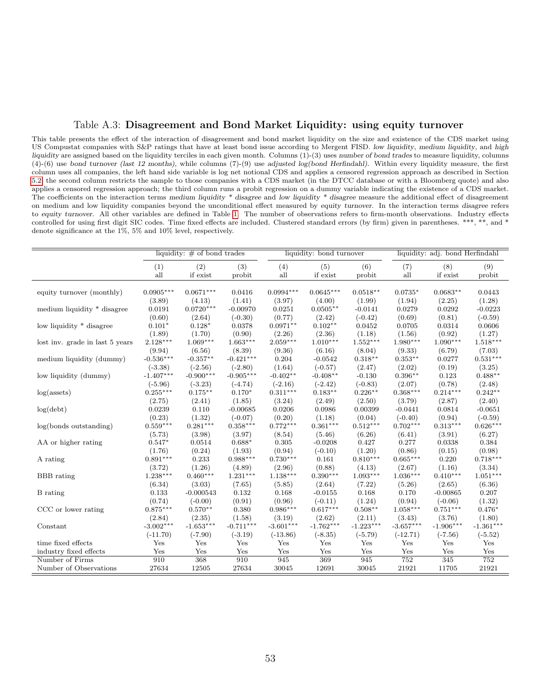#### Table A.3: Disagreement and Bond Market Liquidity: using equity turnover

This table presents the effect of the interaction of disagreement and bond market liquidity on the size and existence of the CDS market using US Compustat companies with S&P ratings that have at least bond issue according to Mergent FISD. low liquidity, medium liquidity, and high liquidity are assigned based on the liquidity terciles in each given month. Columns (1)-(3) uses number of bond trades to measure liquidity, columns (4)-(6) use bond turnover (last 12 months), while columns (7)-(9) use adjusted log(bond Herfindahl). Within every liquidity measure, the first column uses all companies, the left hand side variable is log net notional CDS and applies a censored regression approach as described in Section [5.2;](#page-17-0) the second column restricts the sample to those companies with a CDS market (in the DTCC database or with a Bloomberg quote) and also applies a censored regression approach; the third column runs a probit regression on a dummy variable indicating the existence of a CDS market. The coefficients on the interaction terms medium liquidity \* disagree and low liquidity \* disagree measure the additional effect of disagreement on medium and low liquidity companies beyond the unconditional effect measured by equity turnover. In the interaction terms disagree refers to equity turnover. All other variables are defined in Table [1.](#page-43-0) The number of observations refers to firm-month observations. Industry effects controlled for using first digit SIC codes. Time fixed effects are included. Clustered standard errors (by firm) given in parentheses. \*\*\*, \*\*, and \* denote significance at the 1%, 5% and 10% level, respectively.

|                                                                                                                                                                                                                                                                        |                                                                                                                                                                                           | liquidity: $\#$ of bond trades                                                                                                                                                                  |                                                                                                                                                                                               |                                                                                                                                                                                                                   | liquidity: bond turnover                                                                                                                                                                                                |                                                                                                                                                                                              |                                                                                                                                                                                                            | liquidity: adj. bond Herfindahl                                                                                                                                                                   |                                                                                                                                                                                                                                            |
|------------------------------------------------------------------------------------------------------------------------------------------------------------------------------------------------------------------------------------------------------------------------|-------------------------------------------------------------------------------------------------------------------------------------------------------------------------------------------|-------------------------------------------------------------------------------------------------------------------------------------------------------------------------------------------------|-----------------------------------------------------------------------------------------------------------------------------------------------------------------------------------------------|-------------------------------------------------------------------------------------------------------------------------------------------------------------------------------------------------------------------|-------------------------------------------------------------------------------------------------------------------------------------------------------------------------------------------------------------------------|----------------------------------------------------------------------------------------------------------------------------------------------------------------------------------------------|------------------------------------------------------------------------------------------------------------------------------------------------------------------------------------------------------------|---------------------------------------------------------------------------------------------------------------------------------------------------------------------------------------------------|--------------------------------------------------------------------------------------------------------------------------------------------------------------------------------------------------------------------------------------------|
|                                                                                                                                                                                                                                                                        | (1)                                                                                                                                                                                       | (2)                                                                                                                                                                                             | (3)                                                                                                                                                                                           | (4)                                                                                                                                                                                                               | (5)                                                                                                                                                                                                                     | (6)                                                                                                                                                                                          | (7)                                                                                                                                                                                                        | (8)                                                                                                                                                                                               | (9)                                                                                                                                                                                                                                        |
|                                                                                                                                                                                                                                                                        | all                                                                                                                                                                                       | if exist                                                                                                                                                                                        | probit                                                                                                                                                                                        | all                                                                                                                                                                                                               | if exist                                                                                                                                                                                                                | probit                                                                                                                                                                                       | all                                                                                                                                                                                                        | if exist                                                                                                                                                                                          | probit                                                                                                                                                                                                                                     |
|                                                                                                                                                                                                                                                                        |                                                                                                                                                                                           |                                                                                                                                                                                                 |                                                                                                                                                                                               |                                                                                                                                                                                                                   |                                                                                                                                                                                                                         |                                                                                                                                                                                              |                                                                                                                                                                                                            |                                                                                                                                                                                                   |                                                                                                                                                                                                                                            |
| equity turnover (monthly)                                                                                                                                                                                                                                              | $0.0905***$                                                                                                                                                                               | $0.0671***$                                                                                                                                                                                     | 0.0416                                                                                                                                                                                        | $0.0994***$                                                                                                                                                                                                       | $0.0645***$                                                                                                                                                                                                             | $0.0518**$                                                                                                                                                                                   | $0.0735*$                                                                                                                                                                                                  | $0.0683**$                                                                                                                                                                                        | 0.0443                                                                                                                                                                                                                                     |
|                                                                                                                                                                                                                                                                        | (3.89)                                                                                                                                                                                    | (4.13)                                                                                                                                                                                          | (1.41)                                                                                                                                                                                        | (3.97)                                                                                                                                                                                                            | (4.00)                                                                                                                                                                                                                  | (1.99)                                                                                                                                                                                       | (1.94)                                                                                                                                                                                                     | (2.25)                                                                                                                                                                                            | (1.28)                                                                                                                                                                                                                                     |
| medium liquidity * disagree                                                                                                                                                                                                                                            | 0.0191                                                                                                                                                                                    | $0.0720***$                                                                                                                                                                                     | $-0.00970$                                                                                                                                                                                    | 0.0251                                                                                                                                                                                                            | $0.0505**$                                                                                                                                                                                                              | $-0.0141$                                                                                                                                                                                    | 0.0279                                                                                                                                                                                                     | 0.0292                                                                                                                                                                                            | $-0.0223$                                                                                                                                                                                                                                  |
|                                                                                                                                                                                                                                                                        | (0.60)                                                                                                                                                                                    | (2.64)                                                                                                                                                                                          | $(-0.30)$                                                                                                                                                                                     | (0.77)                                                                                                                                                                                                            | (2.42)                                                                                                                                                                                                                  | $(-0.42)$                                                                                                                                                                                    | (0.69)                                                                                                                                                                                                     | (0.81)                                                                                                                                                                                            | $(-0.59)$                                                                                                                                                                                                                                  |
| low liquidity * disagree                                                                                                                                                                                                                                               | $0.101*$                                                                                                                                                                                  | $0.128*$                                                                                                                                                                                        | 0.0378                                                                                                                                                                                        | $0.0971**$                                                                                                                                                                                                        | $0.102**$                                                                                                                                                                                                               | 0.0452                                                                                                                                                                                       | 0.0705                                                                                                                                                                                                     | 0.0314                                                                                                                                                                                            | 0.0606                                                                                                                                                                                                                                     |
|                                                                                                                                                                                                                                                                        |                                                                                                                                                                                           |                                                                                                                                                                                                 |                                                                                                                                                                                               |                                                                                                                                                                                                                   |                                                                                                                                                                                                                         |                                                                                                                                                                                              |                                                                                                                                                                                                            |                                                                                                                                                                                                   |                                                                                                                                                                                                                                            |
|                                                                                                                                                                                                                                                                        |                                                                                                                                                                                           |                                                                                                                                                                                                 |                                                                                                                                                                                               |                                                                                                                                                                                                                   |                                                                                                                                                                                                                         |                                                                                                                                                                                              |                                                                                                                                                                                                            |                                                                                                                                                                                                   |                                                                                                                                                                                                                                            |
|                                                                                                                                                                                                                                                                        |                                                                                                                                                                                           |                                                                                                                                                                                                 |                                                                                                                                                                                               |                                                                                                                                                                                                                   |                                                                                                                                                                                                                         |                                                                                                                                                                                              |                                                                                                                                                                                                            |                                                                                                                                                                                                   |                                                                                                                                                                                                                                            |
|                                                                                                                                                                                                                                                                        |                                                                                                                                                                                           |                                                                                                                                                                                                 |                                                                                                                                                                                               |                                                                                                                                                                                                                   |                                                                                                                                                                                                                         |                                                                                                                                                                                              |                                                                                                                                                                                                            |                                                                                                                                                                                                   |                                                                                                                                                                                                                                            |
|                                                                                                                                                                                                                                                                        |                                                                                                                                                                                           |                                                                                                                                                                                                 |                                                                                                                                                                                               |                                                                                                                                                                                                                   |                                                                                                                                                                                                                         |                                                                                                                                                                                              |                                                                                                                                                                                                            |                                                                                                                                                                                                   |                                                                                                                                                                                                                                            |
| low liquidity (dummy)                                                                                                                                                                                                                                                  |                                                                                                                                                                                           |                                                                                                                                                                                                 |                                                                                                                                                                                               |                                                                                                                                                                                                                   |                                                                                                                                                                                                                         |                                                                                                                                                                                              |                                                                                                                                                                                                            | 0.123                                                                                                                                                                                             |                                                                                                                                                                                                                                            |
|                                                                                                                                                                                                                                                                        | $(-5.96)$                                                                                                                                                                                 | $(-3.23)$                                                                                                                                                                                       | $(-4.74)$                                                                                                                                                                                     | $(-2.16)$                                                                                                                                                                                                         |                                                                                                                                                                                                                         |                                                                                                                                                                                              |                                                                                                                                                                                                            |                                                                                                                                                                                                   |                                                                                                                                                                                                                                            |
| log(asserts)                                                                                                                                                                                                                                                           | $0.255***$                                                                                                                                                                                | $0.175**$                                                                                                                                                                                       | $0.170*$                                                                                                                                                                                      | $0.311***$                                                                                                                                                                                                        | $0.183**$                                                                                                                                                                                                               | $0.226**$                                                                                                                                                                                    | $0.368***$                                                                                                                                                                                                 | $0.214***$                                                                                                                                                                                        | $0.242**$                                                                                                                                                                                                                                  |
|                                                                                                                                                                                                                                                                        | (2.75)                                                                                                                                                                                    | (2.41)                                                                                                                                                                                          | (1.85)                                                                                                                                                                                        | (3.24)                                                                                                                                                                                                            | (2.49)                                                                                                                                                                                                                  | (2.50)                                                                                                                                                                                       | (3.79)                                                                                                                                                                                                     | (2.87)                                                                                                                                                                                            | (2.40)                                                                                                                                                                                                                                     |
| log(debt)                                                                                                                                                                                                                                                              | 0.0239                                                                                                                                                                                    | 0.110                                                                                                                                                                                           | $-0.00685$                                                                                                                                                                                    | 0.0206                                                                                                                                                                                                            | 0.0986                                                                                                                                                                                                                  | 0.00399                                                                                                                                                                                      | $-0.0441$                                                                                                                                                                                                  | 0.0814                                                                                                                                                                                            | $-0.0651$                                                                                                                                                                                                                                  |
|                                                                                                                                                                                                                                                                        | (0.23)                                                                                                                                                                                    | (1.32)                                                                                                                                                                                          | $(-0.07)$                                                                                                                                                                                     | (0.20)                                                                                                                                                                                                            | (1.18)                                                                                                                                                                                                                  | (0.04)                                                                                                                                                                                       | $(-0.40)$                                                                                                                                                                                                  | (0.94)                                                                                                                                                                                            | $(-0.59)$                                                                                                                                                                                                                                  |
| log(bonds outstanding)                                                                                                                                                                                                                                                 | $0.559***$                                                                                                                                                                                | $0.281***$                                                                                                                                                                                      | $0.358***$                                                                                                                                                                                    | $0.772***$                                                                                                                                                                                                        | $0.361***$                                                                                                                                                                                                              | $0.512***$                                                                                                                                                                                   | $0.702***$                                                                                                                                                                                                 | $0.313***$                                                                                                                                                                                        | $0.626***$                                                                                                                                                                                                                                 |
|                                                                                                                                                                                                                                                                        | (5.73)                                                                                                                                                                                    | (3.98)                                                                                                                                                                                          | (3.97)                                                                                                                                                                                        | (8.54)                                                                                                                                                                                                            | (5.46)                                                                                                                                                                                                                  | (6.26)                                                                                                                                                                                       | (6.41)                                                                                                                                                                                                     | (3.91)                                                                                                                                                                                            | (6.27)                                                                                                                                                                                                                                     |
|                                                                                                                                                                                                                                                                        | $0.547*$                                                                                                                                                                                  | 0.0514                                                                                                                                                                                          | $0.688*$                                                                                                                                                                                      | 0.305                                                                                                                                                                                                             | $-0.0208$                                                                                                                                                                                                               | 0.427                                                                                                                                                                                        | 0.277                                                                                                                                                                                                      | 0.0338                                                                                                                                                                                            | 0.384                                                                                                                                                                                                                                      |
|                                                                                                                                                                                                                                                                        | (1.76)                                                                                                                                                                                    | (0.24)                                                                                                                                                                                          | (1.93)                                                                                                                                                                                        |                                                                                                                                                                                                                   | $(-0.10)$                                                                                                                                                                                                               | (1.20)                                                                                                                                                                                       | (0.86)                                                                                                                                                                                                     | (0.15)                                                                                                                                                                                            |                                                                                                                                                                                                                                            |
|                                                                                                                                                                                                                                                                        | $0.891***$                                                                                                                                                                                | 0.233                                                                                                                                                                                           | $0.988***$                                                                                                                                                                                    | $0.730***$                                                                                                                                                                                                        | 0.161                                                                                                                                                                                                                   | $0.810***$                                                                                                                                                                                   | $0.665***$                                                                                                                                                                                                 | 0.220                                                                                                                                                                                             |                                                                                                                                                                                                                                            |
|                                                                                                                                                                                                                                                                        | (3.72)                                                                                                                                                                                    | (1.26)                                                                                                                                                                                          |                                                                                                                                                                                               |                                                                                                                                                                                                                   | (0.88)                                                                                                                                                                                                                  | (4.13)                                                                                                                                                                                       | (2.67)                                                                                                                                                                                                     | (1.16)                                                                                                                                                                                            |                                                                                                                                                                                                                                            |
|                                                                                                                                                                                                                                                                        | $1.238***$                                                                                                                                                                                | $0.460***$                                                                                                                                                                                      | $1.231***$                                                                                                                                                                                    |                                                                                                                                                                                                                   |                                                                                                                                                                                                                         | $1.093***$                                                                                                                                                                                   |                                                                                                                                                                                                            |                                                                                                                                                                                                   |                                                                                                                                                                                                                                            |
|                                                                                                                                                                                                                                                                        |                                                                                                                                                                                           |                                                                                                                                                                                                 |                                                                                                                                                                                               |                                                                                                                                                                                                                   |                                                                                                                                                                                                                         |                                                                                                                                                                                              |                                                                                                                                                                                                            |                                                                                                                                                                                                   |                                                                                                                                                                                                                                            |
|                                                                                                                                                                                                                                                                        |                                                                                                                                                                                           |                                                                                                                                                                                                 |                                                                                                                                                                                               |                                                                                                                                                                                                                   |                                                                                                                                                                                                                         |                                                                                                                                                                                              |                                                                                                                                                                                                            |                                                                                                                                                                                                   |                                                                                                                                                                                                                                            |
|                                                                                                                                                                                                                                                                        |                                                                                                                                                                                           |                                                                                                                                                                                                 |                                                                                                                                                                                               |                                                                                                                                                                                                                   |                                                                                                                                                                                                                         |                                                                                                                                                                                              |                                                                                                                                                                                                            |                                                                                                                                                                                                   |                                                                                                                                                                                                                                            |
|                                                                                                                                                                                                                                                                        |                                                                                                                                                                                           |                                                                                                                                                                                                 |                                                                                                                                                                                               |                                                                                                                                                                                                                   |                                                                                                                                                                                                                         |                                                                                                                                                                                              |                                                                                                                                                                                                            |                                                                                                                                                                                                   |                                                                                                                                                                                                                                            |
|                                                                                                                                                                                                                                                                        |                                                                                                                                                                                           |                                                                                                                                                                                                 |                                                                                                                                                                                               |                                                                                                                                                                                                                   |                                                                                                                                                                                                                         |                                                                                                                                                                                              |                                                                                                                                                                                                            |                                                                                                                                                                                                   |                                                                                                                                                                                                                                            |
|                                                                                                                                                                                                                                                                        |                                                                                                                                                                                           |                                                                                                                                                                                                 |                                                                                                                                                                                               |                                                                                                                                                                                                                   |                                                                                                                                                                                                                         |                                                                                                                                                                                              |                                                                                                                                                                                                            |                                                                                                                                                                                                   |                                                                                                                                                                                                                                            |
|                                                                                                                                                                                                                                                                        |                                                                                                                                                                                           |                                                                                                                                                                                                 |                                                                                                                                                                                               |                                                                                                                                                                                                                   |                                                                                                                                                                                                                         |                                                                                                                                                                                              |                                                                                                                                                                                                            |                                                                                                                                                                                                   |                                                                                                                                                                                                                                            |
|                                                                                                                                                                                                                                                                        |                                                                                                                                                                                           |                                                                                                                                                                                                 |                                                                                                                                                                                               |                                                                                                                                                                                                                   |                                                                                                                                                                                                                         |                                                                                                                                                                                              |                                                                                                                                                                                                            |                                                                                                                                                                                                   |                                                                                                                                                                                                                                            |
|                                                                                                                                                                                                                                                                        |                                                                                                                                                                                           |                                                                                                                                                                                                 |                                                                                                                                                                                               |                                                                                                                                                                                                                   |                                                                                                                                                                                                                         |                                                                                                                                                                                              |                                                                                                                                                                                                            |                                                                                                                                                                                                   |                                                                                                                                                                                                                                            |
|                                                                                                                                                                                                                                                                        |                                                                                                                                                                                           |                                                                                                                                                                                                 |                                                                                                                                                                                               |                                                                                                                                                                                                                   |                                                                                                                                                                                                                         |                                                                                                                                                                                              |                                                                                                                                                                                                            |                                                                                                                                                                                                   |                                                                                                                                                                                                                                            |
|                                                                                                                                                                                                                                                                        |                                                                                                                                                                                           |                                                                                                                                                                                                 |                                                                                                                                                                                               |                                                                                                                                                                                                                   |                                                                                                                                                                                                                         |                                                                                                                                                                                              |                                                                                                                                                                                                            |                                                                                                                                                                                                   |                                                                                                                                                                                                                                            |
| lost inv. grade in last 5 years<br>medium liquidity (dummy)<br>AA or higher rating<br>A rating<br><b>BBB</b> rating<br><b>B</b> rating<br>CCC or lower rating<br>Constant<br>time fixed effects<br>industry fixed effects<br>Number of Firms<br>Number of Observations | (1.89)<br>$2.128***$<br>(9.94)<br>$-0.536***$<br>$(-3.38)$<br>$-1.407***$<br>(6.34)<br>0.133<br>(0.74)<br>$0.875***$<br>(2.84)<br>$-3.002***$<br>$(-11.70)$<br>Yes<br>Yes<br>910<br>27634 | (1.70)<br>$1.069***$<br>(6.56)<br>$-0.357**$<br>$(-2.56)$<br>$-0.900***$<br>(3.03)<br>$-0.000543$<br>$(-0.00)$<br>$0.570**$<br>(2.35)<br>$-1.653***$<br>$(-7.90)$<br>Yes<br>Yes<br>368<br>12505 | (0.90)<br>$1.663***$<br>(8.39)<br>$-0.421***$<br>$(-2.80)$<br>$-0.905***$<br>(4.89)<br>(7.65)<br>0.132<br>(0.91)<br>0.380<br>(1.58)<br>$-0.711***$<br>$(-3.19)$<br>Yes<br>Yes<br>910<br>27634 | (2.26)<br>$2.059***$<br>(9.36)<br>0.204<br>(1.64)<br>$-0.402**$<br>(0.94)<br>(2.96)<br>$1.138***$<br>(5.85)<br>0.168<br>(0.96)<br>$0.986***$<br>(3.19)<br>$-3.601***$<br>$(-13.86)$<br>Yes<br>Yes<br>945<br>30045 | (2.36)<br>$1.010***$<br>(6.16)<br>$-0.0542$<br>$(-0.57)$<br>$-0.408**$<br>$(-2.42)$<br>$0.390***$<br>(2.64)<br>$-0.0155$<br>$(-0.11)$<br>$0.617***$<br>(2.62)<br>$-1.762***$<br>$(-8.35)$<br>Yes<br>Yes<br>369<br>12691 | (1.18)<br>$1.552***$<br>(8.04)<br>$0.318**$<br>(2.47)<br>$-0.130$<br>$(-0.83)$<br>(7.22)<br>0.168<br>(1.24)<br>$0.508**$<br>(2.11)<br>$-1.223***$<br>$(-5.79)$<br>Yes<br>Yes<br>945<br>30045 | (1.56)<br>$1.980***$<br>(9.33)<br>$0.353**$<br>(2.02)<br>$0.396**$<br>(2.07)<br>$1.036***$<br>(5.26)<br>0.170<br>(0.94)<br>$1.058***$<br>(3.43)<br>$-3.657***$<br>$(-12.71)$<br>Yes<br>Yes<br>752<br>21921 | (0.92)<br>$1.090***$<br>(6.79)<br>0.0277<br>(0.19)<br>(0.78)<br>$0.410***$<br>(2.65)<br>$-0.00865$<br>$(-0.06)$<br>$0.751***$<br>(3.76)<br>$-1.906***$<br>$(-7.56)$<br>Yes<br>Yes<br>345<br>11705 | (1.27)<br>$1.518***$<br>(7.03)<br>$0.531***$<br>(3.25)<br>$0.488**$<br>(2.48)<br>(0.98)<br>$0.718***$<br>(3.34)<br>$1.051***$<br>(6.36)<br>0.207<br>(1.32)<br>$0.476*$<br>(1.80)<br>$-1.361***$<br>$(-5.52)$<br>Yes<br>Yes<br>752<br>21921 |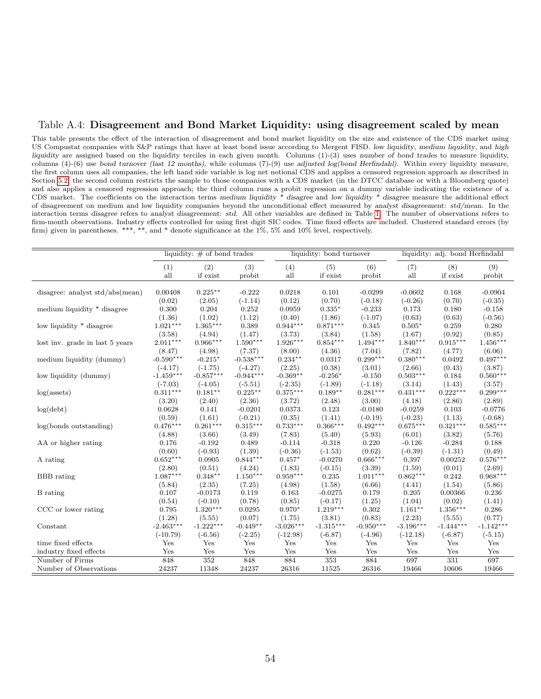#### Table A.4: Disagreement and Bond Market Liquidity: using disagreement scaled by mean

This table presents the effect of the interaction of disagreement and bond market liquidity on the size and existence of the CDS market using US Compustat companies with S&P ratings that have at least bond issue according to Mergent FISD. low liquidity, medium liquidity, and high liquidity are assigned based on the liquidity terciles in each given month. Columns (1)-(3) uses number of bond trades to measure liquidity, columns (4)-(6) use bond turnover (last 12 months), while columns (7)-(9) use adjusted log(bond Herfindahl). Within every liquidity measure, the first column uses all companies, the left hand side variable is log net notional CDS and applies a censored regression approach as described in Section [5.2;](#page-17-0) the second column restricts the sample to those companies with a CDS market (in the DTCC database or with a Bloomberg quote) and also applies a censored regression approach; the third column runs a probit regression on a dummy variable indicating the existence of a CDS market. The coefficients on the interaction terms medium liquidity \* disagree and low liquidity \* disagree measure the additional effect of disagreement on medium and low liquidity companies beyond the unconditional effect measured by analyst disagreement: std/mean. In the interaction terms disagree refers to analyst disagreement: std. All other variables are defined in Table [1.](#page-43-0) The number of observations refers to firm-month observations. Industry effects controlled for using first digit SIC codes. Time fixed effects are included. Clustered standard errors (by firm) given in parentheses. \*\*\*, \*\*, and \* denote significance at the 1%, 5% and 10% level, respectively.

|                                   |             | liquidity: $\#$ of bond trades |             |             | liquidity: bond turnover |             |             | liquidity: adj. bond Herfindahl |             |
|-----------------------------------|-------------|--------------------------------|-------------|-------------|--------------------------|-------------|-------------|---------------------------------|-------------|
|                                   | (1)         | (2)                            | (3)         | (4)         | (5)                      | (6)         | (7)         | (8)                             | (9)         |
|                                   | all         | if exist                       | probit      | all         | if exist                 | probit      | all         | if exist                        | probit      |
| disagree: analyst $std/abs(mean)$ | 0.00408     | $0.225***$                     | $-0.222$    | 0.0218      | 0.101                    | $-0.0299$   | $-0.0602$   | 0.168                           | $-0.0904$   |
|                                   | (0.02)      | (2.05)                         | $(-1.14)$   | (0.12)      | (0.70)                   | $(-0.18)$   | $(-0.26)$   | (0.70)                          | $(-0.35)$   |
| medium liquidity * disagree       | 0.300       | 0.204                          | 0.252       | 0.0959      | $0.335*$                 | $-0.233$    | 0.173       | 0.180                           | $-0.158$    |
|                                   | (1.36)      | (1.02)                         | (1.12)      | (0.40)      | (1.86)                   | $(-1.07)$   | (0.63)      | (0.63)                          | $(-0.56)$   |
| low liquidity * disagree          | $1.021***$  | $1.365***$                     | 0.389       | $0.944***$  | $0.871***$               | 0.345       | $0.505*$    | 0.259                           | 0.280       |
| lost inv. grade in last 5 years   | (3.58)      | (4.94)                         | (1.47)      | (3.73)      | (3.84)                   | (1.58)      | (1.67)      | (0.92)                          | (0.85)      |
|                                   | $2.011***$  | $0.966***$                     | $1.590***$  | $1.926***$  | $0.854***$               | $1.494***$  | $1.840***$  | $0.915***$                      | $1.456***$  |
| medium liquidity (dummy)          | (8.47)      | (4.98)                         | (7.37)      | (8.00)      | (4.36)                   | (7.04)      | (7.82)      | (4.77)                          | (6.06)      |
|                                   | $-0.590***$ | $-0.215*$                      | $-0.538***$ | $0.234**$   | 0.0317                   | $0.299***$  | $0.380***$  | 0.0492                          | $0.497***$  |
| low liquidity (dummy)             | $(-4.17)$   | $(-1.75)$                      | $(-4.27)$   | (2.25)      | (0.38)                   | (3.01)      | (2.66)      | (0.43)                          | (3.87)      |
|                                   | $-1.459***$ | $-0.857***$                    | $-0.944***$ | $-0.369**$  | $-0.256*$                | $-0.150$    | $0.503***$  | 0.184                           | $0.560***$  |
| $log($ assets $)$                 | $(-7.03)$   | $(-4.05)$                      | $(-5.51)$   | $(-2.35)$   | $(-1.89)$                | $(-1.18)$   | (3.14)      | (1.43)                          | (3.57)      |
|                                   | $0.311***$  | $0.181**$                      | $0.225***$  | $0.375***$  | $0.189**$                | $0.281***$  | $0.431***$  | $0.222***$                      | $0.299***$  |
| log(debt)                         | (3.20)      | (2.40)                         | (2.36)      | (3.72)      | (2.48)                   | (3.00)      | (4.18)      | (2.86)                          | (2.89)      |
|                                   | 0.0628      | 0.141                          | $-0.0201$   | 0.0373      | 0.123                    | $-0.0180$   | $-0.0259$   | 0.103                           | $-0.0776$   |
| log(bonds outstanding)            | (0.59)      | (1.61)                         | $(-0.21)$   | (0.35)      | (1.41)                   | $(-0.19)$   | $(-0.23)$   | (1.13)                          | $(-0.68)$   |
|                                   | $0.476***$  | $0.261***$                     | $0.315***$  | $0.733***$  | $0.366***$               | $0.492***$  | $0.675***$  | $0.321***$                      | $0.585***$  |
| AA or higher rating               | (4.88)      | (3.66)                         | (3.49)      | (7.83)      | (5.40)                   | (5.93)      | (6.01)      | (3.82)                          | (5.76)      |
|                                   | 0.176       | $-0.192$                       | 0.489       | $-0.114$    | $-0.318$                 | 0.220       | $-0.126$    | $-0.284$                        | 0.188       |
| A rating                          | (0.60)      | $(-0.93)$                      | (1.39)      | $(-0.36)$   | $(-1.53)$                | (0.62)      | $(-0.39)$   | $(-1.31)$                       | (0.49)      |
|                                   | $0.652***$  | 0.0905                         | $0.844***$  | $0.457*$    | $-0.0270$                | $0.666***$  | 0.397       | 0.00252                         | $0.576***$  |
| <b>BBB</b> rating                 | (2.80)      | (0.51)                         | (4.24)      | (1.83)      | $(-0.15)$                | (3.39)      | (1.59)      | (0.01)                          | (2.69)      |
|                                   | $1.087***$  | $0.348**$                      | $1.150***$  | $0.959***$  | 0.235                    | $1.011***$  | $0.862***$  | 0.242                           | $0.968***$  |
| B rating                          | (5.84)      | (2.35)                         | (7.25)      | (4.98)      | (1.58)                   | (6.66)      | (4.41)      | (1.54)                          | (5.86)      |
|                                   | 0.107       | $-0.0173$                      | 0.119       | 0.163       | $-0.0275$                | 0.179       | 0.205       | 0.00366                         | 0.236       |
| CCC or lower rating               | (0.54)      | $(-0.10)$                      | (0.78)      | (0.85)      | $(-0.17)$                | (1.25)      | (1.04)      | (0.02)                          | (1.41)      |
|                                   | 0.795       | $1.320***$                     | 0.0295      | $0.970*$    | $1.219***$               | 0.302       | $1.161**$   | $1.356***$                      | 0.286       |
| Constant                          | (1.28)      | (5.55)                         | (0.07)      | (1.75)      | (3.81)                   | (0.83)      | (2.23)      | (5.55)                          | (0.77)      |
|                                   | $-2.463***$ | $-1.222***$                    | $-0.449**$  | $-3.026***$ | $-1.315***$              | $-0.950***$ | $-3.196***$ | $-1.444***$                     | $-1.142***$ |
| time fixed effects                | $(-10.79)$  | $(-6.56)$                      | $(-2.25)$   | $(-12.98)$  | $(-6.87)$                | $(-4.96)$   | $(-12.18)$  | $(-6.87)$                       | $(-5.15)$   |
|                                   | Yes         | Yes                            | Yes         | Yes         | Yes                      | Yes         | Yes         | Yes                             | Yes         |
| industry fixed effects            | Yes         | Yes                            | Yes         | Yes         | Yes                      | Yes         | Yes         | Yes                             | Yes         |
| Number of Firms                   | 848         | 352                            | 848         | 884         | 353                      | 884         | 697         | 331                             | 697         |
| Number of Observations            | 24237       | 11348                          | 24237       | 26316       | 11525                    | 26316       | 19466       | 10606                           | 19466       |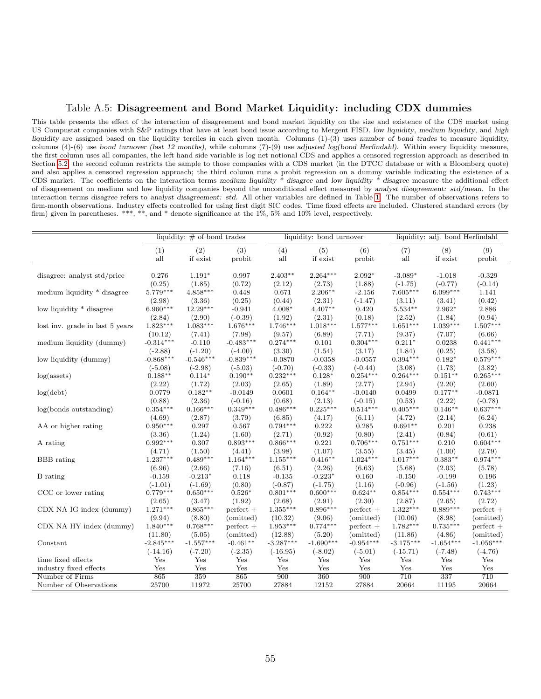#### Table A.5: Disagreement and Bond Market Liquidity: including CDX dummies

This table presents the effect of the interaction of disagreement and bond market liquidity on the size and existence of the CDS market using US Compustat companies with S&P ratings that have at least bond issue according to Mergent FISD. low liquidity, medium liquidity, and high liquidity are assigned based on the liquidity terciles in each given month. Columns (1)-(3) uses number of bond trades to measure liquidity, columns (4)-(6) use bond turnover (last 12 months), while columns (7)-(9) use adjusted log(bond Herfindahl). Within every liquidity measure, the first column uses all companies, the left hand side variable is log net notional CDS and applies a censored regression approach as described in Section [5.2;](#page-17-0) the second column restricts the sample to those companies with a CDS market (in the DTCC database or with a Bloomberg quote) and also applies a censored regression approach; the third column runs a probit regression on a dummy variable indicating the existence of a CDS market. The coefficients on the interaction terms medium liquidity  $*$  disagree and low liquidity  $*$  disagree measure the additional effect of disagreement on medium and low liquidity companies beyond the unconditional effect measured by analyst disagreement: std/mean. In the interaction terms disagree refers to analyst disagreement: std. All other variables are defined in Table [1.](#page-43-0) The number of observations refers to firm-month observations. Industry effects controlled for using first digit SIC codes. Time fixed effects are included. Clustered standard errors (by firm) given in parentheses. \*\*\*, \*\*, and \* denote significance at the 1%, 5% and 10% level, respectively.

|                                 |                                | liquidity: $\#$ of bond trades<br>liquidity: bond turnover |                           |                           |                                | liquidity: adj. bond Herfindahl |                                   |                       |                              |
|---------------------------------|--------------------------------|------------------------------------------------------------|---------------------------|---------------------------|--------------------------------|---------------------------------|-----------------------------------|-----------------------|------------------------------|
|                                 | (1)                            | (2)                                                        | (3)                       | (4)                       | (5)                            | (6)                             | (7)                               | (8)                   | (9)                          |
|                                 | all                            | if exist                                                   | probit                    | all                       | if exist                       | $\operatorname{probit}$         | all                               | if exist              | probit                       |
| disagree: analyst std/price     | 0.276                          | $1.191*$                                                   | 0.997                     | $2.403**$                 | $2.264***$                     | $2.092*$                        | $-3.089*$                         | $-1.018$<br>$(-0.77)$ | $-0.329$                     |
| medium liquidity * disagree     | (0.25)<br>$5.779***$<br>(2.98) | (1.85)<br>$4.858***$<br>(3.36)                             | (0.72)<br>0.448<br>(0.25) | (2.12)<br>0.671<br>(0.44) | (2.73)<br>$2.206***$<br>(2.31) | (1.88)<br>$-2.156$<br>$(-1.47)$ | $(-1.75)$<br>$7.605***$<br>(3.11) | $6.099***$<br>(3.41)  | $(-0.14)$<br>1.141<br>(0.42) |
| low liquidity * disagree        | $6.960***$                     | $12.29***$                                                 | $-0.941$                  | $4.008*$                  | $4.407**$                      | 0.420                           | $5.534**$                         | $2.962*$              | 2.886                        |
|                                 | (2.84)                         | (2.90)                                                     | $(-0.39)$                 | (1.92)                    | (2.31)                         | (0.18)                          | (2.52)                            | (1.84)                | (0.94)                       |
| lost inv. grade in last 5 years | $1.823***$                     | $1.083***$                                                 | $1.676***$                | $1.746***$                | $1.018***$                     | $1.577***$                      | $1.651***$                        | $1.039***$            | $1.507***$                   |
|                                 | (10.12)                        | (7.41)                                                     | (7.98)                    | (9.57)                    | (6.89)                         | (7.71)                          | (9.37)                            | (7.07)                | (6.66)                       |
| medium liquidity (dummy)        | $-0.314***$                    | $-0.110$                                                   | $-0.483***$               | $0.274***$                | 0.101                          | $0.304***$                      | $0.211*$                          | 0.0238                | $0.441***$                   |
|                                 | $(-2.88)$                      | $(-1.20)$                                                  | $(-4.00)$                 | (3.30)                    | (1.54)                         | (3.17)                          | (1.84)                            | (0.25)                | (3.58)                       |
| low liquidity (dummy)           | $-0.868***$                    | $-0.546***$                                                | $-0.839***$               | $-0.0870$                 | $-0.0358$                      | $-0.0557$                       | $0.394***$                        | $0.182*$              | $0.579***$                   |
|                                 | $(-5.08)$                      | $(-2.98)$                                                  | $(-5.03)$                 | $(-0.70)$                 | $(-0.33)$                      | $(-0.44)$                       | (3.08)                            | (1.73)                | (3.82)                       |
| $log($ assets $)$               | $0.188**$                      | $0.114*$                                                   | $0.190**$                 | $0.232***$                | $0.128*$                       | $0.254***$                      | $0.264***$                        | $0.151**$             | $0.265***$                   |
|                                 | (2.22)                         | (1.72)                                                     | (2.03)                    | (2.65)                    | (1.89)                         | (2.77)                          | (2.94)                            | (2.20)                | (2.60)                       |
| log(debt)                       | 0.0779                         | $0.182**$                                                  | $-0.0149$                 | 0.0601                    | $0.164***$                     | $-0.0140$                       | 0.0499                            | $0.177***$            | $-0.0871$                    |
|                                 | (0.88)                         | (2.36)                                                     | $(-0.16)$                 | (0.68)                    | (2.13)                         | $(-0.15)$                       | (0.53)                            | (2.22)                | $(-0.78)$                    |
| log(bonds outstanding)          | $0.354***$                     | $0.166***$                                                 | $0.349***$                | $0.486***$                | $0.225***$                     | $0.514***$                      | $0.405***$                        | $0.146**$             | $0.637***$                   |
|                                 | (4.69)                         | (2.87)                                                     | (3.79)                    | (6.85)                    | (4.17)                         | (6.11)                          | (4.72)                            | (2.14)                | (6.24)                       |
| AA or higher rating             | $0.950***$                     | 0.297                                                      | 0.567                     | $0.794***$                | 0.222                          | 0.285                           | $0.691**$                         | 0.201                 | 0.238                        |
|                                 | (3.36)                         | (1.24)                                                     | (1.60)                    | (2.71)                    | (0.92)                         | (0.80)                          | (2.41)                            | (0.84)                | (0.61)                       |
| A rating                        | $0.992***$                     | 0.307                                                      | $0.893***$                | $0.866***$                | 0.221                          | $0.706***$                      | $0.751***$                        | 0.210                 | $0.604***$                   |
|                                 | (4.71)                         | (1.50)                                                     | (4.41)                    | (3.98)                    | (1.07)                         | (3.55)                          | (3.45)                            | (1.00)                | (2.79)                       |
| <b>BBB</b> rating               | $1.237***$                     | $0.489***$                                                 | $1.164***$                | $1.155***$                | $0.416**$                      | $1.024***$                      | $1.017***$                        | $0.383**$             | $0.974***$                   |
|                                 | (6.96)                         | (2.66)                                                     | (7.16)                    | (6.51)                    | (2.26)                         | (6.63)                          | (5.68)                            | (2.03)                | (5.78)                       |
| B rating                        | $-0.159$                       | $-0.213*$                                                  | 0.118                     | $-0.135$                  | $-0.223*$                      | 0.160                           | $-0.150$                          | $-0.199$              | 0.196                        |
|                                 | $(-1.01)$                      | $(-1.69)$                                                  | (0.80)                    | $(-0.87)$                 | $(-1.75)$                      | (1.16)                          | $(-0.96)$                         | $(-1.56)$             | (1.23)                       |
| CCC or lower rating             | $0.779***$                     | $0.650***$                                                 | $0.526*$                  | $0.801***$                | $0.600***$                     | $0.624**$                       | $0.854***$                        | $0.554***$            | $0.743***$                   |
|                                 | (2.65)                         | (3.47)                                                     | (1.92)                    | (2.68)                    | (2.91)                         | (2.30)                          | (2.87)                            | (2.65)                | (2.72)                       |
| CDX NA IG index (dummy)         | $1.271***$                     | $0.865***$                                                 | $perfect +$               | $1.355***$                | $0.896***$                     | $perfect +$                     | $1.322***$                        | $0.889***$            | $perfect +$                  |
|                                 | (9.94)                         | (8.80)                                                     | (omitted)                 | (10.32)                   | (9.06)                         | (omitted)                       | (10.06)                           | (8.98)                | (omitted)                    |
| CDX NA HY index (dummy)         | $1.840***$                     | $0.768***$                                                 | $perfect +$               | $1.953***$                | $0.774***$                     | $perfect +$                     | $1.782***$                        | $0.735***$            | $perfect +$                  |
|                                 | (11.80)                        | (5.05)                                                     | (omitted)                 | (12.88)                   | (5.20)                         | (omitted)                       | (11.86)                           | (4.86)                | (omitted)                    |
| Constant                        | $-2.845***$                    | $-1.557***$                                                | $-0.461**$                | $-3.287***$               | $-1.690***$                    | $-0.954***$                     | $-3.175***$                       | $-1.654***$           | $-1.056***$                  |
|                                 | $(-14.16)$                     | $(-7.20)$                                                  | $(-2.35)$                 | $(-16.95)$                | $(-8.02)$                      | $(-5.01)$                       | $(-15.71)$                        | $(-7.48)$             | $(-4.76)$                    |
| time fixed effects              | Yes                            | Yes                                                        | Yes                       | Yes                       | Yes                            | Yes                             | Yes                               | Yes                   | Yes                          |
| industry fixed effects          | Yes                            | Yes                                                        | Yes                       | Yes                       | Yes                            | Yes                             | Yes                               | Yes                   | Yes                          |
| Number of Firms                 | 865                            | 359                                                        | 865                       | 900                       | 360                            | 900                             | 710                               | 337                   | 710                          |
| Number of Observations          | 25700                          | 11972                                                      | 25700                     | 27884                     | 12152                          | 27884                           | 20664                             | 11195                 | 20664                        |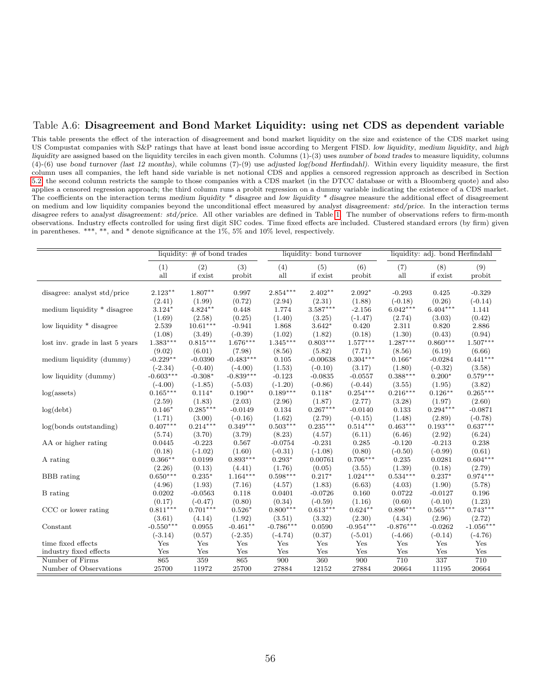#### Table A.6: Disagreement and Bond Market Liquidity: using net CDS as dependent variable

This table presents the effect of the interaction of disagreement and bond market liquidity on the size and existence of the CDS market using US Compustat companies with S&P ratings that have at least bond issue according to Mergent FISD. low liquidity, medium liquidity, and high liquidity are assigned based on the liquidity terciles in each given month. Columns (1)-(3) uses number of bond trades to measure liquidity, columns  $(4)-(6)$  use bond turnover (last 12 months), while columns (7)-(9) use adjusted log(bond Herfindahl). Within every liquidity measure, the first column uses all companies, the left hand side variable is net notional CDS and applies a censored regression approach as described in Section [5.2;](#page-17-0) the second column restricts the sample to those companies with a CDS market (in the DTCC database or with a Bloomberg quote) and also applies a censored regression approach; the third column runs a probit regression on a dummy variable indicating the existence of a CDS market. The coefficients on the interaction terms medium liquidity  $*$  disagree and low liquidity  $*$  disagree measure the additional effect of disagreement on medium and low liquidity companies beyond the unconditional effect measured by analyst disagreement: std/price. In the interaction terms disagree refers to analyst disagreement: std/price. All other variables are defined in Table [1.](#page-43-0) The number of observations refers to firm-month observations. Industry effects controlled for using first digit SIC codes. Time fixed effects are included. Clustered standard errors (by firm) given in parentheses. \*\*\*, \*\*, and \* denote significance at the  $1\%$ , 5% and  $10\%$  level, respectively.

|                                 | liquidity: $\#$ of bond trades |            |             |             | liquidity: bond turnover |             | liquidity: adj. bond Herfindahl |            |             |
|---------------------------------|--------------------------------|------------|-------------|-------------|--------------------------|-------------|---------------------------------|------------|-------------|
|                                 | (1)                            | (2)        | (3)         | (4)         | (5)                      | (6)         | (7)                             | (8)        | (9)         |
|                                 | all                            | if exist   | probit      | all         | if exist                 | probit      | all                             | if exist   | probit      |
| disagree: analyst std/price     | $2.123**$                      | $1.807**$  | 0.997       | $2.854***$  | $2.402**$                | $2.092*$    | $-0.293$                        | 0.425      | $-0.329$    |
|                                 | (2.41)                         | (1.99)     | (0.72)      | (2.94)      | (2.31)                   | (1.88)      | $(-0.18)$                       | (0.26)     | $(-0.14)$   |
| medium liquidity * disagree     | $3.124*$                       | $4.824**$  | 0.448       | 1.774       | $3.587***$               | $-2.156$    | $6.042***$                      | $6.404***$ | 1.141       |
|                                 | (1.69)                         | (2.58)     | (0.25)      | (1.40)      | (3.25)                   | $(-1.47)$   | (2.74)                          | (3.03)     | (0.42)      |
| low liquidity * disagree        | 2.539                          | $10.61***$ | $-0.941$    | 1.868       | $3.642*$                 | 0.420       | 2.311                           | 0.820      | 2.886       |
|                                 | (1.08)                         | (3.49)     | $(-0.39)$   | (1.02)      | (1.82)                   | (0.18)      | (1.30)                          | (0.43)     | (0.94)      |
| lost inv. grade in last 5 years | $1.383***$                     | $0.815***$ | $1.676***$  | $1.345***$  | $0.803***$               | $1.577***$  | $1.287***$                      | $0.860***$ | $1.507***$  |
|                                 | (9.02)                         | (6.01)     | (7.98)      | (8.56)      | (5.82)                   | (7.71)      | (8.56)                          | (6.19)     | (6.66)      |
| medium liquidity (dummy)        | $-0.229**$                     | $-0.0390$  | $-0.483***$ | 0.105       | $-0.00638$               | $0.304***$  | $0.166*$                        | $-0.0284$  | $0.441***$  |
|                                 | $(-2.34)$                      | $(-0.40)$  | $(-4.00)$   | (1.53)      | $(-0.10)$                | (3.17)      | (1.80)                          | $(-0.32)$  | (3.58)      |
| low liquidity (dummy)           | $-0.603***$                    | $-0.308*$  | $-0.839***$ | $-0.123$    | $-0.0835$                | $-0.0557$   | $0.388***$                      | $0.200*$   | $0.579***$  |
|                                 | $(-4.00)$                      | $(-1.85)$  | $(-5.03)$   | $(-1.20)$   | $(-0.86)$                | $(-0.44)$   | (3.55)                          | (1.95)     | (3.82)      |
| $log($ assets $)$               | $0.165***$                     | $0.114*$   | $0.190**$   | $0.189***$  | $0.118*$                 | $0.254***$  | $0.216***$                      | $0.126**$  | $0.265***$  |
|                                 | (2.59)                         | (1.83)     | (2.03)      | (2.96)      | (1.87)                   | (2.77)      | (3.28)                          | (1.97)     | (2.60)      |
| log(debt)                       | $0.146*$                       | $0.285***$ | $-0.0149$   | 0.134       | $0.267***$               | $-0.0140$   | 0.133                           | $0.294***$ | $-0.0871$   |
|                                 | (1.71)                         | (3.00)     | $(-0.16)$   | (1.62)      | (2.79)                   | $(-0.15)$   | (1.48)                          | (2.89)     | $(-0.78)$   |
| log(bonds outstanding)          | $0.407***$                     | $0.214***$ | $0.349***$  | $0.503***$  | $0.235***$               | $0.514***$  | $0.463***$                      | $0.193***$ | $0.637***$  |
|                                 | (5.74)                         | (3.70)     | (3.79)      | (8.23)      | (4.57)                   | (6.11)      | (6.46)                          | (2.92)     | (6.24)      |
| AA or higher rating             | 0.0445                         | $-0.223$   | 0.567       | $-0.0754$   | $-0.231$                 | 0.285       | $-0.120$                        | $-0.213$   | 0.238       |
|                                 | (0.18)                         | $(-1.02)$  | (1.60)      | $(-0.31)$   | $(-1.08)$                | (0.80)      | $(-0.50)$                       | $(-0.99)$  | (0.61)      |
| A rating                        | $0.366**$                      | 0.0199     | $0.893***$  | $0.293*$    | 0.00761                  | $0.706***$  | 0.235                           | 0.0281     | $0.604***$  |
|                                 | (2.26)                         | (0.13)     | (4.41)      | (1.76)      | (0.05)                   | (3.55)      | (1.39)                          | (0.18)     | (2.79)      |
| <b>BBB</b> rating               | $0.650***$                     | $0.235*$   | $1.164***$  | $0.598***$  | $0.217*$                 | $1.024***$  | $0.534***$                      | $0.237*$   | $0.974***$  |
|                                 | (4.96)                         | (1.93)     | (7.16)      | (4.57)      | (1.83)                   | (6.63)      | (4.03)                          | (1.90)     | (5.78)      |
| B rating                        | 0.0202                         | $-0.0563$  | 0.118       | 0.0401      | $-0.0726$                | 0.160       | 0.0722                          | $-0.0127$  | 0.196       |
|                                 | (0.17)                         | $(-0.47)$  | (0.80)      | (0.34)      | $(-0.59)$                | (1.16)      | (0.60)                          | $(-0.10)$  | (1.23)      |
| CCC or lower rating             | $0.811***$                     | $0.701***$ | $0.526*$    | $0.800***$  | $0.613***$               | $0.624**$   | $0.896***$                      | $0.565***$ | $0.743***$  |
|                                 | (3.61)                         | (4.14)     | (1.92)      | (3.51)      | (3.32)                   | (2.30)      | (4.34)                          | (2.96)     | (2.72)      |
| Constant                        | $-0.550***$                    | 0.0955     | $-0.461**$  | $-0.786***$ | 0.0590                   | $-0.954***$ | $-0.876***$                     | $-0.0262$  | $-1.056***$ |
|                                 | $(-3.14)$                      | (0.57)     | $(-2.35)$   | $(-4.74)$   | (0.37)                   | $(-5.01)$   | $(-4.66)$                       | $(-0.14)$  | $(-4.76)$   |
| time fixed effects              | Yes                            | Yes        | Yes         | Yes         | Yes                      | Yes         | Yes                             | Yes        | Yes         |
| industry fixed effects          | Yes                            | Yes        | Yes         | Yes         | Yes                      | Yes         | Yes                             | Yes        | Yes         |
| Number of Firms                 | 865                            | 359        | 865         | 900         | 360                      | 900         | 710                             | 337        | 710         |
| Number of Observations          | 25700                          | 11972      | 25700       | 27884       | 12152                    | 27884       | 20664                           | 11195      | 20664       |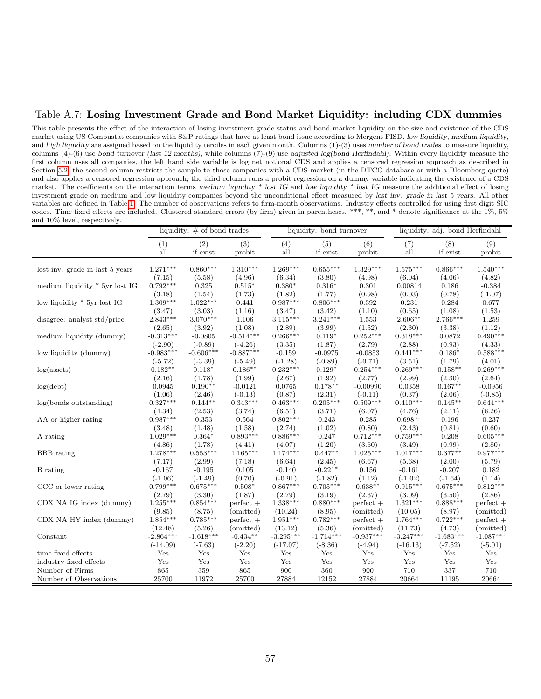### Table A.7: Losing Investment Grade and Bond Market Liquidity: including CDX dummies

This table presents the effect of the interaction of losing investment grade status and bond market liquidity on the size and existence of the CDS market using US Compustat companies with S&P ratings that have at least bond issue according to Mergent FISD. low liquidity, medium liquidity, and high liquidity are assigned based on the liquidity terciles in each given month. Columns (1)-(3) uses number of bond trades to measure liquidity, columns (4)-(6) use bond turnover (last 12 months), while columns (7)-(9) use adjusted log(bond Herfindahl). Within every liquidity measure the first column uses all companies, the left hand side variable is log net notional CDS and applies a censored regression approach as described in Section [5.2;](#page-17-0) the second column restricts the sample to those companies with a CDS market (in the DTCC database or with a Bloomberg quote) and also applies a censored regression approach; the third column runs a probit regression on a dummy variable indicating the existence of a CDS market. The coefficients on the interaction terms medium liquidity \* lost IG and low liquidity \* lost IG measure the additional effect of losing investment grade on medium and low liquidity companies beyond the unconditional effect measured by lost inv. grade in last 5 years. All other variables are defined in Table [1.](#page-43-0) The number of observations refers to firm-month observations. Industry effects controlled for using first digit SIC codes. Time fixed effects are included. Clustered standard errors (by firm) given in parentheses. \*\*\*, \*\*, and \* denote significance at the 1%, 5% and 10% level, respectively.

|                                 | liquidity: $\#$ of bond trades |                               |                                  |                                | liquidity: bond turnover       |                                   | liquidity: adj. bond Herfindahl |                                |                                   |
|---------------------------------|--------------------------------|-------------------------------|----------------------------------|--------------------------------|--------------------------------|-----------------------------------|---------------------------------|--------------------------------|-----------------------------------|
|                                 | (1)                            | (2)                           | (3)                              | (4)                            | (5)                            | (6)                               | (7)                             | (8)                            | (9)                               |
|                                 | all                            | if exist                      | probit                           | all                            | if exist                       | $\operatorname{probit}$           | all                             | if exist                       | probit                            |
| lost inv. grade in last 5 years | $1.271***$                     | $0.860***$                    | $1.310***$                       | $1.269***$                     | $0.655***$                     | $1.329***$                        | $1.575***$                      | $0.866***$                     | $1.540***$                        |
| medium liquidity * 5yr lost IG  | (7.15)                         | (5.58)                        | (4.96)                           | (6.34)                         | (3.80)                         | (4.98)                            | (6.04)                          | (4.06)                         | (4.82)                            |
|                                 | $0.792***$                     | 0.325                         | $0.515*$                         | $0.380*$                       | $0.316*$                       | 0.301                             | 0.00814                         | 0.186                          | $-0.384$                          |
| low liquidity * 5yr lost IG     | (3.18)                         | (1.54)                        | (1.73)                           | (1.82)                         | (1.77)                         | (0.98)                            | (0.03)                          | (0.78)                         | $(-1.07)$                         |
|                                 | $1.309***$                     | $1.022***$                    | 0.441                            | $0.987***$                     | $0.806***$                     | 0.392                             | 0.231                           | 0.284                          | 0.677                             |
| disagree: analyst std/price     | (3.47)                         | (3.03)                        | (1.16)                           | (3.47)                         | (3.42)                         | (1.10)                            | (0.65)                          | (1.08)                         | (1.53)                            |
|                                 | $2.843***$                     | $3.070***$                    | 1.106                            | $3.115***$                     | $3.241***$                     | 1.553                             | $2.606**$                       | $2.766***$                     | 1.259                             |
| medium liquidity (dummy)        | (2.65)                         | (3.92)                        | (1.08)                           | (2.89)                         | (3.99)                         | (1.52)                            | (2.30)                          | (3.38)                         | (1.12)                            |
|                                 | $-0.313***$                    | $-0.0805$                     | $-0.514***$                      | $0.266***$                     | $0.119*$                       | $0.252***$                        | $0.318***$                      | 0.0872                         | $0.490***$                        |
|                                 | $(-2.90)$                      | $(-0.89)$                     | $(-4.26)$                        | (3.35)                         | (1.87)                         | (2.79)                            | (2.88)                          | (0.93)                         | (4.33)                            |
| low liquidity (dummy)           | $-0.983***$                    | $-0.606***$                   | $-0.887***$                      | $-0.159$                       | $-0.0975$                      | $-0.0853$<br>$(-0.71)$            | $0.441***$                      | $0.186*$                       | $0.588***$                        |
| $log($ assets $)$               | $(-5.72)$<br>$0.182**$         | $(-3.39)$<br>$0.118*$         | $(-5.49)$<br>$0.186**$           | $(-1.28)$<br>$0.232***$        | $(-0.89)$<br>$0.129*$          | $0.254***$                        | (3.51)<br>$0.269***$            | (1.79)<br>$0.158***$           | (4.01)<br>$0.269***$              |
| log(debt)                       | (2.16)<br>0.0945               | (1.78)<br>$0.190**$<br>(2.46) | (1.99)<br>$-0.0121$<br>$(-0.13)$ | (2.67)<br>0.0765               | (1.92)<br>$0.178**$            | (2.77)<br>$-0.00990$<br>$(-0.11)$ | (2.99)<br>0.0358<br>(0.37)      | (2.30)<br>$0.167**$            | (2.64)<br>$-0.0956$               |
| log(bonds outstanding)          | (1.06)<br>$0.327***$<br>(4.34) | $0.144**$<br>(2.53)           | $0.343***$<br>(3.74)             | (0.87)<br>$0.463***$<br>(6.51) | (2.31)<br>$0.205***$<br>(3.71) | $0.509***$<br>(6.07)              | $0.410***$<br>(4.76)            | (2.06)<br>$0.145***$<br>(2.11) | $(-0.85)$<br>$0.644***$<br>(6.26) |
| AA or higher rating             | $0.987***$<br>(3.48)           | 0.353<br>(1.48)               | 0.564<br>(1.58)                  | $0.802***$                     | 0.243<br>(1.02)                | 0.285<br>(0.80)                   | $0.698**$<br>(2.43)             | 0.196                          | 0.237<br>(0.60)                   |
| A rating                        | $1.029***$<br>(4.86)           | $0.364*$<br>(1.78)            | $0.893***$<br>(4.41)             | (2.74)<br>$0.886***$<br>(4.07) | 0.247<br>(1.20)                | $0.712***$<br>(3.60)              | $0.759***$<br>(3.49)            | (0.81)<br>0.208<br>(0.99)      | $0.605***$<br>(2.80)              |
| <b>BBB</b> rating               | $1.278***$                     | $0.553***$                    | $1.165***$                       | $1.174***$                     | $0.447**$                      | $1.025***$                        | $1.017***$                      | $0.377**$                      | $0.977***$                        |
|                                 | (7.17)                         | (2.99)                        | (7.18)                           | (6.64)                         | (2.45)                         | (6.67)                            | (5.68)                          | (2.00)                         | (5.79)                            |
| B rating                        | $-0.167$                       | $-0.195$                      | 0.105                            | $-0.140$                       | $-0.221*$                      | 0.156                             | $-0.161$                        | $-0.207$                       | 0.182                             |
|                                 | $(-1.06)$                      | $(-1.49)$                     | (0.70)                           | $(-0.91)$                      | $(-1.82)$                      | (1.12)                            | $(-1.02)$                       | $(-1.64)$                      | (1.14)                            |
| CCC or lower rating             | $0.799***$                     | $0.675***$                    | $0.508*$                         | $0.867***$                     | $0.705***$                     | $0.638**$                         | $0.915***$                      | $0.675***$                     | $0.812***$                        |
|                                 | (2.79)                         | (3.30)                        | (1.87)                           | (2.79)                         | (3.19)                         | (2.37)                            | (3.09)                          | (3.50)                         | (2.86)                            |
| CDX NA IG index (dummy)         | $1.255***$                     | $0.854***$                    | $perfect +$                      | $1.338***$                     | $0.880***$                     | $perfect +$                       | $1.321***$                      | $0.888***$                     | $perfect +$                       |
|                                 | (9.85)                         | (8.75)                        | (omitted)                        | (10.24)                        | (8.95)                         | (omitted)                         | (10.05)                         | (8.97)                         | (omitted)                         |
| CDX NA HY index (dummy)         | $1.854***$                     | $0.785***$                    | $perfect +$                      | $1.951***$                     | $0.782***$                     | $perfect +$                       | $1.764***$                      | $0.722***$                     | $perfect +$                       |
|                                 | (12.48)                        | (5.26)                        | (omitted)                        | (13.12)                        | (5.36)                         | (omitted)                         | (11.73)                         | (4.73)                         | (omitted)                         |
| Constant                        | $-2.864***$<br>$(-14.09)$      | $-1.618***$<br>$(-7.63)$      | $-0.434**$                       | $-3.295***$<br>$(-17.07)$      | $-1.714***$<br>$(-8.36)$       | $-0.937***$<br>$(-4.94)$          | $-3.247***$<br>$(-16.13)$       | $-1.683***$<br>$(-7.52)$       | $-1.087***$                       |
| time fixed effects              | Yes                            | Yes                           | $(-2.20)$<br>Yes                 | Yes                            | Yes                            | Yes                               | Yes                             | Yes                            | $(-5.01)$<br>Yes                  |
| industry fixed effects          | Yes                            | Yes                           | Yes                              | Yes                            | Yes                            | Yes                               | Yes                             | Yes                            | Yes                               |
| Number of Firms                 | 865                            | 359                           | 865                              | 900                            | 360                            | 900                               | 710                             | 337                            | 710                               |
| Number of Observations          | 25700                          | 11972                         | 25700                            | 27884                          | 12152                          | 27884                             | 20664                           | 11195                          | 20664                             |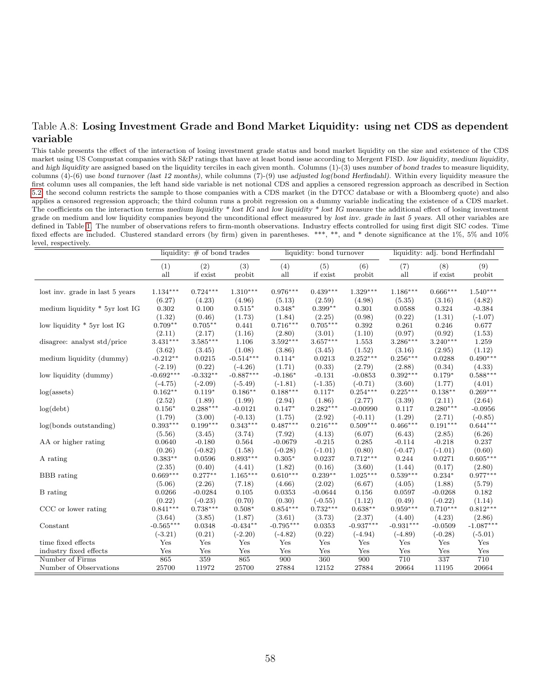## <span id="page-57-0"></span>Table A.8: Losing Investment Grade and Bond Market Liquidity: using net CDS as dependent variable

This table presents the effect of the interaction of losing investment grade status and bond market liquidity on the size and existence of the CDS market using US Compustat companies with S&P ratings that have at least bond issue according to Mergent FISD. low liquidity, medium liquidity, and high liquidity are assigned based on the liquidity terciles in each given month. Columns (1)-(3) uses number of bond trades to measure liquidity, columns (4)-(6) use bond turnover (last 12 months), while columns (7)-(9) use adjusted log(bond Herfindahl). Within every liquidity measure the first column uses all companies, the left hand side variable is net notional CDS and applies a censored regression approach as described in Section [5.2;](#page-17-0) the second column restricts the sample to those companies with a CDS market (in the DTCC database or with a Bloomberg quote) and also applies a censored regression approach; the third column runs a probit regression on a dummy variable indicating the existence of a CDS market. The coefficients on the interaction terms medium liquidity \* lost IG and low liquidity \* lost IG measure the additional effect of losing investment grade on medium and low liquidity companies beyond the unconditional effect measured by lost inv. grade in last 5 years. All other variables are defined in Table [1.](#page-43-0) The number of observations refers to firm-month observations. Industry effects controlled for using first digit SIC codes. Time fixed effects are included. Clustered standard errors (by firm) given in parentheses. \*\*\*, \*\*, and \* denote significance at the 1%, 5% and 10% level, respectively.

|                                 |             |            | liquidity: $\#$ of bond trades<br>liquidity: bond turnover |             |            | liquidity: adj. bond Herfindahl |             |            |             |
|---------------------------------|-------------|------------|------------------------------------------------------------|-------------|------------|---------------------------------|-------------|------------|-------------|
|                                 | (1)         | (2)        | (3)                                                        | (4)         | (5)        | (6)                             | (7)         | (8)        | (9)         |
|                                 | all         | if exist   | probit                                                     | all         | if exist   | probit                          | all         | if exist   | probit      |
|                                 |             |            |                                                            |             |            |                                 |             |            |             |
| lost inv. grade in last 5 years | $1.134***$  | $0.724***$ | $1.310***$                                                 | $0.976***$  | $0.439***$ | $1.329***$                      | $1.186***$  | $0.666***$ | $1.540***$  |
|                                 | (6.27)      | (4.23)     | (4.96)                                                     | (5.13)      | (2.59)     | (4.98)                          | (5.35)      | (3.16)     | (4.82)      |
| medium liquidity * 5yr lost IG  | 0.302       | 0.100      | $0.515*$                                                   | $0.348*$    | $0.399**$  | 0.301                           | 0.0588      | 0.324      | $-0.384$    |
|                                 | (1.32)      | (0.46)     | (1.73)                                                     | (1.84)      | (2.25)     | (0.98)                          | (0.22)      | (1.31)     | $(-1.07)$   |
| low liquidity * 5yr lost IG     | $0.709**$   | $0.705***$ | 0.441                                                      | $0.716***$  | $0.705***$ | 0.392                           | 0.261       | 0.246      | 0.677       |
|                                 | (2.11)      | (2.17)     | (1.16)                                                     | (2.80)      | (3.01)     | (1.10)                          | (0.97)      | (0.92)     | (1.53)      |
| disagree: analyst std/price     | $3.431***$  | $3.585***$ | 1.106                                                      | $3.592***$  | $3.657***$ | 1.553                           | $3.286***$  | $3.240***$ | 1.259       |
|                                 | (3.62)      | (3.45)     | (1.08)                                                     | (3.86)      | (3.45)     | (1.52)                          | (3.16)      | (2.95)     | (1.12)      |
| medium liquidity (dummy)        | $-0.212**$  | 0.0215     | $-0.514***$                                                | $0.114*$    | 0.0213     | $0.252***$                      | $0.256***$  | 0.0288     | $0.490***$  |
|                                 | $(-2.19)$   | (0.22)     | $(-4.26)$                                                  | (1.71)      | (0.33)     | (2.79)                          | (2.88)      | (0.34)     | (4.33)      |
| low liquidity (dummy)           | $-0.692***$ | $-0.332**$ | $-0.887***$                                                | $-0.186*$   | $-0.131$   | $-0.0853$                       | $0.392***$  | $0.179*$   | $0.588***$  |
|                                 | $(-4.75)$   | $(-2.09)$  | $(-5.49)$                                                  | $(-1.81)$   | $(-1.35)$  | $(-0.71)$                       | (3.60)      | (1.77)     | (4.01)      |
| $log($ assets $)$               | $0.162**$   | $0.119*$   | $0.186**$                                                  | $0.188***$  | $0.117*$   | $0.254***$                      | $0.225***$  | $0.138**$  | $0.269***$  |
|                                 | (2.52)      | (1.89)     | (1.99)                                                     | (2.94)      | (1.86)     | (2.77)                          | (3.39)      | (2.11)     | (2.64)      |
| log(debt)                       | $0.156*$    | $0.288***$ | $-0.0121$                                                  | $0.147*$    | $0.282***$ | $-0.00990$                      | 0.117       | $0.280***$ | $-0.0956$   |
|                                 | (1.79)      | (3.00)     | $(-0.13)$                                                  | (1.75)      | (2.92)     | $(-0.11)$                       | (1.29)      | (2.71)     | $(-0.85)$   |
| log(bonds outstanding)          | $0.393***$  | $0.199***$ | $0.343***$                                                 | $0.487***$  | $0.216***$ | $0.509***$                      | $0.466***$  | $0.191***$ | $0.644***$  |
|                                 | (5.56)      | (3.45)     | (3.74)                                                     | (7.92)      | (4.13)     | (6.07)                          | (6.43)      | (2.85)     | (6.26)      |
| AA or higher rating             | 0.0640      | $-0.180$   | 0.564                                                      | $-0.0679$   | $-0.215$   | 0.285                           | $-0.114$    | $-0.218$   | 0.237       |
|                                 | (0.26)      | $(-0.82)$  | (1.58)                                                     | $(-0.28)$   | $(-1.01)$  | (0.80)                          | $(-0.47)$   | $(-1.01)$  | (0.60)      |
| A rating                        | $0.383**$   | 0.0596     | $0.893***$                                                 | $0.305*$    | 0.0237     | $0.712***$                      | 0.244       | 0.0271     | $0.605***$  |
|                                 | (2.35)      | (0.40)     | (4.41)                                                     | (1.82)      | (0.16)     | (3.60)                          | (1.44)      | (0.17)     | (2.80)      |
| <b>BBB</b> rating               | $0.669***$  | $0.277**$  | $1.165***$                                                 | $0.610***$  | $0.239**$  | $1.025***$                      | $0.539***$  | $0.234*$   | $0.977***$  |
|                                 | (5.06)      | (2.26)     | (7.18)                                                     | (4.66)      | (2.02)     | (6.67)                          | (4.05)      | (1.88)     | (5.79)      |
| B rating                        | 0.0266      | $-0.0284$  | 0.105                                                      | 0.0353      | $-0.0644$  | 0.156                           | 0.0597      | $-0.0268$  | 0.182       |
|                                 | (0.22)      | $(-0.23)$  | (0.70)                                                     | (0.30)      | $(-0.55)$  | (1.12)                          | (0.49)      | $(-0.22)$  | (1.14)      |
| CCC or lower rating             | $0.841***$  | $0.738***$ | $0.508*$                                                   | $0.854***$  | $0.732***$ | $0.638**$                       | $0.959***$  | $0.710***$ | $0.812***$  |
|                                 | (3.64)      | (3.85)     | (1.87)                                                     | (3.61)      | (3.73)     | (2.37)                          | (4.40)      | (4.23)     | (2.86)      |
| Constant                        | $-0.565***$ | 0.0348     | $-0.434**$                                                 | $-0.795***$ | 0.0353     | $-0.937***$                     | $-0.931***$ | $-0.0509$  | $-1.087***$ |
|                                 | $(-3.21)$   | (0.21)     | $(-2.20)$                                                  | $(-4.82)$   | (0.22)     | $(-4.94)$                       | $(-4.89)$   | $(-0.28)$  | $(-5.01)$   |
| time fixed effects              | Yes         | Yes        | Yes                                                        | Yes         | Yes        | Yes                             | Yes         | Yes        | Yes         |
| industry fixed effects          | Yes         | Yes        | Yes                                                        | Yes         | Yes        | Yes                             | Yes         | Yes        | Yes         |
| Number of Firms                 | 865         | 359        | 865                                                        | 900         | 360        | 900                             | 710         | 337        | 710         |
| Number of Observations          | 25700       | 11972      | 25700                                                      | 27884       | 12152      | 27884                           | 20664       | 11195      | 20664       |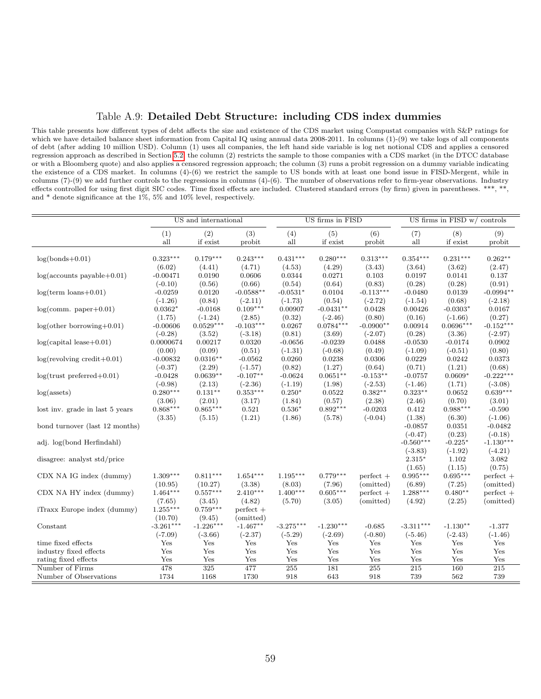## <span id="page-58-0"></span>Table A.9: Detailed Debt Structure: including CDS index dummies

This table presents how different types of debt affects the size and existence of the CDS market using Compustat companies with S&P ratings for which we have detailed balance sheet information from Capital IQ using annual data 2008-2011. In columns (1)-(9) we take logs of all components of debt (after adding 10 million USD). Column (1) uses all companies, the left hand side variable is log net notional CDS and applies a censored regression approach as described in Section [5.2;](#page-17-0) the column (2) restricts the sample to those companies with a CDS market (in the DTCC database or with a Bloomberg quote) and also applies a censored regression approach; the column (3) runs a probit regression on a dummy variable indicating the existence of a CDS market. In columns (4)-(6) we restrict the sample to US bonds with at least one bond issue in FISD-Mergent, while in columns (7)-(9) we add further controls to the regressions in columns (4)-(6). The number of observations refer to firm-year observations. Industry effects controlled for using first digit SIC codes. Time fixed effects are included. Clustered standard errors (by firm) given in parentheses. \*\*\*, \*\*, and \* denote significance at the 1%, 5% and 10% level, respectively.

|                                  | US and international  |                      |                          |                  | US firms in FISD |             | US firms in FISD w/ controls |                        |                          |
|----------------------------------|-----------------------|----------------------|--------------------------|------------------|------------------|-------------|------------------------------|------------------------|--------------------------|
|                                  | (1)                   | (2)                  | (3)                      | (4)              | (5)              | (6)         | (7)                          | (8)                    | (9)                      |
|                                  | all                   | if exist             | probit                   | all              | if exist         | probit      | all                          | if exist               | $\operatorname{probit}$  |
| $log(bonds + 0.01)$              | $0.323***$            | $0.179***$           | $0.243***$               | $0.431***$       | $0.280***$       | $0.313***$  | $0.354***$                   | $0.231***$             | $0.262**$                |
| $log($ accounts payable $+0.01)$ | (6.02)                | (4.41)               | (4.71)                   | (4.53)           | (4.29)           | (3.43)      | (3.64)                       | (3.62)                 | (2.47)                   |
|                                  | $-0.00471$            | 0.0190               | 0.0606                   | 0.0344           | 0.0271           | 0.103       | 0.0197                       | 0.0141                 | 0.137                    |
| $log($ term $loans+0.01)$        | $(-0.10)$             | (0.56)               | (0.66)                   | (0.54)           | (0.64)           | (0.83)      | (0.28)                       | (0.28)                 | (0.91)                   |
|                                  | $-0.0259$             | 0.0120               | $-0.0588**$              | $-0.0531*$       | 0.0104           | $-0.113***$ | $-0.0480$                    | 0.0139                 | $-0.0994**$              |
| $log(comm. paper+0.01)$          | $(-1.26)$             | (0.84)               | $(-2.11)$                | $(-1.73)$        | (0.54)           | $(-2.72)$   | $(-1.54)$                    | (0.68)                 | $(-2.18)$                |
|                                  | $0.0362*$             | $-0.0168$            | $0.109***$               | 0.00907          | $-0.0431**$      | 0.0428      | 0.00426                      | $-0.0303*$             | 0.0167                   |
|                                  | (1.75)                | $(-1.24)$            | (2.85)                   | (0.32)           | $(-2.46)$        | (0.80)      | (0.16)                       | $(-1.66)$              | (0.27)                   |
| $log(other borrowing+0.01)$      | $-0.00606$            | $0.0529***$          | $-0.103***$              | 0.0267           | $0.0784***$      | $-0.0900**$ | 0.00914                      | $0.0696***$            | $-0.152***$              |
|                                  | $(-0.28)$             | (3.52)               | $(-3.18)$                | (0.81)           | (3.69)           | $(-2.07)$   | (0.28)                       | (3.36)                 | $(-2.97)$                |
| $log(capital lease+0.01)$        | 0.0000674             | 0.00217              | 0.0320                   | $-0.0656$        | $-0.0239$        | 0.0488      | $-0.0530$                    | $-0.0174$              | 0.0902                   |
|                                  | (0.00)                | (0.09)               | (0.51)                   | $(-1.31)$        | $(-0.68)$        | (0.49)      | $(-1.09)$                    | $(-0.51)$              | (0.80)                   |
| $log(revolving credit+0.01)$     | $-0.00832$            | $0.0316**$           | $-0.0562$                | 0.0260           | 0.0238           | 0.0306      | 0.0229                       | 0.0242                 | 0.0373                   |
|                                  | $(-0.37)$             | (2.29)               | $(-1.57)$                | (0.82)           | (1.27)           | (0.64)      | (0.71)                       | (1.21)                 | (0.68)                   |
| $log(t$ rust preferred $+0.01)$  | $-0.0428$             | $0.0639**$           | $-0.107**$               | $-0.0624$        | $0.0651**$       | $-0.153**$  | $-0.0757$                    | $0.0609*$              | $-0.222***$              |
|                                  | $(-0.98)$             | (2.13)               | $(-2.36)$                | $(-1.19)$        | (1.98)           | $(-2.53)$   | $(-1.46)$                    | (1.71)                 | $(-3.08)$                |
| $log($ assets $)$                | $0.280***$            | $0.131**$            | $0.353***$               | $0.250*$         | 0.0522           | $0.382**$   | $0.323**$                    | 0.0652                 | $0.639***$               |
|                                  | (3.06)                | (2.01)               | (3.17)                   | (1.84)           | (0.57)           | (2.38)      | (2.46)                       | (0.70)                 | (3.01)                   |
| lost inv. grade in last 5 years  | $0.868***$            | $0.865***$           | 0.521                    | $0.536*$         | $0.892***$       | $-0.0203$   | 0.412                        | $0.988***$             | $-0.590$                 |
|                                  | (3.35)                | (5.15)               | (1.21)                   | (1.86)           | (5.78)           | $(-0.04)$   | (1.38)                       | (6.30)                 | $(-1.06)$                |
| bond turnover (last 12 months)   |                       |                      |                          |                  |                  |             | $-0.0857$<br>$(-0.47)$       | 0.0351<br>(0.23)       | $-0.0482$<br>$(-0.18)$   |
| adj. log(bond Herfindahl)        |                       |                      |                          |                  |                  |             | $-0.560***$<br>$(-3.83)$     | $-0.225*$<br>$(-1.92)$ | $-1.130***$<br>$(-4.21)$ |
| disagree: analyst std/price      |                       |                      |                          |                  |                  |             | $2.315*$<br>(1.65)           | 1.102<br>(1.15)        | 3.082<br>(0.75)          |
| CDX NA IG index (dummy)          | $1.309***$            | $0.811***$           | $1.654***$               | $1.195***$       | $0.779***$       | $perfect +$ | $0.995***$                   | $0.695***$             | $perfect +$              |
|                                  | (10.95)               | (10.27)              | (3.38)                   | (8.03)           | (7.96)           | (omitted)   | (6.89)                       | (7.25)                 | (omitted)                |
| CDX NA HY index (dummy)          | $1.464***$            | $0.557***$           | $2.410***$               | $1.400***$       | $0.605***$       | $perfect +$ | $1.288***$                   | $0.480**$              | $perfect +$              |
|                                  | (7.65)                | (3.45)               | (4.82)                   | (5.70)           | (3.05)           | (omitted)   | (4.92)                       | (2.25)                 | (omitted)                |
| iTraxx Europe index (dummy)      | $1.255***$<br>(10.70) | $0.759***$<br>(9.45) | $perfect +$<br>(omitted) |                  |                  |             |                              |                        |                          |
| Constant                         | $-3.261***$           | $-1.226***$          | $-1.467**$               | $-3.275***$      | $-1.230***$      | $-0.685$    | $-3.311***$                  | $-1.130**$             | $-1.377$                 |
|                                  | $(-7.09)$             | $(-3.66)$            | $(-2.37)$                | $(-5.29)$        | $(-2.69)$        | $(-0.80)$   | $(-5.46)$                    | $(-2.43)$              | $(-1.46)$                |
| time fixed effects               | Yes                   | Yes                  | Yes                      | Yes              | Yes              | Yes         | Yes                          | Yes                    | Yes                      |
| industry fixed effects           | Yes                   | Yes                  | Yes                      | Yes              | Yes              | Yes         | Yes                          | Yes                    | Yes                      |
| rating fixed effects             | Yes                   | Yes                  | Yes                      | Yes              | Yes              | Yes         | Yes                          | Yes                    | $\operatorname{Yes}$     |
| Number of Firms                  | 478                   | 325                  | 477                      | $\overline{255}$ | 181              | 255         | $\overline{215}$             | 160                    | $\overline{215}$         |
| Number of Observations           | 1734                  | 1168                 | 1730                     | 918              | 643              | 918         | 739                          | 562                    | 739                      |
|                                  |                       |                      |                          |                  |                  |             |                              |                        |                          |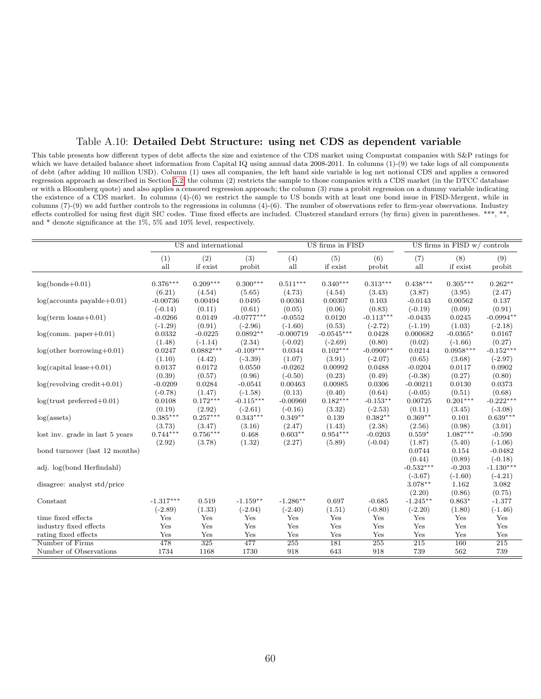### <span id="page-59-0"></span>Table A.10: Detailed Debt Structure: using net CDS as dependent variable

This table presents how different types of debt affects the size and existence of the CDS market using Compustat companies with S&P ratings for which we have detailed balance sheet information from Capital IQ using annual data 2008-2011. In columns (1)-(9) we take logs of all components of debt (after adding 10 million USD). Column (1) uses all companies, the left hand side variable is log net notional CDS and applies a censored regression approach as described in Section [5.2;](#page-17-0) the column (2) restricts the sample to those companies with a CDS market (in the DTCC database or with a Bloomberg quote) and also applies a censored regression approach; the column (3) runs a probit regression on a dummy variable indicating the existence of a CDS market. In columns (4)-(6) we restrict the sample to US bonds with at least one bond issue in FISD-Mergent, while in columns (7)-(9) we add further controls to the regressions in columns (4)-(6). The number of observations refer to firm-year observations. Industry effects controlled for using first digit SIC codes. Time fixed effects are included. Clustered standard errors (by firm) given in parentheses. \*\*\*, \*\*, and  $*$  denote significance at the 1%, 5% and 10% level, respectively.

|                                  |             | US and international |              |             | US firms in FISD |             |             | US firms in FISD w/ controls |             |
|----------------------------------|-------------|----------------------|--------------|-------------|------------------|-------------|-------------|------------------------------|-------------|
|                                  | (1)         | (2)                  | (3)          | (4)         | (5)              | (6)         | (7)         | (8)                          | (9)         |
|                                  | all         | if exist             | probit       | all         | if exist         | probit      | all         | if exist                     | probit      |
|                                  |             |                      |              |             |                  |             |             |                              |             |
| $log(bonds + 0.01)$              | $0.376***$  | $0.209***$           | $0.300***$   | $0.511***$  | $0.340***$       | $0.313***$  | $0.438***$  | $0.305***$                   | $0.262**$   |
|                                  | (6.21)      | (4.54)               | (5.65)       | (4.73)      | (4.54)           | (3.43)      | (3.87)      | (3.95)                       | (2.47)      |
| $log($ accounts payable $+0.01)$ | $-0.00736$  | 0.00494              | 0.0495       | 0.00361     | 0.00307          | 0.103       | $-0.0143$   | 0.00562                      | 0.137       |
|                                  | $(-0.14)$   | (0.11)               | (0.61)       | (0.05)      | (0.06)           | (0.83)      | $(-0.19)$   | (0.09)                       | (0.91)      |
| $log($ term $loans+0.01)$        | $-0.0266$   | 0.0149               | $-0.0777***$ | $-0.0552$   | 0.0120           | $-0.113***$ | $-0.0435$   | 0.0245                       | $-0.0994**$ |
|                                  | $(-1.29)$   | (0.91)               | $(-2.96)$    | $(-1.60)$   | (0.53)           | $(-2.72)$   | $(-1.19)$   | (1.03)                       | $(-2.18)$   |
| $log(comm. paper+0.01)$          | 0.0332      | $-0.0225$            | $0.0892**$   | $-0.000719$ | $-0.0545***$     | 0.0428      | 0.000682    | $-0.0365*$                   | 0.0167      |
|                                  | (1.48)      | $(-1.14)$            | (2.34)       | $(-0.02)$   | $(-2.69)$        | (0.80)      | (0.02)      | $(-1.66)$                    | (0.27)      |
| $log(other\ borrowing+0.01)$     | 0.0247      | $0.0882***$          | $-0.109***$  | 0.0344      | $0.102***$       | $-0.0900**$ | 0.0214      | $0.0958***$                  | $-0.152***$ |
|                                  | (1.10)      | (4.42)               | $(-3.39)$    | (1.07)      | (3.91)           | $(-2.07)$   | (0.65)      | (3.68)                       | $(-2.97)$   |
| $log(capital lease+0.01)$        | 0.0137      | 0.0172               | 0.0550       | $-0.0262$   | 0.00992          | 0.0488      | $-0.0204$   | 0.0117                       | 0.0902      |
|                                  | (0.39)      | (0.57)               | (0.96)       | $(-0.50)$   | (0.23)           | (0.49)      | $(-0.38)$   | (0.27)                       | (0.80)      |
| $log(revolving credit+0.01)$     | $-0.0209$   | 0.0284               | $-0.0541$    | 0.00463     | 0.00985          | 0.0306      | $-0.00211$  | 0.0130                       | 0.0373      |
|                                  | $(-0.78)$   | (1.47)               | $(-1.58)$    | (0.13)      | (0.40)           | (0.64)      | $(-0.05)$   | (0.51)                       | (0.68)      |
| $log(t$ rust preferred $+0.01$ ) | 0.0108      | $0.172***$           | $-0.115***$  | $-0.00960$  | $0.182***$       | $-0.153**$  | 0.00725     | $0.201***$                   | $-0.222***$ |
|                                  | (0.19)      | (2.92)               | $(-2.61)$    | $(-0.16)$   | (3.32)           | $(-2.53)$   | (0.11)      | (3.45)                       | $(-3.08)$   |
| $log($ assets $)$                | $0.385***$  | $0.257***$           | $0.343***$   | $0.349**$   | 0.139            | $0.382**$   | $0.369**$   | 0.101                        | $0.639***$  |
|                                  | (3.73)      | (3.47)               | (3.16)       | (2.47)      | (1.43)           | (2.38)      | (2.56)      | (0.98)                       | (3.01)      |
| lost inv. grade in last 5 years  | $0.744***$  | $0.756***$           | 0.468        | $0.603**$   | $0.954***$       | $-0.0203$   | $0.559*$    | $1.087***$                   | $-0.590$    |
|                                  | (2.92)      | (3.78)               | (1.32)       | (2.27)      | (5.89)           | $(-0.04)$   | (1.87)      | (5.40)                       | $(-1.06)$   |
| bond turnover (last 12 months)   |             |                      |              |             |                  |             | 0.0744      | 0.154                        | $-0.0482$   |
|                                  |             |                      |              |             |                  |             | (0.44)      | (0.89)                       | $(-0.18)$   |
| adj. log(bond Herfindahl)        |             |                      |              |             |                  |             | $-0.532***$ | $-0.203$                     | $-1.130***$ |
|                                  |             |                      |              |             |                  |             | $(-3.67)$   | $(-1.60)$                    | $(-4.21)$   |
| disagree: analyst std/price      |             |                      |              |             |                  |             | $3.078**$   | 1.162                        | 3.082       |
|                                  |             |                      |              |             |                  |             | (2.20)      | (0.86)                       | (0.75)      |
| Constant                         | $-1.317***$ | 0.519                | $-1.159**$   | $-1.286**$  | 0.697            | $-0.685$    | $-1.245**$  | $0.863*$                     | $-1.377$    |
|                                  | $(-2.89)$   | (1.33)               | $(-2.04)$    | $(-2.40)$   | (1.51)           | $(-0.80)$   | $(-2.20)$   | (1.80)                       | $(-1.46)$   |
| time fixed effects               | Yes         | Yes                  | Yes          | Yes         | Yes              | Yes         | Yes         | Yes                          | Yes         |
| industry fixed effects           | Yes         | Yes                  | Yes          | Yes         | Yes              | Yes         | Yes         | Yes                          | Yes         |
| rating fixed effects             | Yes         | Yes                  | Yes          | Yes         | Yes              | Yes         | Yes         | Yes                          | Yes         |
| Number of Firms                  | 478         | $325\,$              | 477          | $255\,$     | 181              | 255         | 215         | 160                          | 215         |
| Number of Observations           | 1734        | 1168                 | 1730         | 918         | 643              | 918         | 739         | 562                          | 739         |